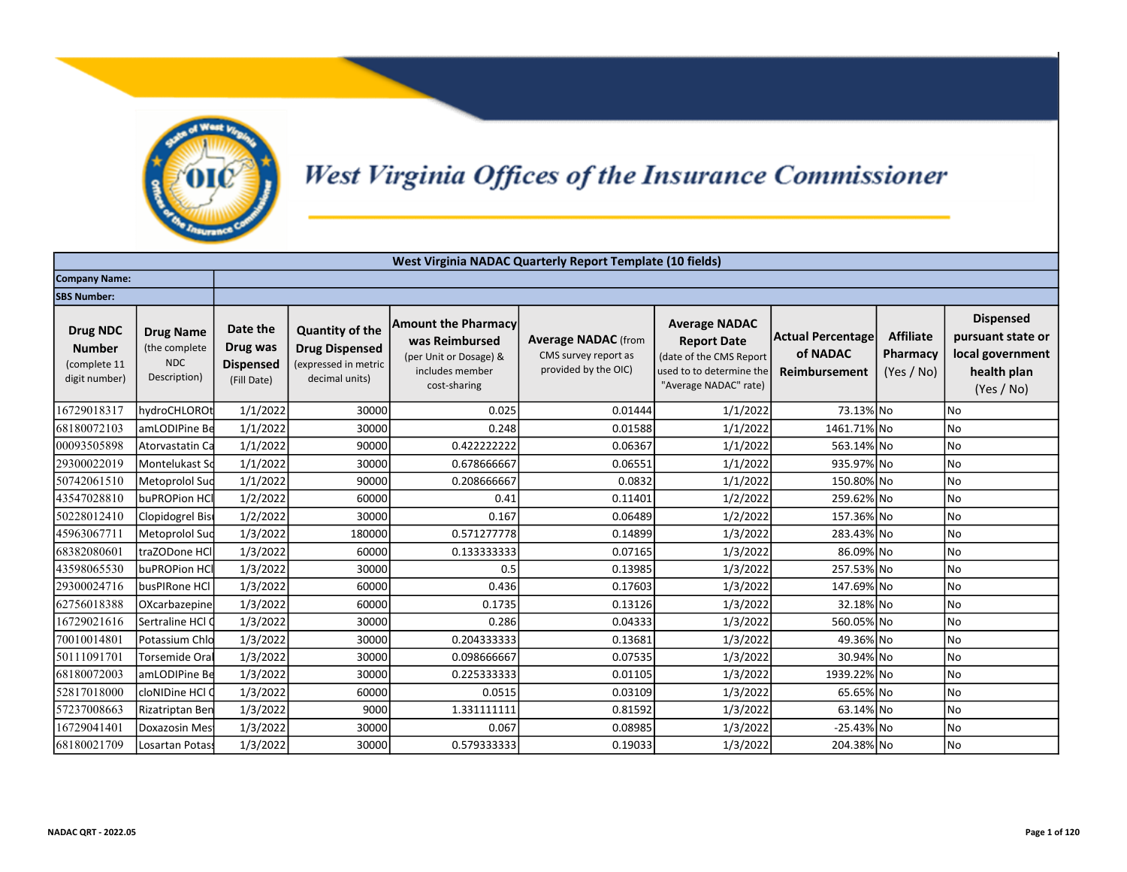

## West Virginia Offices of the Insurance Commissioner

|                                                                   | West Virginia NADAC Quarterly Report Template (10 fields)       |                                                         |                                                                                           |                                                                                                           |                                                                            |                                                                                                                            |                                                       |                                            |                                                                                        |  |  |  |
|-------------------------------------------------------------------|-----------------------------------------------------------------|---------------------------------------------------------|-------------------------------------------------------------------------------------------|-----------------------------------------------------------------------------------------------------------|----------------------------------------------------------------------------|----------------------------------------------------------------------------------------------------------------------------|-------------------------------------------------------|--------------------------------------------|----------------------------------------------------------------------------------------|--|--|--|
| <b>Company Name:</b>                                              |                                                                 |                                                         |                                                                                           |                                                                                                           |                                                                            |                                                                                                                            |                                                       |                                            |                                                                                        |  |  |  |
| <b>SBS Number:</b>                                                |                                                                 |                                                         |                                                                                           |                                                                                                           |                                                                            |                                                                                                                            |                                                       |                                            |                                                                                        |  |  |  |
| <b>Drug NDC</b><br><b>Number</b><br>(complete 11<br>digit number) | <b>Drug Name</b><br>(the complete<br><b>NDC</b><br>Description) | Date the<br>Drug was<br><b>Dispensed</b><br>(Fill Date) | <b>Quantity of the</b><br><b>Drug Dispensed</b><br>(expressed in metric<br>decimal units) | <b>Amount the Pharmacy</b><br>was Reimbursed<br>(per Unit or Dosage) &<br>includes member<br>cost-sharing | <b>Average NADAC</b> (from<br>CMS survey report as<br>provided by the OIC) | <b>Average NADAC</b><br><b>Report Date</b><br>(date of the CMS Report<br>used to to determine the<br>"Average NADAC" rate) | <b>Actual Percentage</b><br>of NADAC<br>Reimbursement | <b>Affiliate</b><br>Pharmacy<br>(Yes / No) | <b>Dispensed</b><br>pursuant state or<br>local government<br>health plan<br>(Yes / No) |  |  |  |
| 16729018317                                                       | hydroCHLOROt                                                    | 1/1/2022                                                | 30000                                                                                     | 0.025                                                                                                     | 0.01444                                                                    | 1/1/2022                                                                                                                   | 73.13% No                                             |                                            | No                                                                                     |  |  |  |
| 68180072103                                                       | amLODIPine Be                                                   | 1/1/2022                                                | 30000                                                                                     | 0.248                                                                                                     | 0.01588                                                                    | 1/1/2022                                                                                                                   | 1461.71% No                                           |                                            | No                                                                                     |  |  |  |
| 00093505898                                                       | Atorvastatin Ca                                                 | 1/1/2022                                                | 90000                                                                                     | 0.422222222                                                                                               | 0.06367                                                                    | 1/1/2022                                                                                                                   | 563.14% No                                            |                                            | No                                                                                     |  |  |  |
| 29300022019                                                       | Montelukast Sd                                                  | 1/1/2022                                                | 30000                                                                                     | 0.678666667                                                                                               | 0.06551                                                                    | 1/1/2022                                                                                                                   | 935.97% No                                            |                                            | <b>No</b>                                                                              |  |  |  |
| 50742061510                                                       | Metoprolol Sud                                                  | 1/1/2022                                                | 90000                                                                                     | 0.208666667                                                                                               | 0.0832                                                                     | 1/1/2022                                                                                                                   | 150.80% No                                            |                                            | No                                                                                     |  |  |  |
| 43547028810                                                       | buPROPion HCI                                                   | 1/2/2022                                                | 60000                                                                                     | 0.41                                                                                                      | 0.11401                                                                    | 1/2/2022                                                                                                                   | 259.62% No                                            |                                            | No                                                                                     |  |  |  |
| 50228012410                                                       | Clopidogrel Bisi                                                | 1/2/2022                                                | 30000                                                                                     | 0.167                                                                                                     | 0.06489                                                                    | 1/2/2022                                                                                                                   | 157.36% No                                            |                                            | No                                                                                     |  |  |  |
| 45963067711                                                       | Metoprolol Sud                                                  | 1/3/2022                                                | 180000                                                                                    | 0.571277778                                                                                               | 0.14899                                                                    | 1/3/2022                                                                                                                   | 283.43% No                                            |                                            | No                                                                                     |  |  |  |
| 68382080601                                                       | traZODone HCl                                                   | 1/3/2022                                                | 60000                                                                                     | 0.133333333                                                                                               | 0.07165                                                                    | 1/3/2022                                                                                                                   | 86.09% No                                             |                                            | <b>No</b>                                                                              |  |  |  |
| 43598065530                                                       | buPROPion HCI                                                   | 1/3/2022                                                | 30000                                                                                     | 0.5                                                                                                       | 0.13985                                                                    | 1/3/2022                                                                                                                   | 257.53% No                                            |                                            | No                                                                                     |  |  |  |
| 29300024716                                                       | busPIRone HCI                                                   | 1/3/2022                                                | 60000                                                                                     | 0.436                                                                                                     | 0.17603                                                                    | 1/3/2022                                                                                                                   | 147.69% No                                            |                                            | No                                                                                     |  |  |  |
| 62756018388                                                       | OXcarbazepine                                                   | 1/3/2022                                                | 60000                                                                                     | 0.1735                                                                                                    | 0.13126                                                                    | 1/3/2022                                                                                                                   | 32.18% No                                             |                                            | No                                                                                     |  |  |  |
| 16729021616                                                       | Sertraline HCl Q                                                | 1/3/2022                                                | 30000                                                                                     | 0.286                                                                                                     | 0.04333                                                                    | 1/3/2022                                                                                                                   | 560.05% No                                            |                                            | No                                                                                     |  |  |  |
| 70010014801                                                       | Potassium Chlo                                                  | 1/3/2022                                                | 30000                                                                                     | 0.204333333                                                                                               | 0.13681                                                                    | 1/3/2022                                                                                                                   | 49.36% No                                             |                                            | No                                                                                     |  |  |  |
| 50111091701                                                       | Torsemide Oral                                                  | 1/3/2022                                                | 30000                                                                                     | 0.098666667                                                                                               | 0.07535                                                                    | 1/3/2022                                                                                                                   | 30.94% No                                             |                                            | No                                                                                     |  |  |  |
| 68180072003                                                       | amLODIPine Be                                                   | 1/3/2022                                                | 30000                                                                                     | 0.225333333                                                                                               | 0.01105                                                                    | 1/3/2022                                                                                                                   | 1939.22% No                                           |                                            | No                                                                                     |  |  |  |
| 52817018000                                                       | cloNIDine HCl O                                                 | 1/3/2022                                                | 60000                                                                                     | 0.0515                                                                                                    | 0.03109                                                                    | 1/3/2022                                                                                                                   | 65.65% No                                             |                                            | No                                                                                     |  |  |  |
| 57237008663                                                       | Rizatriptan Ben                                                 | 1/3/2022                                                | 9000                                                                                      | 1.331111111                                                                                               | 0.81592                                                                    | 1/3/2022                                                                                                                   | 63.14% No                                             |                                            | No                                                                                     |  |  |  |
| 16729041401                                                       | Doxazosin Mes                                                   | 1/3/2022                                                | 30000                                                                                     | 0.067                                                                                                     | 0.08985                                                                    | 1/3/2022                                                                                                                   | $-25.43\%$ No                                         |                                            | No                                                                                     |  |  |  |
| 68180021709                                                       | Losartan Potass                                                 | 1/3/2022                                                | 30000                                                                                     | 0.579333333                                                                                               | 0.19033                                                                    | 1/3/2022                                                                                                                   | 204.38% No                                            |                                            | No                                                                                     |  |  |  |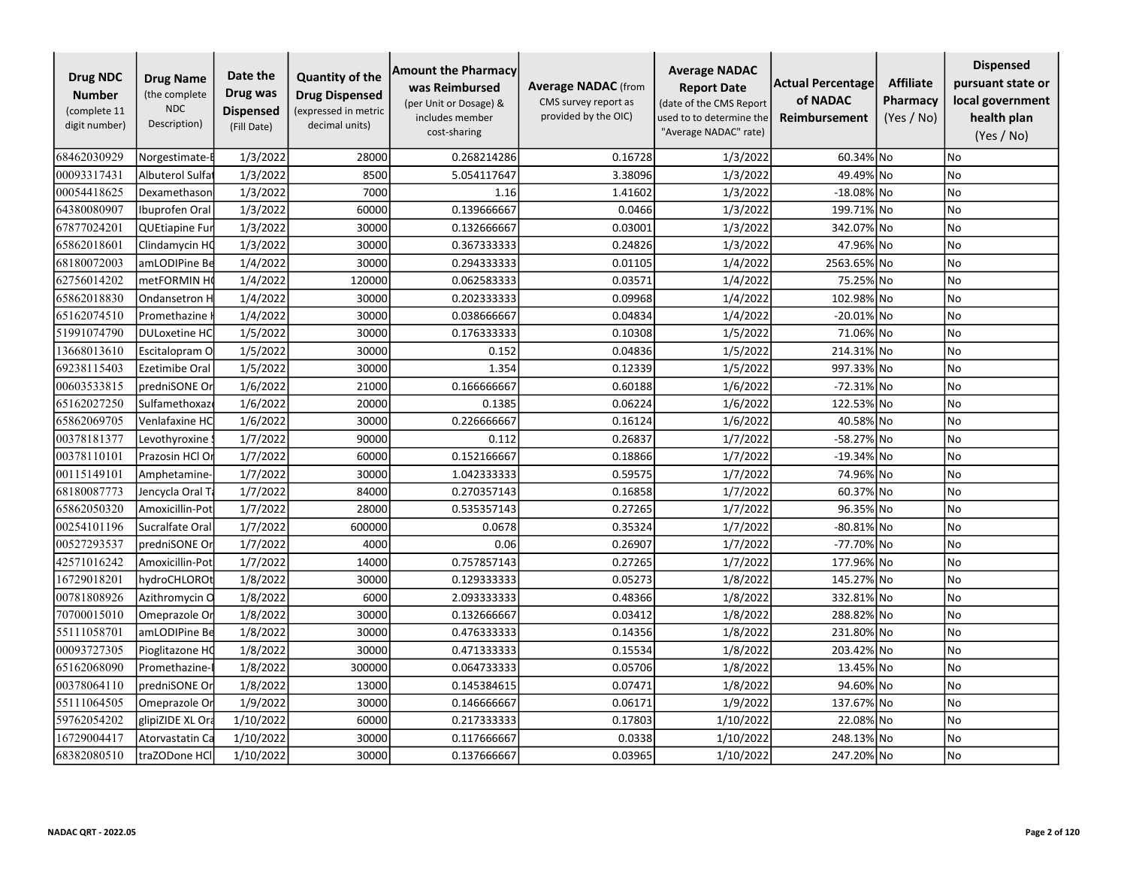| <b>Drug NDC</b><br><b>Number</b><br>(complete 11<br>digit number) | <b>Drug Name</b><br>(the complete<br><b>NDC</b><br>Description) | Date the<br>Drug was<br><b>Dispensed</b><br>(Fill Date) | <b>Quantity of the</b><br><b>Drug Dispensed</b><br>(expressed in metric<br>decimal units) | <b>Amount the Pharmacy</b><br>was Reimbursed<br>(per Unit or Dosage) &<br>includes member<br>cost-sharing | <b>Average NADAC</b> (from<br>CMS survey report as<br>provided by the OIC) | <b>Average NADAC</b><br><b>Report Date</b><br>(date of the CMS Report<br>used to to determine the<br>"Average NADAC" rate) | <b>Actual Percentage</b><br>of NADAC<br>Reimbursement | <b>Affiliate</b><br>Pharmacy<br>(Yes / No) | <b>Dispensed</b><br>pursuant state or<br>local government<br>health plan<br>(Yes / No) |
|-------------------------------------------------------------------|-----------------------------------------------------------------|---------------------------------------------------------|-------------------------------------------------------------------------------------------|-----------------------------------------------------------------------------------------------------------|----------------------------------------------------------------------------|----------------------------------------------------------------------------------------------------------------------------|-------------------------------------------------------|--------------------------------------------|----------------------------------------------------------------------------------------|
| 68462030929                                                       | Norgestimate-I                                                  | 1/3/2022                                                | 28000                                                                                     | 0.268214286                                                                                               | 0.16728                                                                    | 1/3/2022                                                                                                                   | 60.34% No                                             |                                            | No                                                                                     |
| 00093317431                                                       | Albuterol Sulfa                                                 | 1/3/2022                                                | 8500                                                                                      | 5.054117647                                                                                               | 3.38096                                                                    | 1/3/2022                                                                                                                   | 49.49% No                                             |                                            | No                                                                                     |
| 00054418625                                                       | Dexamethason                                                    | 1/3/2022                                                | 7000                                                                                      | 1.16                                                                                                      | 1.41602                                                                    | 1/3/2022                                                                                                                   | $-18.08\%$ No                                         |                                            | No                                                                                     |
| 64380080907                                                       | Ibuprofen Oral                                                  | 1/3/2022                                                | 60000                                                                                     | 0.139666667                                                                                               | 0.0466                                                                     | 1/3/2022                                                                                                                   | 199.71% No                                            |                                            | No                                                                                     |
| 67877024201                                                       | QUEtiapine Fur                                                  | 1/3/2022                                                | 30000                                                                                     | 0.132666667                                                                                               | 0.03001                                                                    | 1/3/2022                                                                                                                   | 342.07% No                                            |                                            | No                                                                                     |
| 65862018601                                                       | Clindamycin HC                                                  | 1/3/2022                                                | 30000                                                                                     | 0.367333333                                                                                               | 0.24826                                                                    | 1/3/2022                                                                                                                   | 47.96% No                                             |                                            | No                                                                                     |
| 68180072003                                                       | amLODIPine Be                                                   | 1/4/2022                                                | 30000                                                                                     | 0.294333333                                                                                               | 0.01105                                                                    | 1/4/2022                                                                                                                   | 2563.65% No                                           |                                            | No                                                                                     |
| 62756014202                                                       | metFORMIN H                                                     | 1/4/2022                                                | 120000                                                                                    | 0.062583333                                                                                               | 0.03571                                                                    | 1/4/2022                                                                                                                   | 75.25% No                                             |                                            | No                                                                                     |
| 65862018830                                                       | Ondansetron H                                                   | 1/4/2022                                                | 30000                                                                                     | 0.202333333                                                                                               | 0.09968                                                                    | 1/4/2022                                                                                                                   | 102.98% No                                            |                                            | No                                                                                     |
| 65162074510                                                       | Promethazine                                                    | 1/4/2022                                                | 30000                                                                                     | 0.038666667                                                                                               | 0.04834                                                                    | 1/4/2022                                                                                                                   | -20.01% No                                            |                                            | No                                                                                     |
| 51991074790                                                       | <b>DULoxetine HC</b>                                            | 1/5/2022                                                | 30000                                                                                     | 0.176333333                                                                                               | 0.10308                                                                    | 1/5/2022                                                                                                                   | 71.06% No                                             |                                            | <b>No</b>                                                                              |
| 13668013610                                                       | Escitalopram O                                                  | 1/5/2022                                                | 30000                                                                                     | 0.152                                                                                                     | 0.04836                                                                    | 1/5/2022                                                                                                                   | 214.31% No                                            |                                            | No                                                                                     |
| 69238115403                                                       | <b>Ezetimibe Oral</b>                                           | 1/5/2022                                                | 30000                                                                                     | 1.354                                                                                                     | 0.12339                                                                    | 1/5/2022                                                                                                                   | 997.33% No                                            |                                            | No                                                                                     |
| 00603533815                                                       | predniSONE Or                                                   | 1/6/2022                                                | 21000                                                                                     | 0.166666667                                                                                               | 0.60188                                                                    | 1/6/2022                                                                                                                   | -72.31% No                                            |                                            | No                                                                                     |
| 65162027250                                                       | Sulfamethoxaz                                                   | 1/6/2022                                                | 20000                                                                                     | 0.1385                                                                                                    | 0.06224                                                                    | 1/6/2022                                                                                                                   | 122.53% No                                            |                                            | No                                                                                     |
| 65862069705                                                       | Venlafaxine HC                                                  | 1/6/2022                                                | 30000                                                                                     | 0.226666667                                                                                               | 0.16124                                                                    | 1/6/2022                                                                                                                   | 40.58% No                                             |                                            | <b>No</b>                                                                              |
| 00378181377                                                       | Levothyroxine                                                   | 1/7/2022                                                | 90000                                                                                     | 0.112                                                                                                     | 0.26837                                                                    | 1/7/2022                                                                                                                   | -58.27% No                                            |                                            | No                                                                                     |
| 00378110101                                                       | Prazosin HCl Or                                                 | 1/7/2022                                                | 60000                                                                                     | 0.152166667                                                                                               | 0.18866                                                                    | 1/7/2022                                                                                                                   | $-19.34\%$ No                                         |                                            | <b>No</b>                                                                              |
| 00115149101                                                       | Amphetamine-                                                    | 1/7/2022                                                | 30000                                                                                     | 1.042333333                                                                                               | 0.59575                                                                    | 1/7/2022                                                                                                                   | 74.96% No                                             |                                            | No                                                                                     |
| 68180087773                                                       | Jencycla Oral Ta                                                | 1/7/2022                                                | 84000                                                                                     | 0.270357143                                                                                               | 0.16858                                                                    | 1/7/2022                                                                                                                   | 60.37% No                                             |                                            | <b>No</b>                                                                              |
| 65862050320                                                       | Amoxicillin-Pot                                                 | 1/7/2022                                                | 28000                                                                                     | 0.535357143                                                                                               | 0.27265                                                                    | 1/7/2022                                                                                                                   | 96.35% No                                             |                                            | No                                                                                     |
| 00254101196                                                       | Sucralfate Oral                                                 | 1/7/2022                                                | 600000                                                                                    | 0.0678                                                                                                    | 0.35324                                                                    | 1/7/2022                                                                                                                   | -80.81% No                                            |                                            | No                                                                                     |
| 00527293537                                                       | predniSONE Or                                                   | 1/7/2022                                                | 4000                                                                                      | 0.06                                                                                                      | 0.26907                                                                    | 1/7/2022                                                                                                                   | -77.70% No                                            |                                            | No                                                                                     |
| 42571016242                                                       | Amoxicillin-Pot                                                 | 1/7/2022                                                | 14000                                                                                     | 0.757857143                                                                                               | 0.27265                                                                    | 1/7/2022                                                                                                                   | 177.96% No                                            |                                            | <b>No</b>                                                                              |
| 16729018201                                                       | hydroCHLOROt                                                    | 1/8/2022                                                | 30000                                                                                     | 0.129333333                                                                                               | 0.05273                                                                    | 1/8/2022                                                                                                                   | 145.27% No                                            |                                            | No                                                                                     |
| 00781808926                                                       | Azithromycin C                                                  | 1/8/2022                                                | 6000                                                                                      | 2.093333333                                                                                               | 0.48366                                                                    | 1/8/2022                                                                                                                   | 332.81% No                                            |                                            | No                                                                                     |
| 70700015010                                                       | Omeprazole Or                                                   | 1/8/2022                                                | 30000                                                                                     | 0.132666667                                                                                               | 0.03412                                                                    | 1/8/2022                                                                                                                   | 288.82% No                                            |                                            | No                                                                                     |
| 55111058701                                                       | amLODIPine Be                                                   | 1/8/2022                                                | 30000                                                                                     | 0.476333333                                                                                               | 0.14356                                                                    | 1/8/2022                                                                                                                   | 231.80% No                                            |                                            | No                                                                                     |
| 00093727305                                                       | Pioglitazone HC                                                 | 1/8/2022                                                | 30000                                                                                     | 0.471333333                                                                                               | 0.15534                                                                    | 1/8/2022                                                                                                                   | 203.42% No                                            |                                            | No                                                                                     |
| 65162068090                                                       | Promethazine-                                                   | 1/8/2022                                                | 300000                                                                                    | 0.064733333                                                                                               | 0.05706                                                                    | 1/8/2022                                                                                                                   | 13.45% No                                             |                                            | <b>No</b>                                                                              |
| 00378064110                                                       | predniSONE Or                                                   | 1/8/2022                                                | 13000                                                                                     | 0.145384615                                                                                               | 0.07471                                                                    | 1/8/2022                                                                                                                   | 94.60% No                                             |                                            | <b>No</b>                                                                              |
| 55111064505                                                       | Omeprazole Or                                                   | 1/9/2022                                                | 30000                                                                                     | 0.146666667                                                                                               | 0.06171                                                                    | 1/9/2022                                                                                                                   | 137.67% No                                            |                                            | No                                                                                     |
| 59762054202                                                       | glipiZIDE XL Ora                                                | 1/10/2022                                               | 60000                                                                                     | 0.217333333                                                                                               | 0.17803                                                                    | 1/10/2022                                                                                                                  | 22.08% No                                             |                                            | No                                                                                     |
| 16729004417                                                       | Atorvastatin Ca                                                 | 1/10/2022                                               | 30000                                                                                     | 0.117666667                                                                                               | 0.0338                                                                     | 1/10/2022                                                                                                                  | 248.13% No                                            |                                            | No                                                                                     |
| 68382080510                                                       | traZODone HCl                                                   | 1/10/2022                                               | 30000                                                                                     | 0.137666667                                                                                               | 0.03965                                                                    | 1/10/2022                                                                                                                  | 247.20% No                                            |                                            | No                                                                                     |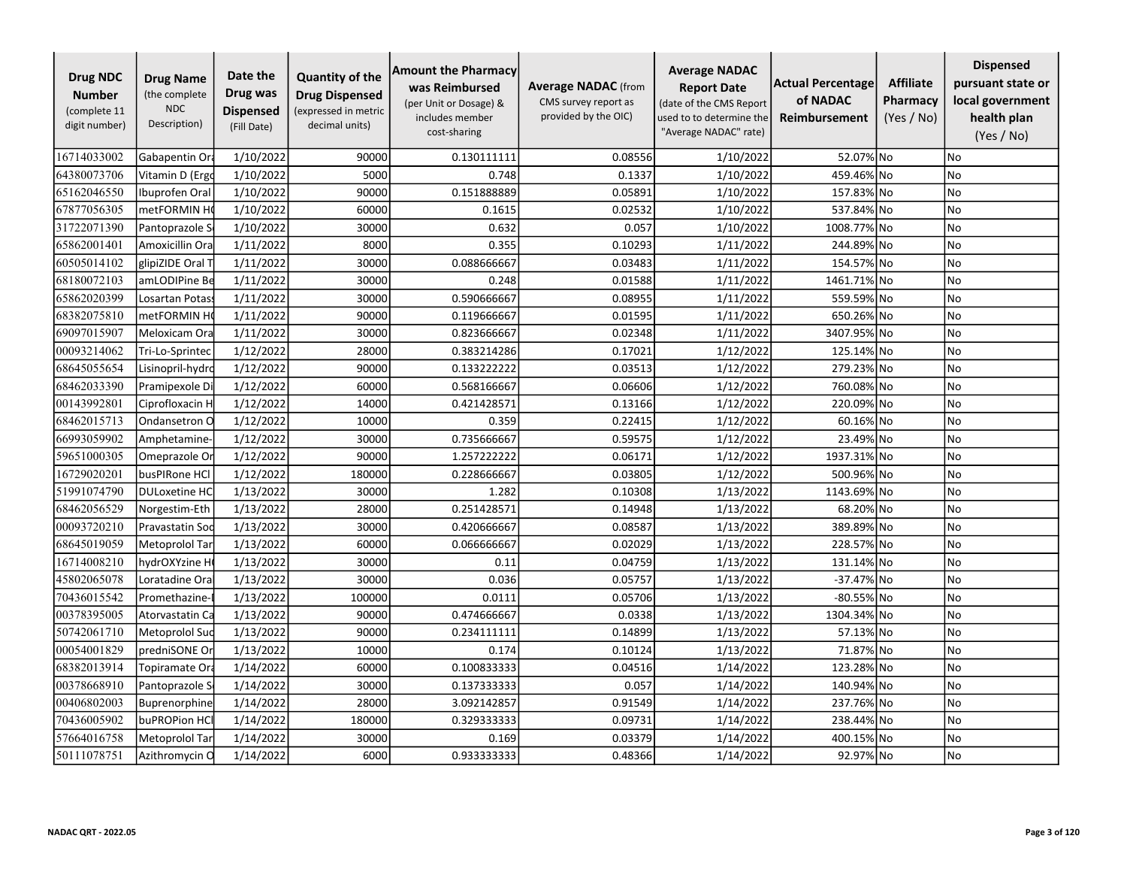| <b>Drug NDC</b><br><b>Number</b><br>(complete 11<br>digit number) | <b>Drug Name</b><br>(the complete<br><b>NDC</b><br>Description) | Date the<br>Drug was<br><b>Dispensed</b><br>(Fill Date) | <b>Quantity of the</b><br><b>Drug Dispensed</b><br>(expressed in metric<br>decimal units) | <b>Amount the Pharmacy</b><br>was Reimbursed<br>(per Unit or Dosage) &<br>includes member<br>cost-sharing | <b>Average NADAC</b> (from<br>CMS survey report as<br>provided by the OIC) | <b>Average NADAC</b><br><b>Report Date</b><br>(date of the CMS Report<br>used to to determine the<br>"Average NADAC" rate) | <b>Actual Percentage</b><br>of NADAC<br>Reimbursement | <b>Affiliate</b><br>Pharmacy<br>(Yes / No) | <b>Dispensed</b><br>pursuant state or<br>local government<br>health plan<br>(Yes / No) |
|-------------------------------------------------------------------|-----------------------------------------------------------------|---------------------------------------------------------|-------------------------------------------------------------------------------------------|-----------------------------------------------------------------------------------------------------------|----------------------------------------------------------------------------|----------------------------------------------------------------------------------------------------------------------------|-------------------------------------------------------|--------------------------------------------|----------------------------------------------------------------------------------------|
| 16714033002                                                       | Gabapentin Ora                                                  | 1/10/2022                                               | 90000                                                                                     | 0.130111111                                                                                               | 0.08556                                                                    | 1/10/2022                                                                                                                  | 52.07% No                                             |                                            | No                                                                                     |
| 64380073706                                                       | Vitamin D (Ergo                                                 | 1/10/2022                                               | 5000                                                                                      | 0.748                                                                                                     | 0.1337                                                                     | 1/10/2022                                                                                                                  | 459.46% No                                            |                                            | <b>No</b>                                                                              |
| 65162046550                                                       | Ibuprofen Oral                                                  | 1/10/2022                                               | 90000                                                                                     | 0.151888889                                                                                               | 0.05891                                                                    | 1/10/2022                                                                                                                  | 157.83% No                                            |                                            | No                                                                                     |
| 67877056305                                                       | metFORMIN H                                                     | 1/10/2022                                               | 60000                                                                                     | 0.1615                                                                                                    | 0.02532                                                                    | 1/10/2022                                                                                                                  | 537.84% No                                            |                                            | <b>No</b>                                                                              |
| 31722071390                                                       | Pantoprazole S                                                  | 1/10/2022                                               | 30000                                                                                     | 0.632                                                                                                     | 0.057                                                                      | 1/10/2022                                                                                                                  | 1008.77% No                                           |                                            | No                                                                                     |
| 65862001401                                                       | Amoxicillin Ora                                                 | 1/11/2022                                               | 8000                                                                                      | 0.355                                                                                                     | 0.10293                                                                    | 1/11/2022                                                                                                                  | 244.89% No                                            |                                            | No                                                                                     |
| 60505014102                                                       | glipiZIDE Oral 1                                                | 1/11/2022                                               | 30000                                                                                     | 0.088666667                                                                                               | 0.03483                                                                    | 1/11/2022                                                                                                                  | 154.57% No                                            |                                            | No                                                                                     |
| 68180072103                                                       | amLODIPine Be                                                   | 1/11/2022                                               | 30000                                                                                     | 0.248                                                                                                     | 0.01588                                                                    | 1/11/2022                                                                                                                  | 1461.71% No                                           |                                            | No                                                                                     |
| 65862020399                                                       | Losartan Potas                                                  | 1/11/2022                                               | 30000                                                                                     | 0.590666667                                                                                               | 0.08955                                                                    | 1/11/2022                                                                                                                  | 559.59% No                                            |                                            | No                                                                                     |
| 68382075810                                                       | metFORMIN H                                                     | 1/11/2022                                               | 90000                                                                                     | 0.119666667                                                                                               | 0.01595                                                                    | 1/11/2022                                                                                                                  | 650.26% No                                            |                                            | No                                                                                     |
| 69097015907                                                       | Meloxicam Ora                                                   | 1/11/2022                                               | 30000                                                                                     | 0.823666667                                                                                               | 0.02348                                                                    | 1/11/2022                                                                                                                  | 3407.95% No                                           |                                            | No                                                                                     |
| 00093214062                                                       | Tri-Lo-Sprintec                                                 | 1/12/2022                                               | 28000                                                                                     | 0.383214286                                                                                               | 0.17021                                                                    | 1/12/2022                                                                                                                  | 125.14% No                                            |                                            | No                                                                                     |
| 68645055654                                                       | Lisinopril-hydro                                                | 1/12/2022                                               | 90000                                                                                     | 0.133222222                                                                                               | 0.03513                                                                    | 1/12/2022                                                                                                                  | 279.23% No                                            |                                            | No                                                                                     |
| 68462033390                                                       | Pramipexole Di                                                  | 1/12/2022                                               | 60000                                                                                     | 0.568166667                                                                                               | 0.06606                                                                    | 1/12/2022                                                                                                                  | 760.08% No                                            |                                            | No                                                                                     |
| 00143992801                                                       | Ciprofloxacin H                                                 | 1/12/2022                                               | 14000                                                                                     | 0.421428571                                                                                               | 0.13166                                                                    | 1/12/2022                                                                                                                  | 220.09% No                                            |                                            | No                                                                                     |
| 68462015713                                                       | Ondansetron O                                                   | 1/12/2022                                               | 10000                                                                                     | 0.359                                                                                                     | 0.22415                                                                    | 1/12/2022                                                                                                                  | 60.16% No                                             |                                            | No                                                                                     |
| 66993059902                                                       | Amphetamine-                                                    | 1/12/2022                                               | 30000                                                                                     | 0.735666667                                                                                               | 0.59575                                                                    | 1/12/2022                                                                                                                  | 23.49% No                                             |                                            | No                                                                                     |
| 59651000305                                                       | Omeprazole Or                                                   | 1/12/2022                                               | 90000                                                                                     | 1.257222222                                                                                               | 0.06171                                                                    | 1/12/2022                                                                                                                  | 1937.31% No                                           |                                            | <b>No</b>                                                                              |
| 16729020201                                                       | busPIRone HCl                                                   | 1/12/2022                                               | 180000                                                                                    | 0.228666667                                                                                               | 0.03805                                                                    | 1/12/2022                                                                                                                  | 500.96% No                                            |                                            | No                                                                                     |
| 51991074790                                                       | <b>DULoxetine HC</b>                                            | 1/13/2022                                               | 30000                                                                                     | 1.282                                                                                                     | 0.10308                                                                    | 1/13/2022                                                                                                                  | 1143.69% No                                           |                                            | No                                                                                     |
| 68462056529                                                       | Norgestim-Eth                                                   | 1/13/2022                                               | 28000                                                                                     | 0.251428571                                                                                               | 0.14948                                                                    | 1/13/2022                                                                                                                  | 68.20% No                                             |                                            | No                                                                                     |
| 00093720210                                                       | Pravastatin Soc                                                 | 1/13/2022                                               | 30000                                                                                     | 0.420666667                                                                                               | 0.08587                                                                    | 1/13/2022                                                                                                                  | 389.89% No                                            |                                            | No                                                                                     |
| 68645019059                                                       | Metoprolol Tar                                                  | 1/13/2022                                               | 60000                                                                                     | 0.066666667                                                                                               | 0.02029                                                                    | 1/13/2022                                                                                                                  | 228.57% No                                            |                                            | No                                                                                     |
| 16714008210                                                       | hydrOXYzine H                                                   | 1/13/2022                                               | 30000                                                                                     | 0.11                                                                                                      | 0.04759                                                                    | 1/13/2022                                                                                                                  | 131.14% No                                            |                                            | <b>No</b>                                                                              |
| 45802065078                                                       | Loratadine Ora                                                  | 1/13/2022                                               | 30000                                                                                     | 0.036                                                                                                     | 0.05757                                                                    | 1/13/2022                                                                                                                  | -37.47% No                                            |                                            | No                                                                                     |
| 70436015542                                                       | Promethazine-                                                   | 1/13/2022                                               | 100000                                                                                    | 0.0111                                                                                                    | 0.05706                                                                    | 1/13/2022                                                                                                                  | -80.55% No                                            |                                            | No                                                                                     |
| 00378395005                                                       | Atorvastatin Ca                                                 | 1/13/2022                                               | 90000                                                                                     | 0.474666667                                                                                               | 0.0338                                                                     | 1/13/2022                                                                                                                  | 1304.34% No                                           |                                            | No                                                                                     |
| 50742061710                                                       | Metoprolol Suc                                                  | 1/13/2022                                               | 90000                                                                                     | 0.234111111                                                                                               | 0.14899                                                                    | 1/13/2022                                                                                                                  | 57.13% No                                             |                                            | No                                                                                     |
| 00054001829                                                       | predniSONE Or                                                   | 1/13/2022                                               | 10000                                                                                     | 0.174                                                                                                     | 0.10124                                                                    | 1/13/2022                                                                                                                  | 71.87% No                                             |                                            | No                                                                                     |
| 68382013914                                                       | Topiramate Or                                                   | 1/14/2022                                               | 60000                                                                                     | 0.100833333                                                                                               | 0.04516                                                                    | 1/14/2022                                                                                                                  | 123.28% No                                            |                                            | <b>No</b>                                                                              |
| 00378668910                                                       | Pantoprazole S                                                  | 1/14/2022                                               | 30000                                                                                     | 0.137333333                                                                                               | 0.057                                                                      | 1/14/2022                                                                                                                  | 140.94% No                                            |                                            | <b>No</b>                                                                              |
| 00406802003                                                       | Buprenorphine                                                   | 1/14/2022                                               | 28000                                                                                     | 3.092142857                                                                                               | 0.91549                                                                    | 1/14/2022                                                                                                                  | 237.76% No                                            |                                            | No                                                                                     |
| 70436005902                                                       | buPROPion HC                                                    | 1/14/2022                                               | 180000                                                                                    | 0.329333333                                                                                               | 0.09731                                                                    | 1/14/2022                                                                                                                  | 238.44% No                                            |                                            | No                                                                                     |
| 57664016758                                                       | Metoprolol Tar                                                  | 1/14/2022                                               | 30000                                                                                     | 0.169                                                                                                     | 0.03379                                                                    | 1/14/2022                                                                                                                  | 400.15% No                                            |                                            | No                                                                                     |
| 50111078751                                                       | Azithromycin C                                                  | 1/14/2022                                               | 6000                                                                                      | 0.933333333                                                                                               | 0.48366                                                                    | 1/14/2022                                                                                                                  | 92.97% No                                             |                                            | No                                                                                     |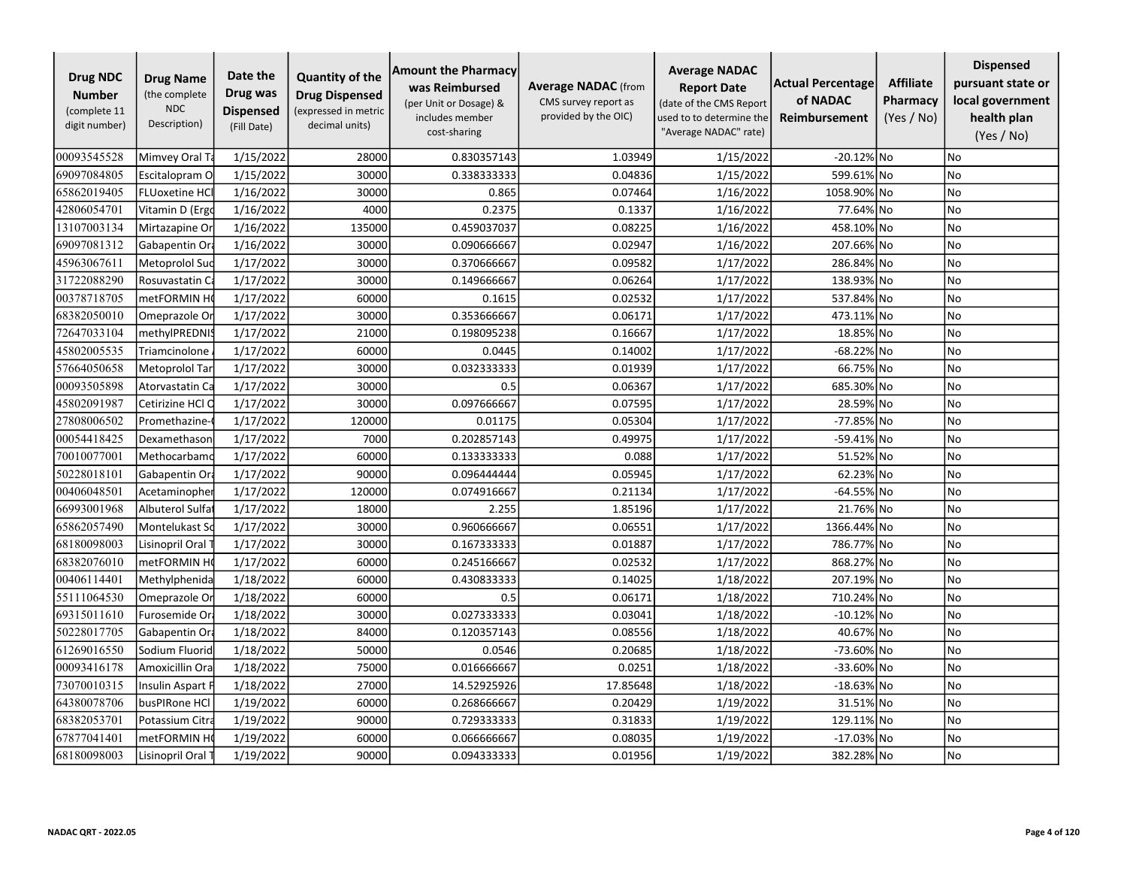| <b>Drug NDC</b><br><b>Number</b><br>(complete 11<br>digit number) | <b>Drug Name</b><br>(the complete<br><b>NDC</b><br>Description) | Date the<br>Drug was<br><b>Dispensed</b><br>(Fill Date) | <b>Quantity of the</b><br><b>Drug Dispensed</b><br>(expressed in metric<br>decimal units) | <b>Amount the Pharmacy</b><br>was Reimbursed<br>(per Unit or Dosage) &<br>includes member<br>cost-sharing | <b>Average NADAC</b> (from<br>CMS survey report as<br>provided by the OIC) | <b>Average NADAC</b><br><b>Report Date</b><br>(date of the CMS Report<br>used to to determine the<br>"Average NADAC" rate) | <b>Actual Percentage</b><br>of NADAC<br><b>Reimbursement</b> | <b>Affiliate</b><br>Pharmacy<br>(Yes / No) | <b>Dispensed</b><br>pursuant state or<br>local government<br>health plan<br>(Yes / No) |
|-------------------------------------------------------------------|-----------------------------------------------------------------|---------------------------------------------------------|-------------------------------------------------------------------------------------------|-----------------------------------------------------------------------------------------------------------|----------------------------------------------------------------------------|----------------------------------------------------------------------------------------------------------------------------|--------------------------------------------------------------|--------------------------------------------|----------------------------------------------------------------------------------------|
| 00093545528                                                       | Mimvey Oral Ta                                                  | 1/15/2022                                               | 28000                                                                                     | 0.830357143                                                                                               | 1.03949                                                                    | 1/15/2022                                                                                                                  | -20.12% No                                                   |                                            | <b>No</b>                                                                              |
| 69097084805                                                       | Escitalopram O                                                  | 1/15/2022                                               | 30000                                                                                     | 0.338333333                                                                                               | 0.04836                                                                    | 1/15/2022                                                                                                                  | 599.61% No                                                   |                                            | No                                                                                     |
| 65862019405                                                       | <b>FLUoxetine HCI</b>                                           | 1/16/2022                                               | 30000                                                                                     | 0.865                                                                                                     | 0.07464                                                                    | 1/16/2022                                                                                                                  | 1058.90% No                                                  |                                            | No                                                                                     |
| 42806054701                                                       | Vitamin D (Ergo                                                 | 1/16/2022                                               | 4000                                                                                      | 0.2375                                                                                                    | 0.1337                                                                     | 1/16/2022                                                                                                                  | 77.64% No                                                    |                                            | <b>No</b>                                                                              |
| 13107003134                                                       | Mirtazapine Or                                                  | 1/16/2022                                               | 135000                                                                                    | 0.459037037                                                                                               | 0.08225                                                                    | 1/16/2022                                                                                                                  | 458.10% No                                                   |                                            | No                                                                                     |
| 69097081312                                                       | Gabapentin Ora                                                  | 1/16/2022                                               | 30000                                                                                     | 0.090666667                                                                                               | 0.02947                                                                    | 1/16/2022                                                                                                                  | 207.66%                                                      | No                                         | No                                                                                     |
| 45963067611                                                       | Metoprolol Suc                                                  | 1/17/2022                                               | 30000                                                                                     | 0.370666667                                                                                               | 0.09582                                                                    | 1/17/2022                                                                                                                  | 286.84% No                                                   |                                            | No                                                                                     |
| 31722088290                                                       | Rosuvastatin Ca                                                 | 1/17/2022                                               | 30000                                                                                     | 0.149666667                                                                                               | 0.06264                                                                    | 1/17/2022                                                                                                                  | 138.93% No                                                   |                                            | No                                                                                     |
| 00378718705                                                       | metFORMIN H                                                     | 1/17/2022                                               | 60000                                                                                     | 0.1615                                                                                                    | 0.02532                                                                    | 1/17/2022                                                                                                                  | 537.84% No                                                   |                                            | No                                                                                     |
| 68382050010                                                       | Omeprazole Or                                                   | 1/17/2022                                               | 30000                                                                                     | 0.353666667                                                                                               | 0.06171                                                                    | 1/17/2022                                                                                                                  | 473.11% No                                                   |                                            | No                                                                                     |
| 72647033104                                                       | methylPREDNI!                                                   | 1/17/2022                                               | 21000                                                                                     | 0.198095238                                                                                               | 0.16667                                                                    | 1/17/2022                                                                                                                  | 18.85% No                                                    |                                            | No                                                                                     |
| 45802005535                                                       | Triamcinolone                                                   | 1/17/2022                                               | 60000                                                                                     | 0.0445                                                                                                    | 0.14002                                                                    | 1/17/2022                                                                                                                  | -68.22% No                                                   |                                            | <b>No</b>                                                                              |
| 57664050658                                                       | Metoprolol Tar                                                  | 1/17/2022                                               | 30000                                                                                     | 0.032333333                                                                                               | 0.01939                                                                    | 1/17/2022                                                                                                                  | 66.75% No                                                    |                                            | No                                                                                     |
| 00093505898                                                       | Atorvastatin Ca                                                 | 1/17/2022                                               | 30000                                                                                     | 0.5                                                                                                       | 0.06367                                                                    | 1/17/2022                                                                                                                  | 685.30% No                                                   |                                            | No                                                                                     |
| 45802091987                                                       | Cetirizine HCl O                                                | 1/17/2022                                               | 30000                                                                                     | 0.097666667                                                                                               | 0.07595                                                                    | 1/17/2022                                                                                                                  | 28.59% No                                                    |                                            | <b>No</b>                                                                              |
| 27808006502                                                       | Promethazine-                                                   | 1/17/2022                                               | 120000                                                                                    | 0.01175                                                                                                   | 0.05304                                                                    | 1/17/2022                                                                                                                  | -77.85% No                                                   |                                            | No                                                                                     |
| 00054418425                                                       | Dexamethason                                                    | 1/17/2022                                               | 7000                                                                                      | 0.202857143                                                                                               | 0.49975                                                                    | 1/17/2022                                                                                                                  | -59.41% No                                                   |                                            | <b>No</b>                                                                              |
| 70010077001                                                       | Methocarbamo                                                    | 1/17/2022                                               | 60000                                                                                     | 0.133333333                                                                                               | 0.088                                                                      | 1/17/2022                                                                                                                  | 51.52% No                                                    |                                            | No                                                                                     |
| 50228018101                                                       | Gabapentin Or                                                   | 1/17/2022                                               | 90000                                                                                     | 0.096444444                                                                                               | 0.05945                                                                    | 1/17/2022                                                                                                                  | 62.23% No                                                    |                                            | No                                                                                     |
| 00406048501                                                       | Acetaminopher                                                   | 1/17/2022                                               | 120000                                                                                    | 0.074916667                                                                                               | 0.21134                                                                    | 1/17/2022                                                                                                                  | -64.55% No                                                   |                                            | No                                                                                     |
| 66993001968                                                       | Albuterol Sulfa                                                 | 1/17/2022                                               | 18000                                                                                     | 2.255                                                                                                     | 1.85196                                                                    | 1/17/2022                                                                                                                  | 21.76% No                                                    |                                            | <b>No</b>                                                                              |
| 65862057490                                                       | Montelukast So                                                  | 1/17/2022                                               | 30000                                                                                     | 0.960666667                                                                                               | 0.06551                                                                    | 1/17/2022                                                                                                                  | 1366.44% No                                                  |                                            | No                                                                                     |
| 68180098003                                                       | Lisinopril Oral                                                 | 1/17/2022                                               | 30000                                                                                     | 0.167333333                                                                                               | 0.01887                                                                    | 1/17/2022                                                                                                                  | 786.77% No                                                   |                                            | No                                                                                     |
| 68382076010                                                       | metFORMIN H                                                     | 1/17/2022                                               | 60000                                                                                     | 0.245166667                                                                                               | 0.02532                                                                    | 1/17/2022                                                                                                                  | 868.27% No                                                   |                                            | <b>No</b>                                                                              |
| 00406114401                                                       | Methylphenida                                                   | 1/18/2022                                               | 60000                                                                                     | 0.430833333                                                                                               | 0.14025                                                                    | 1/18/2022                                                                                                                  | 207.19% No                                                   |                                            | No                                                                                     |
| 55111064530                                                       | Omeprazole Or                                                   | 1/18/2022                                               | 60000                                                                                     | 0.5                                                                                                       | 0.06171                                                                    | 1/18/2022                                                                                                                  | 710.24% No                                                   |                                            | No                                                                                     |
| 69315011610                                                       | Furosemide Or                                                   | 1/18/2022                                               | 30000                                                                                     | 0.027333333                                                                                               | 0.03041                                                                    | 1/18/2022                                                                                                                  | $-10.12\%$ No                                                |                                            | No                                                                                     |
| 50228017705                                                       | Gabapentin Or                                                   | 1/18/2022                                               | 84000                                                                                     | 0.120357143                                                                                               | 0.08556                                                                    | 1/18/2022                                                                                                                  | 40.67% No                                                    |                                            | No                                                                                     |
| 61269016550                                                       | Sodium Fluorid                                                  | 1/18/2022                                               | 50000                                                                                     | 0.0546                                                                                                    | 0.20685                                                                    | 1/18/2022                                                                                                                  | -73.60% No                                                   |                                            | No                                                                                     |
| 00093416178                                                       | Amoxicillin Ora                                                 | 1/18/2022                                               | 75000                                                                                     | 0.016666667                                                                                               | 0.0251                                                                     | 1/18/2022                                                                                                                  | $-33.60\%$ No                                                |                                            | <b>No</b>                                                                              |
| 73070010315                                                       | Insulin Aspart F                                                | 1/18/2022                                               | 27000                                                                                     | 14.52925926                                                                                               | 17.85648                                                                   | 1/18/2022                                                                                                                  | $-18.63\%$ No                                                |                                            | No                                                                                     |
| 64380078706                                                       | busPIRone HCl                                                   | 1/19/2022                                               | 60000                                                                                     | 0.268666667                                                                                               | 0.20429                                                                    | 1/19/2022                                                                                                                  | 31.51% No                                                    |                                            | <b>No</b>                                                                              |
| 68382053701                                                       | Potassium Citra                                                 | 1/19/2022                                               | 90000                                                                                     | 0.729333333                                                                                               | 0.31833                                                                    | 1/19/2022                                                                                                                  | 129.11% No                                                   |                                            | No                                                                                     |
| 67877041401                                                       | metFORMIN H                                                     | 1/19/2022                                               | 60000                                                                                     | 0.066666667                                                                                               | 0.08035                                                                    | 1/19/2022                                                                                                                  | $-17.03\%$ No                                                |                                            | No                                                                                     |
| 68180098003                                                       | Lisinopril Oral                                                 | 1/19/2022                                               | 90000                                                                                     | 0.094333333                                                                                               | 0.01956                                                                    | 1/19/2022                                                                                                                  | 382.28% No                                                   |                                            | No                                                                                     |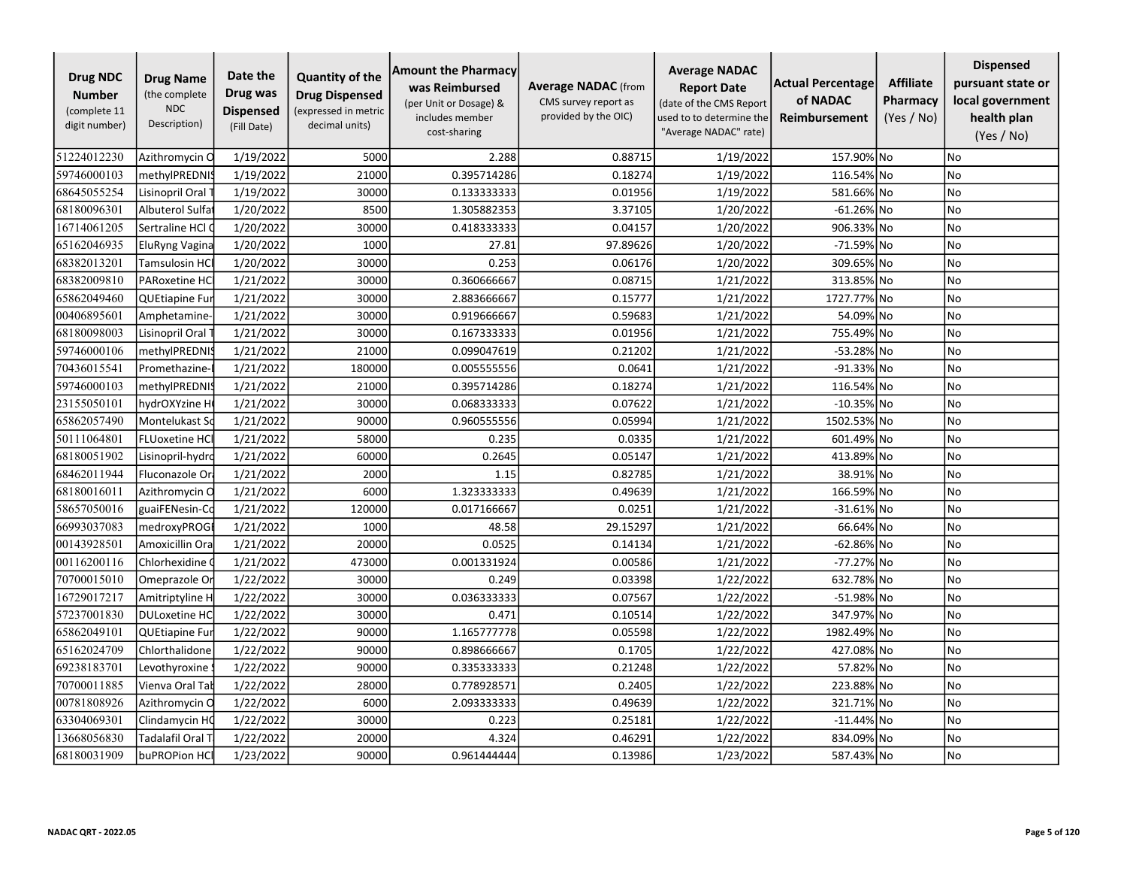| <b>Drug NDC</b><br><b>Number</b><br>(complete 11<br>digit number) | <b>Drug Name</b><br>(the complete<br><b>NDC</b><br>Description) | Date the<br>Drug was<br><b>Dispensed</b><br>(Fill Date) | <b>Quantity of the</b><br><b>Drug Dispensed</b><br>(expressed in metric<br>decimal units) | <b>Amount the Pharmacy</b><br>was Reimbursed<br>(per Unit or Dosage) &<br>includes member<br>cost-sharing | <b>Average NADAC</b> (from<br>CMS survey report as<br>provided by the OIC) | <b>Average NADAC</b><br><b>Report Date</b><br>(date of the CMS Report<br>used to to determine the<br>"Average NADAC" rate) | <b>Actual Percentage</b><br>of NADAC<br><b>Reimbursement</b> | <b>Affiliate</b><br>Pharmacy<br>(Yes / No) | <b>Dispensed</b><br>pursuant state or<br>local government<br>health plan<br>(Yes / No) |
|-------------------------------------------------------------------|-----------------------------------------------------------------|---------------------------------------------------------|-------------------------------------------------------------------------------------------|-----------------------------------------------------------------------------------------------------------|----------------------------------------------------------------------------|----------------------------------------------------------------------------------------------------------------------------|--------------------------------------------------------------|--------------------------------------------|----------------------------------------------------------------------------------------|
| 51224012230                                                       | Azithromycin C                                                  | 1/19/2022                                               | 5000                                                                                      | 2.288                                                                                                     | 0.88715                                                                    | 1/19/2022                                                                                                                  | 157.90% No                                                   |                                            | No                                                                                     |
| 59746000103                                                       | methylPREDNI:                                                   | 1/19/2022                                               | 21000                                                                                     | 0.395714286                                                                                               | 0.18274                                                                    | 1/19/2022                                                                                                                  | 116.54% No                                                   |                                            | No                                                                                     |
| 68645055254                                                       | Lisinopril Oral                                                 | 1/19/2022                                               | 30000                                                                                     | 0.133333333                                                                                               | 0.01956                                                                    | 1/19/2022                                                                                                                  | 581.66% No                                                   |                                            | No                                                                                     |
| 68180096301                                                       | Albuterol Sulfa                                                 | 1/20/2022                                               | 8500                                                                                      | 1.305882353                                                                                               | 3.37105                                                                    | 1/20/2022                                                                                                                  | $-61.26\%$ No                                                |                                            | No                                                                                     |
| 16714061205                                                       | Sertraline HCl O                                                | 1/20/2022                                               | 30000                                                                                     | 0.418333333                                                                                               | 0.04157                                                                    | 1/20/2022                                                                                                                  | 906.33% No                                                   |                                            | No                                                                                     |
| 65162046935                                                       | <b>EluRyng Vagina</b>                                           | 1/20/2022                                               | 1000                                                                                      | 27.81                                                                                                     | 97.89626                                                                   | 1/20/2022                                                                                                                  | -71.59% No                                                   |                                            | No                                                                                     |
| 68382013201                                                       | Tamsulosin HCl                                                  | 1/20/2022                                               | 30000                                                                                     | 0.253                                                                                                     | 0.06176                                                                    | 1/20/2022                                                                                                                  | 309.65% No                                                   |                                            | No                                                                                     |
| 68382009810                                                       | PARoxetine HC                                                   | 1/21/2022                                               | 30000                                                                                     | 0.360666667                                                                                               | 0.08715                                                                    | 1/21/2022                                                                                                                  | 313.85% No                                                   |                                            | No                                                                                     |
| 65862049460                                                       | QUEtiapine Fur                                                  | 1/21/2022                                               | 30000                                                                                     | 2.883666667                                                                                               | 0.15777                                                                    | 1/21/2022                                                                                                                  | 1727.77% No                                                  |                                            | No                                                                                     |
| 00406895601                                                       | Amphetamine-                                                    | 1/21/2022                                               | 30000                                                                                     | 0.919666667                                                                                               | 0.59683                                                                    | 1/21/2022                                                                                                                  | 54.09% No                                                    |                                            | No                                                                                     |
| 68180098003                                                       | Lisinopril Oral                                                 | 1/21/2022                                               | 30000                                                                                     | 0.167333333                                                                                               | 0.01956                                                                    | 1/21/2022                                                                                                                  | 755.49% No                                                   |                                            | No                                                                                     |
| 59746000106                                                       | methylPREDNI:                                                   | 1/21/2022                                               | 21000                                                                                     | 0.099047619                                                                                               | 0.21202                                                                    | 1/21/2022                                                                                                                  | -53.28% No                                                   |                                            | <b>No</b>                                                                              |
| 70436015541                                                       | Promethazine-                                                   | 1/21/2022                                               | 180000                                                                                    | 0.005555556                                                                                               | 0.0641                                                                     | 1/21/2022                                                                                                                  | $-91.33\%$ No                                                |                                            | <b>No</b>                                                                              |
| 59746000103                                                       | methylPREDNI:                                                   | 1/21/2022                                               | 21000                                                                                     | 0.395714286                                                                                               | 0.18274                                                                    | 1/21/2022                                                                                                                  | 116.54% No                                                   |                                            | No                                                                                     |
| 23155050101                                                       | hydrOXYzine H                                                   | 1/21/2022                                               | 30000                                                                                     | 0.068333333                                                                                               | 0.07622                                                                    | 1/21/2022                                                                                                                  | $-10.35\%$ No                                                |                                            | No                                                                                     |
| 65862057490                                                       | Montelukast So                                                  | 1/21/2022                                               | 90000                                                                                     | 0.960555556                                                                                               | 0.05994                                                                    | 1/21/2022                                                                                                                  | 1502.53% No                                                  |                                            | No                                                                                     |
| 50111064801                                                       | <b>FLUoxetine HC</b>                                            | 1/21/2022                                               | 58000                                                                                     | 0.235                                                                                                     | 0.0335                                                                     | 1/21/2022                                                                                                                  | 601.49% No                                                   |                                            | No                                                                                     |
| 68180051902                                                       | Lisinopril-hydro                                                | 1/21/2022                                               | 60000                                                                                     | 0.2645                                                                                                    | 0.05147                                                                    | 1/21/2022                                                                                                                  | 413.89% No                                                   |                                            | No                                                                                     |
| 68462011944                                                       | Fluconazole Or                                                  | 1/21/2022                                               | 2000                                                                                      | 1.15                                                                                                      | 0.82785                                                                    | 1/21/2022                                                                                                                  | 38.91% No                                                    |                                            | No                                                                                     |
| 68180016011                                                       | Azithromycin C                                                  | 1/21/2022                                               | 6000                                                                                      | 1.323333333                                                                                               | 0.49639                                                                    | 1/21/2022                                                                                                                  | 166.59% No                                                   |                                            | No                                                                                     |
| 58657050016                                                       | guaiFENesin-Co                                                  | 1/21/2022                                               | 120000                                                                                    | 0.017166667                                                                                               | 0.0251                                                                     | 1/21/2022                                                                                                                  | $-31.61\%$ No                                                |                                            | <b>No</b>                                                                              |
| 66993037083                                                       | medroxyPROG                                                     | 1/21/2022                                               | 1000                                                                                      | 48.58                                                                                                     | 29.15297                                                                   | 1/21/2022                                                                                                                  | 66.64% No                                                    |                                            | No                                                                                     |
| 00143928501                                                       | Amoxicillin Ora                                                 | 1/21/2022                                               | 20000                                                                                     | 0.0525                                                                                                    | 0.14134                                                                    | 1/21/2022                                                                                                                  | $-62.86\%$ No                                                |                                            | <b>No</b>                                                                              |
| 00116200116                                                       | Chlorhexidine (                                                 | 1/21/2022                                               | 473000                                                                                    | 0.001331924                                                                                               | 0.00586                                                                    | 1/21/2022                                                                                                                  | -77.27% No                                                   |                                            | No                                                                                     |
| 70700015010                                                       | Omeprazole Or                                                   | 1/22/2022                                               | 30000                                                                                     | 0.249                                                                                                     | 0.03398                                                                    | 1/22/2022                                                                                                                  | 632.78% No                                                   |                                            | <b>No</b>                                                                              |
| 16729017217                                                       | Amitriptyline H                                                 | 1/22/2022                                               | 30000                                                                                     | 0.036333333                                                                                               | 0.07567                                                                    | 1/22/2022                                                                                                                  | -51.98% No                                                   |                                            | No                                                                                     |
| 57237001830                                                       | <b>DULoxetine HC</b>                                            | 1/22/2022                                               | 30000                                                                                     | 0.471                                                                                                     | 0.10514                                                                    | 1/22/2022                                                                                                                  | 347.97% No                                                   |                                            | <b>No</b>                                                                              |
| 65862049101                                                       | QUEtiapine Fur                                                  | 1/22/2022                                               | 90000                                                                                     | 1.165777778                                                                                               | 0.05598                                                                    | 1/22/2022                                                                                                                  | 1982.49% No                                                  |                                            | No                                                                                     |
| 65162024709                                                       | Chlorthalidone                                                  | 1/22/2022                                               | 90000                                                                                     | 0.898666667                                                                                               | 0.1705                                                                     | 1/22/2022                                                                                                                  | 427.08% No                                                   |                                            | No                                                                                     |
| 69238183701                                                       | Levothyroxine                                                   | 1/22/2022                                               | 90000                                                                                     | 0.335333333                                                                                               | 0.21248                                                                    | 1/22/2022                                                                                                                  | 57.82% No                                                    |                                            | <b>No</b>                                                                              |
| 70700011885                                                       | Vienva Oral Tal                                                 | 1/22/2022                                               | 28000                                                                                     | 0.778928571                                                                                               | 0.2405                                                                     | 1/22/2022                                                                                                                  | 223.88% No                                                   |                                            | No                                                                                     |
| 00781808926                                                       | Azithromycin C                                                  | 1/22/2022                                               | 6000                                                                                      | 2.093333333                                                                                               | 0.49639                                                                    | 1/22/2022                                                                                                                  | 321.71% No                                                   |                                            | <b>No</b>                                                                              |
| 63304069301                                                       | Clindamycin HC                                                  | 1/22/2022                                               | 30000                                                                                     | 0.223                                                                                                     | 0.25181                                                                    | 1/22/2022                                                                                                                  | $-11.44\%$ No                                                |                                            | No                                                                                     |
| 13668056830                                                       | Tadalafil Oral T                                                | 1/22/2022                                               | 20000                                                                                     | 4.324                                                                                                     | 0.46291                                                                    | 1/22/2022                                                                                                                  | 834.09% No                                                   |                                            | No                                                                                     |
| 68180031909                                                       | buPROPion HCl                                                   | 1/23/2022                                               | 90000                                                                                     | 0.961444444                                                                                               | 0.13986                                                                    | 1/23/2022                                                                                                                  | 587.43% No                                                   |                                            | No                                                                                     |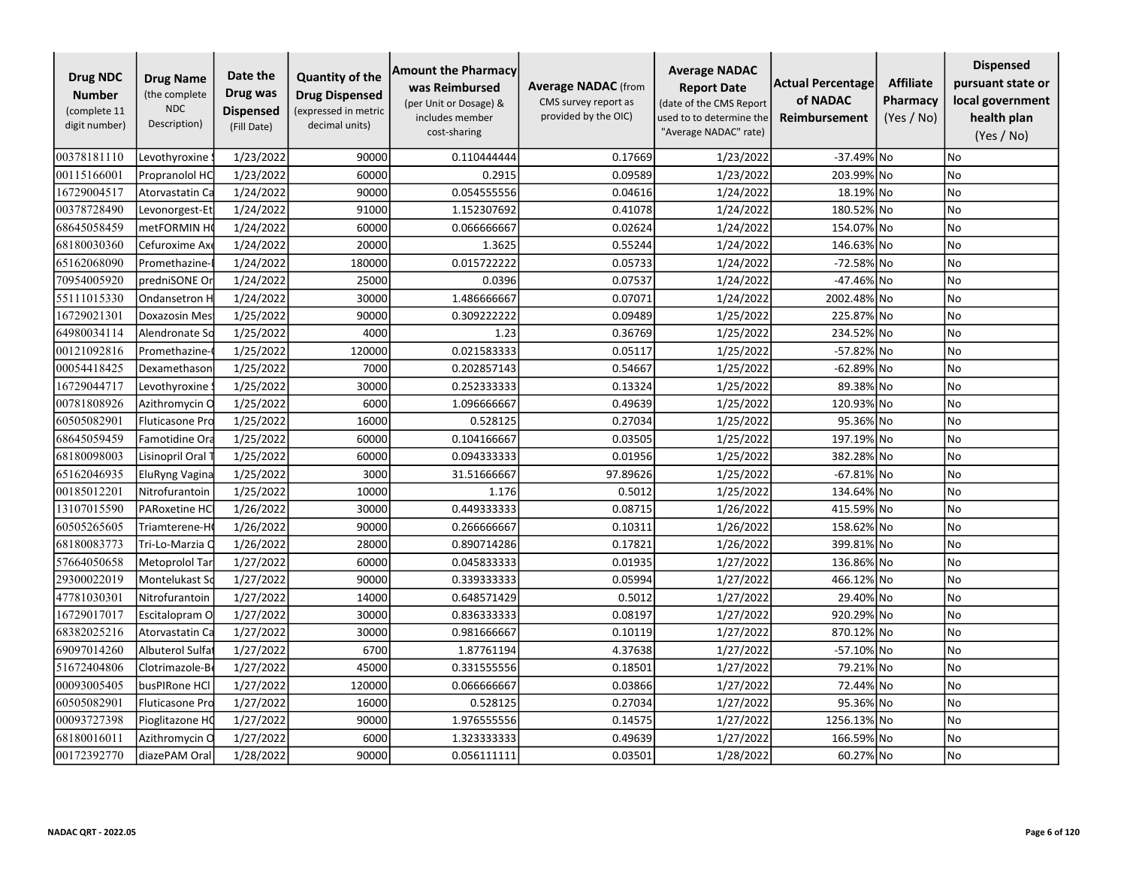| <b>Drug NDC</b><br><b>Number</b><br>(complete 11<br>digit number) | <b>Drug Name</b><br>(the complete<br><b>NDC</b><br>Description) | Date the<br>Drug was<br><b>Dispensed</b><br>(Fill Date) | <b>Quantity of the</b><br><b>Drug Dispensed</b><br>(expressed in metric<br>decimal units) | <b>Amount the Pharmacy</b><br>was Reimbursed<br>(per Unit or Dosage) &<br>includes member<br>cost-sharing | <b>Average NADAC</b> (from<br>CMS survey report as<br>provided by the OIC) | <b>Average NADAC</b><br><b>Report Date</b><br>(date of the CMS Report<br>used to to determine the<br>"Average NADAC" rate) | <b>Actual Percentage</b><br>of NADAC<br><b>Reimbursement</b> | <b>Affiliate</b><br>Pharmacy<br>(Yes / No) | <b>Dispensed</b><br>pursuant state or<br>local government<br>health plan<br>(Yes / No) |
|-------------------------------------------------------------------|-----------------------------------------------------------------|---------------------------------------------------------|-------------------------------------------------------------------------------------------|-----------------------------------------------------------------------------------------------------------|----------------------------------------------------------------------------|----------------------------------------------------------------------------------------------------------------------------|--------------------------------------------------------------|--------------------------------------------|----------------------------------------------------------------------------------------|
| 00378181110                                                       | Levothyroxine                                                   | 1/23/2022                                               | 90000                                                                                     | 0.110444444                                                                                               | 0.17669                                                                    | 1/23/2022                                                                                                                  | -37.49% No                                                   |                                            | No                                                                                     |
| 00115166001                                                       | Propranolol HC                                                  | 1/23/2022                                               | 60000                                                                                     | 0.2915                                                                                                    | 0.09589                                                                    | 1/23/2022                                                                                                                  | 203.99% No                                                   |                                            | No                                                                                     |
| 16729004517                                                       | Atorvastatin Ca                                                 | 1/24/2022                                               | 90000                                                                                     | 0.054555556                                                                                               | 0.04616                                                                    | 1/24/2022                                                                                                                  | 18.19% No                                                    |                                            | No                                                                                     |
| 00378728490                                                       | Levonorgest-Et                                                  | 1/24/2022                                               | 91000                                                                                     | 1.152307692                                                                                               | 0.41078                                                                    | 1/24/2022                                                                                                                  | 180.52% No                                                   |                                            | No                                                                                     |
| 68645058459                                                       | metFORMIN H                                                     | 1/24/2022                                               | 60000                                                                                     | 0.066666667                                                                                               | 0.02624                                                                    | 1/24/2022                                                                                                                  | 154.07% No                                                   |                                            | No                                                                                     |
| 68180030360                                                       | Cefuroxime Ax                                                   | 1/24/2022                                               | 20000                                                                                     | 1.3625                                                                                                    | 0.55244                                                                    | 1/24/2022                                                                                                                  | 146.63% No                                                   |                                            | <b>No</b>                                                                              |
| 65162068090                                                       | Promethazine-                                                   | 1/24/2022                                               | 180000                                                                                    | 0.015722222                                                                                               | 0.05733                                                                    | 1/24/2022                                                                                                                  | -72.58% No                                                   |                                            | No                                                                                     |
| 70954005920                                                       | predniSONE Or                                                   | 1/24/2022                                               | 25000                                                                                     | 0.0396                                                                                                    | 0.07537                                                                    | 1/24/2022                                                                                                                  | -47.46% No                                                   |                                            | No                                                                                     |
| 55111015330                                                       | Ondansetron H                                                   | 1/24/2022                                               | 30000                                                                                     | 1.486666667                                                                                               | 0.07071                                                                    | 1/24/2022                                                                                                                  | 2002.48% No                                                  |                                            | No                                                                                     |
| 16729021301                                                       | Doxazosin Mes                                                   | 1/25/2022                                               | 90000                                                                                     | 0.309222222                                                                                               | 0.09489                                                                    | 1/25/2022                                                                                                                  | 225.87% No                                                   |                                            | No                                                                                     |
| 64980034114                                                       | Alendronate Sc                                                  | 1/25/2022                                               | 4000                                                                                      | 1.23                                                                                                      | 0.36769                                                                    | 1/25/2022                                                                                                                  | 234.52% No                                                   |                                            | No                                                                                     |
| 00121092816                                                       | Promethazine-                                                   | 1/25/2022                                               | 120000                                                                                    | 0.021583333                                                                                               | 0.05117                                                                    | 1/25/2022                                                                                                                  | -57.82% No                                                   |                                            | <b>No</b>                                                                              |
| 00054418425                                                       | Dexamethason                                                    | 1/25/2022                                               | 7000                                                                                      | 0.202857143                                                                                               | 0.54667                                                                    | 1/25/2022                                                                                                                  | -62.89% No                                                   |                                            | No                                                                                     |
| 16729044717                                                       | Levothyroxine                                                   | 1/25/2022                                               | 30000                                                                                     | 0.252333333                                                                                               | 0.13324                                                                    | 1/25/2022                                                                                                                  | 89.38% No                                                    |                                            | <b>No</b>                                                                              |
| 00781808926                                                       | Azithromycin O                                                  | 1/25/2022                                               | 6000                                                                                      | 1.096666667                                                                                               | 0.49639                                                                    | 1/25/2022                                                                                                                  | 120.93% No                                                   |                                            | No                                                                                     |
| 60505082901                                                       | <b>Fluticasone Pro</b>                                          | 1/25/2022                                               | 16000                                                                                     | 0.528125                                                                                                  | 0.27034                                                                    | 1/25/2022                                                                                                                  | 95.36% No                                                    |                                            | No                                                                                     |
| 68645059459                                                       | Famotidine Ora                                                  | 1/25/2022                                               | 60000                                                                                     | 0.104166667                                                                                               | 0.03505                                                                    | 1/25/2022                                                                                                                  | 197.19% No                                                   |                                            | No                                                                                     |
| 68180098003                                                       | Lisinopril Oral                                                 | 1/25/2022                                               | 60000                                                                                     | 0.094333333                                                                                               | 0.01956                                                                    | 1/25/2022                                                                                                                  | 382.28% No                                                   |                                            | No                                                                                     |
| 65162046935                                                       | EluRyng Vagina                                                  | 1/25/2022                                               | 3000                                                                                      | 31.51666667                                                                                               | 97.89626                                                                   | 1/25/2022                                                                                                                  | $-67.81\%$ No                                                |                                            | No                                                                                     |
| 00185012201                                                       | Nitrofurantoin                                                  | 1/25/2022                                               | 10000                                                                                     | 1.176                                                                                                     | 0.5012                                                                     | 1/25/2022                                                                                                                  | 134.64% No                                                   |                                            | No                                                                                     |
| 13107015590                                                       | PARoxetine HC                                                   | 1/26/2022                                               | 30000                                                                                     | 0.449333333                                                                                               | 0.08715                                                                    | 1/26/2022                                                                                                                  | 415.59% No                                                   |                                            | No                                                                                     |
| 60505265605                                                       | Triamterene-H                                                   | 1/26/2022                                               | 90000                                                                                     | 0.266666667                                                                                               | 0.10311                                                                    | 1/26/2022                                                                                                                  | 158.62% No                                                   |                                            | No                                                                                     |
| 68180083773                                                       | Tri-Lo-Marzia C                                                 | 1/26/2022                                               | 28000                                                                                     | 0.890714286                                                                                               | 0.17821                                                                    | 1/26/2022                                                                                                                  | 399.81% No                                                   |                                            | No                                                                                     |
| 57664050658                                                       | Metoprolol Tar                                                  | 1/27/2022                                               | 60000                                                                                     | 0.045833333                                                                                               | 0.01935                                                                    | 1/27/2022                                                                                                                  | 136.86% No                                                   |                                            | No                                                                                     |
| 29300022019                                                       | Montelukast So                                                  | 1/27/2022                                               | 90000                                                                                     | 0.339333333                                                                                               | 0.05994                                                                    | 1/27/2022                                                                                                                  | 466.12% No                                                   |                                            | No                                                                                     |
| 47781030301                                                       | Nitrofurantoin                                                  | 1/27/2022                                               | 14000                                                                                     | 0.648571429                                                                                               | 0.5012                                                                     | 1/27/2022                                                                                                                  | 29.40% No                                                    |                                            | No                                                                                     |
| 16729017017                                                       | Escitalopram O                                                  | 1/27/2022                                               | 30000                                                                                     | 0.836333333                                                                                               | 0.08197                                                                    | 1/27/2022                                                                                                                  | 920.29% No                                                   |                                            | N <sub>o</sub>                                                                         |
| 68382025216                                                       | Atorvastatin Ca                                                 | 1/27/2022                                               | 30000                                                                                     | 0.981666667                                                                                               | 0.10119                                                                    | 1/27/2022                                                                                                                  | 870.12% No                                                   |                                            | No                                                                                     |
| 69097014260                                                       | Albuterol Sulfa                                                 | 1/27/2022                                               | 6700                                                                                      | 1.87761194                                                                                                | 4.37638                                                                    | 1/27/2022                                                                                                                  | -57.10% No                                                   |                                            | No                                                                                     |
| 51672404806                                                       | Clotrimazole-B                                                  | 1/27/2022                                               | 45000                                                                                     | 0.331555556                                                                                               | 0.18501                                                                    | 1/27/2022                                                                                                                  | 79.21% No                                                    |                                            | <b>No</b>                                                                              |
| 00093005405                                                       | busPIRone HCl                                                   | 1/27/2022                                               | 120000                                                                                    | 0.066666667                                                                                               | 0.03866                                                                    | 1/27/2022                                                                                                                  | 72.44% No                                                    |                                            | No                                                                                     |
| 60505082901                                                       | <b>Fluticasone Pro</b>                                          | 1/27/2022                                               | 16000                                                                                     | 0.528125                                                                                                  | 0.27034                                                                    | 1/27/2022                                                                                                                  | 95.36% No                                                    |                                            | <b>No</b>                                                                              |
| 00093727398                                                       | Pioglitazone HO                                                 | 1/27/2022                                               | 90000                                                                                     | 1.976555556                                                                                               | 0.14575                                                                    | 1/27/2022                                                                                                                  | 1256.13% No                                                  |                                            | No                                                                                     |
| 68180016011                                                       | Azithromycin C                                                  | 1/27/2022                                               | 6000                                                                                      | 1.323333333                                                                                               | 0.49639                                                                    | 1/27/2022                                                                                                                  | 166.59% No                                                   |                                            | No                                                                                     |
| 00172392770                                                       | diazePAM Oral                                                   | 1/28/2022                                               | 90000                                                                                     | 0.056111111                                                                                               | 0.03501                                                                    | 1/28/2022                                                                                                                  | 60.27% No                                                    |                                            | No                                                                                     |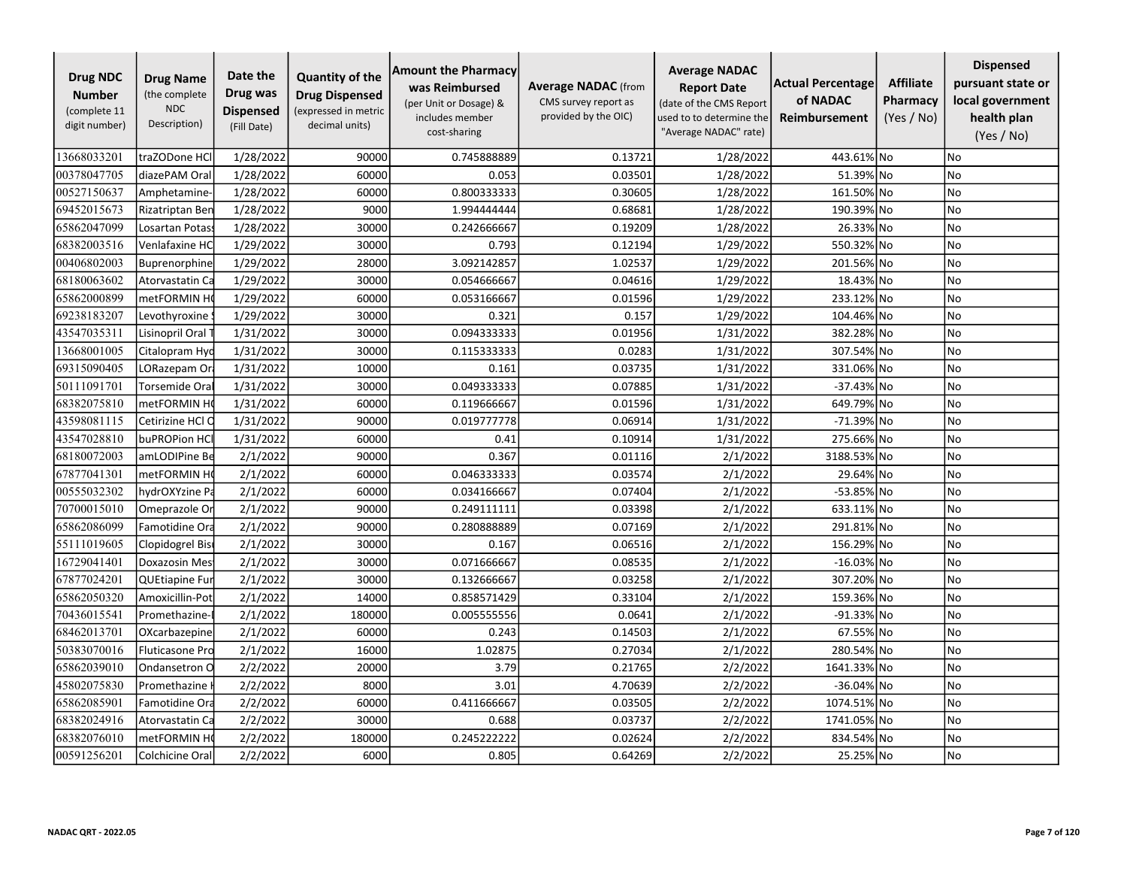| <b>Drug NDC</b><br><b>Number</b><br>(complete 11<br>digit number) | <b>Drug Name</b><br>(the complete<br><b>NDC</b><br>Description) | Date the<br>Drug was<br><b>Dispensed</b><br>(Fill Date) | <b>Quantity of the</b><br><b>Drug Dispensed</b><br>(expressed in metric<br>decimal units) | <b>Amount the Pharmacy</b><br>was Reimbursed<br>(per Unit or Dosage) &<br>includes member<br>cost-sharing | <b>Average NADAC</b> (from<br>CMS survey report as<br>provided by the OIC) | <b>Average NADAC</b><br><b>Report Date</b><br>(date of the CMS Report<br>used to to determine the<br>"Average NADAC" rate) | <b>Actual Percentage</b><br>of NADAC<br><b>Reimbursement</b> | <b>Affiliate</b><br>Pharmacy<br>(Yes / No) | <b>Dispensed</b><br>pursuant state or<br>local government<br>health plan<br>(Yes / No) |
|-------------------------------------------------------------------|-----------------------------------------------------------------|---------------------------------------------------------|-------------------------------------------------------------------------------------------|-----------------------------------------------------------------------------------------------------------|----------------------------------------------------------------------------|----------------------------------------------------------------------------------------------------------------------------|--------------------------------------------------------------|--------------------------------------------|----------------------------------------------------------------------------------------|
| 13668033201                                                       | traZODone HCl                                                   | 1/28/2022                                               | 90000                                                                                     | 0.745888889                                                                                               | 0.13721                                                                    | 1/28/2022                                                                                                                  | 443.61% No                                                   |                                            | No                                                                                     |
| 00378047705                                                       | diazePAM Oral                                                   | 1/28/2022                                               | 60000                                                                                     | 0.053                                                                                                     | 0.03501                                                                    | 1/28/2022                                                                                                                  | 51.39% No                                                    |                                            | No                                                                                     |
| 00527150637                                                       | Amphetamine-                                                    | 1/28/2022                                               | 60000                                                                                     | 0.800333333                                                                                               | 0.30605                                                                    | 1/28/2022                                                                                                                  | 161.50% No                                                   |                                            | No                                                                                     |
| 69452015673                                                       | Rizatriptan Ben                                                 | 1/28/2022                                               | 9000                                                                                      | 1.994444444                                                                                               | 0.68681                                                                    | 1/28/2022                                                                                                                  | 190.39% No                                                   |                                            | No                                                                                     |
| 65862047099                                                       | Losartan Potas                                                  | 1/28/2022                                               | 30000                                                                                     | 0.242666667                                                                                               | 0.19209                                                                    | 1/28/2022                                                                                                                  | 26.33% No                                                    |                                            | <b>No</b>                                                                              |
| 68382003516                                                       | Venlafaxine HC                                                  | 1/29/2022                                               | 30000                                                                                     | 0.793                                                                                                     | 0.12194                                                                    | 1/29/2022                                                                                                                  | 550.32% No                                                   |                                            | <b>No</b>                                                                              |
| 00406802003                                                       | Buprenorphine                                                   | 1/29/2022                                               | 28000                                                                                     | 3.092142857                                                                                               | 1.02537                                                                    | 1/29/2022                                                                                                                  | 201.56% No                                                   |                                            | No                                                                                     |
| 68180063602                                                       | Atorvastatin Ca                                                 | 1/29/2022                                               | 30000                                                                                     | 0.054666667                                                                                               | 0.04616                                                                    | 1/29/2022                                                                                                                  | 18.43% No                                                    |                                            | No                                                                                     |
| 65862000899                                                       | metFORMIN H                                                     | 1/29/2022                                               | 60000                                                                                     | 0.053166667                                                                                               | 0.01596                                                                    | 1/29/2022                                                                                                                  | 233.12% No                                                   |                                            | No                                                                                     |
| 69238183207                                                       | Levothyroxine                                                   | 1/29/2022                                               | 30000                                                                                     | 0.321                                                                                                     | 0.157                                                                      | 1/29/2022                                                                                                                  | 104.46% No                                                   |                                            | No                                                                                     |
| 43547035311                                                       | Lisinopril Oral                                                 | 1/31/2022                                               | 30000                                                                                     | 0.094333333                                                                                               | 0.01956                                                                    | 1/31/2022                                                                                                                  | 382.28% No                                                   |                                            | No                                                                                     |
| 13668001005                                                       | Citalopram Hyd                                                  | 1/31/2022                                               | 30000                                                                                     | 0.115333333                                                                                               | 0.0283                                                                     | 1/31/2022                                                                                                                  | 307.54% No                                                   |                                            | No                                                                                     |
| 69315090405                                                       | LORazepam Or                                                    | 1/31/2022                                               | 10000                                                                                     | 0.161                                                                                                     | 0.03735                                                                    | 1/31/2022                                                                                                                  | 331.06% No                                                   |                                            | No                                                                                     |
| 50111091701                                                       | Torsemide Ora                                                   | 1/31/2022                                               | 30000                                                                                     | 0.049333333                                                                                               | 0.07885                                                                    | 1/31/2022                                                                                                                  | -37.43% No                                                   |                                            | <b>No</b>                                                                              |
| 68382075810                                                       | metFORMIN H                                                     | 1/31/2022                                               | 60000                                                                                     | 0.119666667                                                                                               | 0.01596                                                                    | 1/31/2022                                                                                                                  | 649.79% No                                                   |                                            | No                                                                                     |
| 43598081115                                                       | Cetirizine HCl C                                                | 1/31/2022                                               | 90000                                                                                     | 0.019777778                                                                                               | 0.06914                                                                    | 1/31/2022                                                                                                                  | $-71.39%$ No                                                 |                                            | No                                                                                     |
| 43547028810                                                       | buPROPion HC                                                    | 1/31/2022                                               | 60000                                                                                     | 0.41                                                                                                      | 0.10914                                                                    | 1/31/2022                                                                                                                  | 275.66% No                                                   |                                            | <b>No</b>                                                                              |
| 68180072003                                                       | amLODIPine Be                                                   | 2/1/2022                                                | 90000                                                                                     | 0.367                                                                                                     | 0.01116                                                                    | 2/1/2022                                                                                                                   | 3188.53% No                                                  |                                            | No                                                                                     |
| 67877041301                                                       | metFORMIN H                                                     | 2/1/2022                                                | 60000                                                                                     | 0.046333333                                                                                               | 0.03574                                                                    | 2/1/2022                                                                                                                   | 29.64% No                                                    |                                            | No                                                                                     |
| 00555032302                                                       | hydrOXYzine Pa                                                  | 2/1/2022                                                | 60000                                                                                     | 0.034166667                                                                                               | 0.07404                                                                    | 2/1/2022                                                                                                                   | -53.85% No                                                   |                                            | No                                                                                     |
| 70700015010                                                       | Omeprazole Or                                                   | 2/1/2022                                                | 90000                                                                                     | 0.249111111                                                                                               | 0.03398                                                                    | 2/1/2022                                                                                                                   | 633.11% No                                                   |                                            | No                                                                                     |
| 65862086099                                                       | Famotidine Ora                                                  | 2/1/2022                                                | 90000                                                                                     | 0.280888889                                                                                               | 0.07169                                                                    | 2/1/2022                                                                                                                   | 291.81% No                                                   |                                            | No                                                                                     |
| 55111019605                                                       | Clopidogrel Bis                                                 | 2/1/2022                                                | 30000                                                                                     | 0.167                                                                                                     | 0.06516                                                                    | 2/1/2022                                                                                                                   | 156.29% No                                                   |                                            | No                                                                                     |
| 16729041401                                                       | Doxazosin Mes                                                   | 2/1/2022                                                | 30000                                                                                     | 0.071666667                                                                                               | 0.08535                                                                    | 2/1/2022                                                                                                                   | $-16.03\%$ No                                                |                                            | No                                                                                     |
| 67877024201                                                       | <b>QUEtiapine Fur</b>                                           | 2/1/2022                                                | 30000                                                                                     | 0.132666667                                                                                               | 0.03258                                                                    | 2/1/2022                                                                                                                   | 307.20% No                                                   |                                            | No                                                                                     |
| 65862050320                                                       | Amoxicillin-Pot                                                 | 2/1/2022                                                | 14000                                                                                     | 0.858571429                                                                                               | 0.33104                                                                    | 2/1/2022                                                                                                                   | 159.36% No                                                   |                                            | No                                                                                     |
| 70436015541                                                       | Promethazine-                                                   | 2/1/2022                                                | 180000                                                                                    | 0.005555556                                                                                               | 0.0641                                                                     | 2/1/2022                                                                                                                   | -91.33% No                                                   |                                            | <b>No</b>                                                                              |
| 68462013701                                                       | OXcarbazepine                                                   | 2/1/2022                                                | 60000                                                                                     | 0.243                                                                                                     | 0.14503                                                                    | 2/1/2022                                                                                                                   | 67.55% No                                                    |                                            | No                                                                                     |
| 50383070016                                                       | Fluticasone Pro                                                 | 2/1/2022                                                | 16000                                                                                     | 1.02875                                                                                                   | 0.27034                                                                    | 2/1/2022                                                                                                                   | 280.54% No                                                   |                                            | No                                                                                     |
| 65862039010                                                       | Ondansetron O                                                   | 2/2/2022                                                | 20000                                                                                     | 3.79                                                                                                      | 0.21765                                                                    | 2/2/2022                                                                                                                   | 1641.33%                                                     | 1No                                        | <b>No</b>                                                                              |
| 45802075830                                                       | Promethazine                                                    | 2/2/2022                                                | 8000                                                                                      | 3.01                                                                                                      | 4.70639                                                                    | 2/2/2022                                                                                                                   | $-36.04\%$ No                                                |                                            | No                                                                                     |
| 65862085901                                                       | Famotidine Ora                                                  | 2/2/2022                                                | 60000                                                                                     | 0.411666667                                                                                               | 0.03505                                                                    | 2/2/2022                                                                                                                   | 1074.51% No                                                  |                                            | No                                                                                     |
| 68382024916                                                       | Atorvastatin Ca                                                 | 2/2/2022                                                | 30000                                                                                     | 0.688                                                                                                     | 0.03737                                                                    | 2/2/2022                                                                                                                   | 1741.05% No                                                  |                                            | No                                                                                     |
| 68382076010                                                       | metFORMIN H                                                     | 2/2/2022                                                | 180000                                                                                    | 0.245222222                                                                                               | 0.02624                                                                    | 2/2/2022                                                                                                                   | 834.54% No                                                   |                                            | No                                                                                     |
| 00591256201                                                       | Colchicine Oral                                                 | 2/2/2022                                                | 6000                                                                                      | 0.805                                                                                                     | 0.64269                                                                    | 2/2/2022                                                                                                                   | 25.25% No                                                    |                                            | No                                                                                     |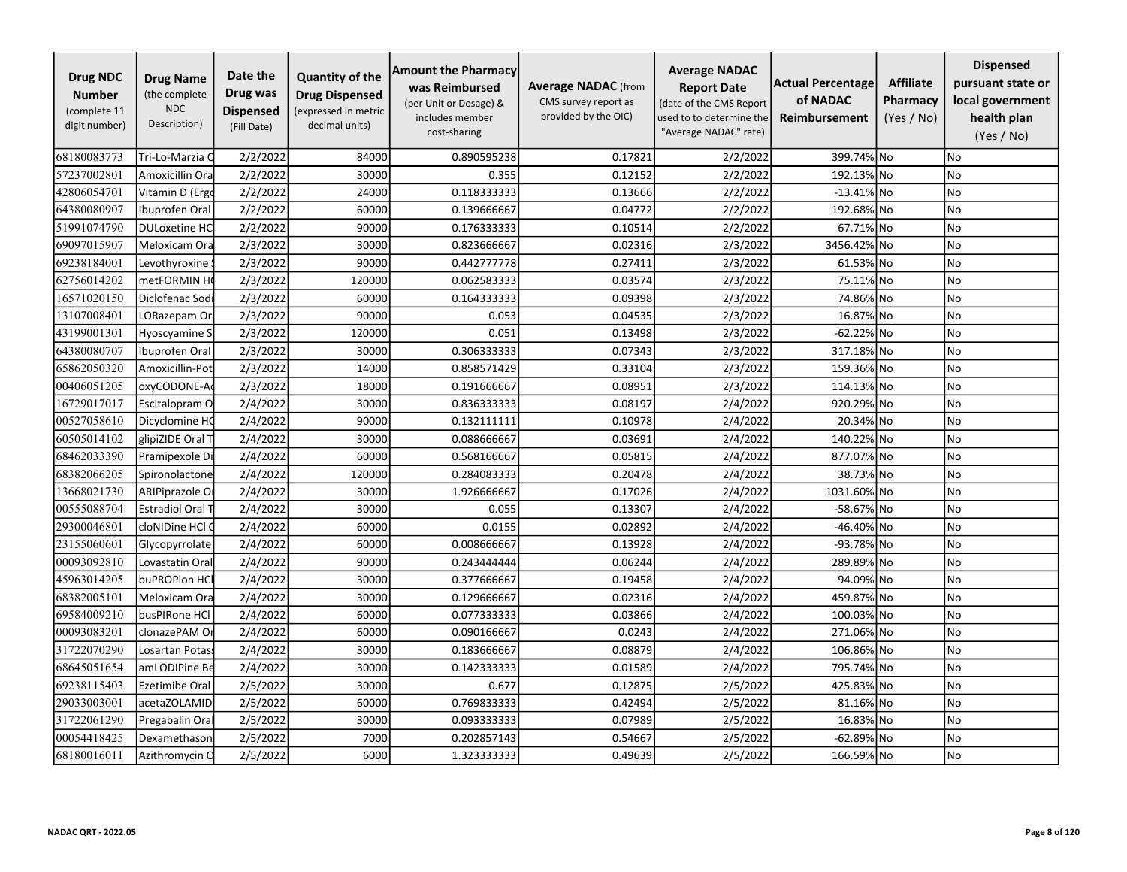| <b>Drug NDC</b><br><b>Number</b><br>(complete 11<br>digit number) | <b>Drug Name</b><br>(the complete<br><b>NDC</b><br>Description) | Date the<br>Drug was<br><b>Dispensed</b><br>(Fill Date) | <b>Quantity of the</b><br><b>Drug Dispensed</b><br>(expressed in metric<br>decimal units) | <b>Amount the Pharmacy</b><br>was Reimbursed<br>(per Unit or Dosage) &<br>includes member<br>cost-sharing | <b>Average NADAC</b> (from<br>CMS survey report as<br>provided by the OIC) | <b>Average NADAC</b><br><b>Report Date</b><br>(date of the CMS Report<br>used to to determine the<br>"Average NADAC" rate) | Actual Percentage<br>of NADAC<br><b>Reimbursement</b> | <b>Affiliate</b><br>Pharmacy<br>(Yes / No) | <b>Dispensed</b><br>pursuant state or<br>local government<br>health plan<br>(Yes / No) |
|-------------------------------------------------------------------|-----------------------------------------------------------------|---------------------------------------------------------|-------------------------------------------------------------------------------------------|-----------------------------------------------------------------------------------------------------------|----------------------------------------------------------------------------|----------------------------------------------------------------------------------------------------------------------------|-------------------------------------------------------|--------------------------------------------|----------------------------------------------------------------------------------------|
| 68180083773                                                       | Tri-Lo-Marzia C                                                 | 2/2/2022                                                | 84000                                                                                     | 0.890595238                                                                                               | 0.17821                                                                    | 2/2/2022                                                                                                                   | 399.74% No                                            |                                            | No                                                                                     |
| 57237002801                                                       | Amoxicillin Ora                                                 | 2/2/2022                                                | 30000                                                                                     | 0.355                                                                                                     | 0.12152                                                                    | 2/2/2022                                                                                                                   | 192.13% No                                            |                                            | No                                                                                     |
| 42806054701                                                       | Vitamin D (Ergo                                                 | 2/2/2022                                                | 24000                                                                                     | 0.118333333                                                                                               | 0.13666                                                                    | 2/2/2022                                                                                                                   | $-13.41\%$ No                                         |                                            | No                                                                                     |
| 64380080907                                                       | Ibuprofen Oral                                                  | 2/2/2022                                                | 60000                                                                                     | 0.139666667                                                                                               | 0.04772                                                                    | 2/2/2022                                                                                                                   | 192.68% No                                            |                                            | No                                                                                     |
| 51991074790                                                       | <b>DULoxetine HC</b>                                            | 2/2/2022                                                | 90000                                                                                     | 0.176333333                                                                                               | 0.10514                                                                    | 2/2/2022                                                                                                                   | 67.71% No                                             |                                            | No                                                                                     |
| 69097015907                                                       | Meloxicam Ora                                                   | 2/3/2022                                                | 30000                                                                                     | 0.823666667                                                                                               | 0.02316                                                                    | 2/3/2022                                                                                                                   | 3456.42% No                                           |                                            | No                                                                                     |
| 69238184001                                                       | Levothyroxine                                                   | 2/3/2022                                                | 90000                                                                                     | 0.442777778                                                                                               | 0.27411                                                                    | 2/3/2022                                                                                                                   | 61.53% No                                             |                                            | No                                                                                     |
| 62756014202                                                       | metFORMIN H                                                     | 2/3/2022                                                | 120000                                                                                    | 0.062583333                                                                                               | 0.03574                                                                    | 2/3/2022                                                                                                                   | 75.11% No                                             |                                            | No                                                                                     |
| 16571020150                                                       | Diclofenac Sodi                                                 | 2/3/2022                                                | 60000                                                                                     | 0.164333333                                                                                               | 0.09398                                                                    | 2/3/2022                                                                                                                   | 74.86% No                                             |                                            | No                                                                                     |
| 13107008401                                                       | LORazepam Or                                                    | 2/3/2022                                                | 90000                                                                                     | 0.053                                                                                                     | 0.04535                                                                    | 2/3/2022                                                                                                                   | 16.87% No                                             |                                            | No                                                                                     |
| 43199001301                                                       | Hyoscyamine S                                                   | 2/3/2022                                                | 120000                                                                                    | 0.051                                                                                                     | 0.13498                                                                    | 2/3/2022                                                                                                                   | -62.22% No                                            |                                            | No                                                                                     |
| 64380080707                                                       | Ibuprofen Oral                                                  | 2/3/2022                                                | 30000                                                                                     | 0.306333333                                                                                               | 0.07343                                                                    | 2/3/2022                                                                                                                   | 317.18% No                                            |                                            | No                                                                                     |
| 65862050320                                                       | Amoxicillin-Pot                                                 | 2/3/2022                                                | 14000                                                                                     | 0.858571429                                                                                               | 0.33104                                                                    | 2/3/2022                                                                                                                   | 159.36% No                                            |                                            | No                                                                                     |
| 00406051205                                                       | oxyCODONE-Ao                                                    | 2/3/2022                                                | 18000                                                                                     | 0.191666667                                                                                               | 0.08951                                                                    | 2/3/2022                                                                                                                   | 114.13% No                                            |                                            | No                                                                                     |
| 16729017017                                                       | Escitalopram O                                                  | 2/4/2022                                                | 30000                                                                                     | 0.836333333                                                                                               | 0.08197                                                                    | 2/4/2022                                                                                                                   | 920.29% No                                            |                                            | No                                                                                     |
| 00527058610                                                       | Dicyclomine HQ                                                  | 2/4/2022                                                | 90000                                                                                     | 0.132111111                                                                                               | 0.10978                                                                    | 2/4/2022                                                                                                                   | 20.34% No                                             |                                            | No                                                                                     |
| 60505014102                                                       | glipiZIDE Oral T                                                | 2/4/2022                                                | 30000                                                                                     | 0.088666667                                                                                               | 0.03691                                                                    | 2/4/2022                                                                                                                   | 140.22% No                                            |                                            | No                                                                                     |
| 68462033390                                                       | Pramipexole Di                                                  | 2/4/2022                                                | 60000                                                                                     | 0.568166667                                                                                               | 0.05815                                                                    | 2/4/2022                                                                                                                   | 877.07% No                                            |                                            | No                                                                                     |
| 68382066205                                                       | Spironolactone                                                  | 2/4/2022                                                | 120000                                                                                    | 0.284083333                                                                                               | 0.20478                                                                    | 2/4/2022                                                                                                                   | 38.73% No                                             |                                            | <b>No</b>                                                                              |
| 13668021730                                                       | <b>ARIPiprazole O</b>                                           | 2/4/2022                                                | 30000                                                                                     | 1.926666667                                                                                               | 0.17026                                                                    | 2/4/2022                                                                                                                   | 1031.60% No                                           |                                            | No                                                                                     |
| 00555088704                                                       | <b>Estradiol Oral T</b>                                         | 2/4/2022                                                | 30000                                                                                     | 0.055                                                                                                     | 0.13307                                                                    | 2/4/2022                                                                                                                   | -58.67% No                                            |                                            | No                                                                                     |
| 29300046801                                                       | cloNIDine HCl C                                                 | 2/4/2022                                                | 60000                                                                                     | 0.0155                                                                                                    | 0.02892                                                                    | 2/4/2022                                                                                                                   | -46.40% No                                            |                                            | No                                                                                     |
| 23155060601                                                       | Glycopyrrolate                                                  | 2/4/2022                                                | 60000                                                                                     | 0.008666667                                                                                               | 0.13928                                                                    | 2/4/2022                                                                                                                   | -93.78% No                                            |                                            | No                                                                                     |
| 00093092810                                                       | Lovastatin Ora                                                  | 2/4/2022                                                | 90000                                                                                     | 0.243444444                                                                                               | 0.06244                                                                    | 2/4/2022                                                                                                                   | 289.89% No                                            |                                            | No                                                                                     |
| 45963014205                                                       | buPROPion HCl                                                   | 2/4/2022                                                | 30000                                                                                     | 0.377666667                                                                                               | 0.19458                                                                    | 2/4/2022                                                                                                                   | 94.09% No                                             |                                            | No                                                                                     |
| 68382005101                                                       | Meloxicam Ora                                                   | 2/4/2022                                                | 30000                                                                                     | 0.129666667                                                                                               | 0.02316                                                                    | 2/4/2022                                                                                                                   | 459.87% No                                            |                                            | No                                                                                     |
| 69584009210                                                       | busPIRone HCl                                                   | 2/4/2022                                                | 60000                                                                                     | 0.077333333                                                                                               | 0.03866                                                                    | 2/4/2022                                                                                                                   | 100.03% No                                            |                                            | No                                                                                     |
| 00093083201                                                       | clonazePAM O                                                    | 2/4/2022                                                | 60000                                                                                     | 0.090166667                                                                                               | 0.0243                                                                     | 2/4/2022                                                                                                                   | 271.06% No                                            |                                            | No                                                                                     |
| 31722070290                                                       | Losartan Potas:                                                 | 2/4/2022                                                | 30000                                                                                     | 0.183666667                                                                                               | 0.08879                                                                    | 2/4/2022                                                                                                                   | 106.86% No                                            |                                            | No                                                                                     |
| 68645051654                                                       | amLODIPine Be                                                   | 2/4/2022                                                | 30000                                                                                     | 0.142333333                                                                                               | 0.01589                                                                    | 2/4/2022                                                                                                                   | 795.74% No                                            |                                            | No                                                                                     |
| 69238115403                                                       | <b>Ezetimibe Oral</b>                                           | 2/5/2022                                                | 30000                                                                                     | 0.677                                                                                                     | 0.12875                                                                    | 2/5/2022                                                                                                                   | 425.83% No                                            |                                            | No                                                                                     |
| 29033003001                                                       | acetaZOLAMID                                                    | 2/5/2022                                                | 60000                                                                                     | 0.769833333                                                                                               | 0.42494                                                                    | 2/5/2022                                                                                                                   | 81.16% No                                             |                                            | No                                                                                     |
| 31722061290                                                       | Pregabalin Oral                                                 | 2/5/2022                                                | 30000                                                                                     | 0.093333333                                                                                               | 0.07989                                                                    | 2/5/2022                                                                                                                   | 16.83% No                                             |                                            | No                                                                                     |
| 00054418425                                                       | Dexamethason                                                    | 2/5/2022                                                | 7000                                                                                      | 0.202857143                                                                                               | 0.54667                                                                    | 2/5/2022                                                                                                                   | -62.89% No                                            |                                            | No                                                                                     |
| 68180016011                                                       | Azithromycin O                                                  | 2/5/2022                                                | 6000                                                                                      | 1.323333333                                                                                               | 0.49639                                                                    | 2/5/2022                                                                                                                   | 166.59% No                                            |                                            | No                                                                                     |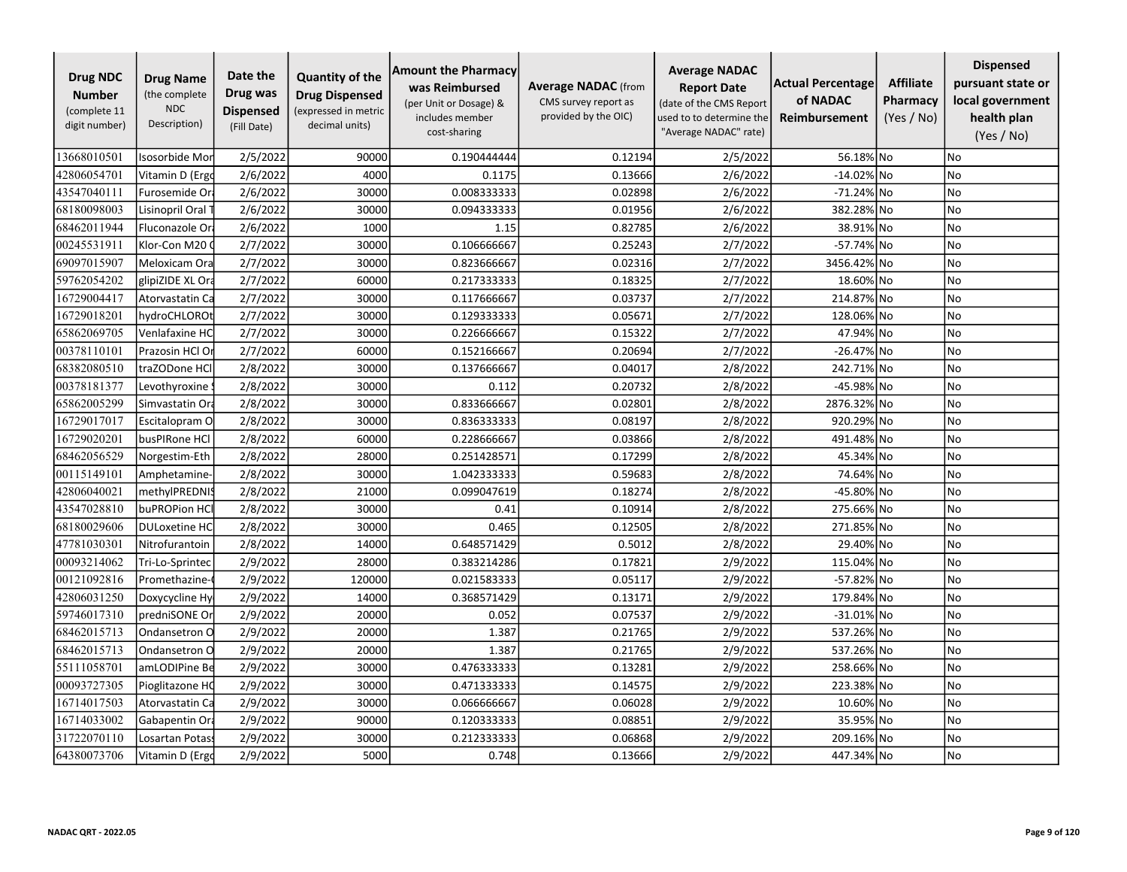| <b>Drug NDC</b><br><b>Number</b><br>(complete 11<br>digit number) | <b>Drug Name</b><br>(the complete<br><b>NDC</b><br>Description) | Date the<br>Drug was<br><b>Dispensed</b><br>(Fill Date) | <b>Quantity of the</b><br><b>Drug Dispensed</b><br>(expressed in metric<br>decimal units) | <b>Amount the Pharmacy</b><br>was Reimbursed<br>(per Unit or Dosage) &<br>includes member<br>cost-sharing | <b>Average NADAC</b> (from<br>CMS survey report as<br>provided by the OIC) | <b>Average NADAC</b><br><b>Report Date</b><br>(date of the CMS Report<br>used to to determine the<br>"Average NADAC" rate) | Actual Percentage<br>of NADAC<br>Reimbursement | <b>Affiliate</b><br>Pharmacy<br>(Yes / No) | <b>Dispensed</b><br>pursuant state or<br>local government<br>health plan<br>(Yes / No) |
|-------------------------------------------------------------------|-----------------------------------------------------------------|---------------------------------------------------------|-------------------------------------------------------------------------------------------|-----------------------------------------------------------------------------------------------------------|----------------------------------------------------------------------------|----------------------------------------------------------------------------------------------------------------------------|------------------------------------------------|--------------------------------------------|----------------------------------------------------------------------------------------|
| 13668010501                                                       | Isosorbide Mor                                                  | 2/5/2022                                                | 90000                                                                                     | 0.190444444                                                                                               | 0.12194                                                                    | 2/5/2022                                                                                                                   | 56.18% No                                      |                                            | No.                                                                                    |
| 42806054701                                                       | Vitamin D (Ergo                                                 | 2/6/2022                                                | 4000                                                                                      | 0.1175                                                                                                    | 0.13666                                                                    | 2/6/2022                                                                                                                   | -14.02% No                                     |                                            | No                                                                                     |
| 43547040111                                                       | Furosemide Or                                                   | 2/6/2022                                                | 30000                                                                                     | 0.008333333                                                                                               | 0.02898                                                                    | 2/6/2022                                                                                                                   | -71.24% No                                     |                                            | No                                                                                     |
| 68180098003                                                       | Lisinopril Oral 1                                               | 2/6/2022                                                | 30000                                                                                     | 0.094333333                                                                                               | 0.01956                                                                    | 2/6/2022                                                                                                                   | 382.28% No                                     |                                            | No                                                                                     |
| 68462011944                                                       | Fluconazole Or                                                  | 2/6/2022                                                | 1000                                                                                      | 1.15                                                                                                      | 0.82785                                                                    | 2/6/2022                                                                                                                   | 38.91% No                                      |                                            | <b>No</b>                                                                              |
| 00245531911                                                       | Klor-Con M20 0                                                  | 2/7/2022                                                | 30000                                                                                     | 0.106666667                                                                                               | 0.25243                                                                    | 2/7/2022                                                                                                                   | -57.74% No                                     |                                            | No                                                                                     |
| 69097015907                                                       | Meloxicam Ora                                                   | 2/7/2022                                                | 30000                                                                                     | 0.823666667                                                                                               | 0.02316                                                                    | 2/7/2022                                                                                                                   | 3456.42% No                                    |                                            | <b>No</b>                                                                              |
| 59762054202                                                       | glipiZIDE XL Ora                                                | 2/7/2022                                                | 60000                                                                                     | 0.217333333                                                                                               | 0.18325                                                                    | 2/7/2022                                                                                                                   | 18.60% No                                      |                                            | No                                                                                     |
| 16729004417                                                       | Atorvastatin Ca                                                 | 2/7/2022                                                | 30000                                                                                     | 0.117666667                                                                                               | 0.03737                                                                    | 2/7/2022                                                                                                                   | 214.87% No                                     |                                            | No                                                                                     |
| 16729018201                                                       | hydroCHLOROt                                                    | 2/7/2022                                                | 30000                                                                                     | 0.129333333                                                                                               | 0.05671                                                                    | 2/7/2022                                                                                                                   | 128.06% No                                     |                                            | No                                                                                     |
| 65862069705                                                       | Venlafaxine HC                                                  | 2/7/2022                                                | 30000                                                                                     | 0.226666667                                                                                               | 0.15322                                                                    | 2/7/2022                                                                                                                   | 47.94% No                                      |                                            | No                                                                                     |
| 00378110101                                                       | Prazosin HCl Or                                                 | 2/7/2022                                                | 60000                                                                                     | 0.152166667                                                                                               | 0.20694                                                                    | 2/7/2022                                                                                                                   | -26.47% No                                     |                                            | No                                                                                     |
| 68382080510                                                       | traZODone HCl                                                   | 2/8/2022                                                | 30000                                                                                     | 0.137666667                                                                                               | 0.04017                                                                    | 2/8/2022                                                                                                                   | 242.71% No                                     |                                            | No                                                                                     |
| 00378181377                                                       | Levothyroxine                                                   | 2/8/2022                                                | 30000                                                                                     | 0.112                                                                                                     | 0.20732                                                                    | 2/8/2022                                                                                                                   | -45.98% No                                     |                                            | No                                                                                     |
| 65862005299                                                       | Simvastatin Ora                                                 | 2/8/2022                                                | 30000                                                                                     | 0.833666667                                                                                               | 0.02801                                                                    | 2/8/2022                                                                                                                   | 2876.32% No                                    |                                            | No                                                                                     |
| 16729017017                                                       | Escitalopram O                                                  | 2/8/2022                                                | 30000                                                                                     | 0.836333333                                                                                               | 0.08197                                                                    | 2/8/2022                                                                                                                   | 920.29% No                                     |                                            | No                                                                                     |
| 16729020201                                                       | busPIRone HCl                                                   | 2/8/2022                                                | 60000                                                                                     | 0.228666667                                                                                               | 0.03866                                                                    | 2/8/2022                                                                                                                   | 491.48% No                                     |                                            | No                                                                                     |
| 68462056529                                                       | Norgestim-Eth                                                   | 2/8/2022                                                | 28000                                                                                     | 0.251428571                                                                                               | 0.17299                                                                    | 2/8/2022                                                                                                                   | 45.34%                                         | No                                         | No                                                                                     |
| 00115149101                                                       | Amphetamine-                                                    | 2/8/2022                                                | 30000                                                                                     | 1.042333333                                                                                               | 0.59683                                                                    | 2/8/2022                                                                                                                   | 74.64% No                                      |                                            | No                                                                                     |
| 42806040021                                                       | methylPREDNI!                                                   | 2/8/2022                                                | 21000                                                                                     | 0.099047619                                                                                               | 0.18274                                                                    | 2/8/2022                                                                                                                   | -45.80% No                                     |                                            | No                                                                                     |
| 43547028810                                                       | buPROPion HCl                                                   | 2/8/2022                                                | 30000                                                                                     | 0.41                                                                                                      | 0.10914                                                                    | 2/8/2022                                                                                                                   | 275.66% No                                     |                                            | No                                                                                     |
| 68180029606                                                       | <b>DULoxetine HC</b>                                            | 2/8/2022                                                | 30000                                                                                     | 0.465                                                                                                     | 0.12505                                                                    | 2/8/2022                                                                                                                   | 271.85% No                                     |                                            | No                                                                                     |
| 47781030301                                                       | Nitrofurantoin                                                  | 2/8/2022                                                | 14000                                                                                     | 0.648571429                                                                                               | 0.5012                                                                     | 2/8/2022                                                                                                                   | 29.40% No                                      |                                            | <b>No</b>                                                                              |
| 00093214062                                                       | Tri-Lo-Sprintec                                                 | 2/9/2022                                                | 28000                                                                                     | 0.383214286                                                                                               | 0.17821                                                                    | 2/9/2022                                                                                                                   | 115.04% No                                     |                                            | No                                                                                     |
| 00121092816                                                       | Promethazine-                                                   | 2/9/2022                                                | 120000                                                                                    | 0.021583333                                                                                               | 0.05117                                                                    | 2/9/2022                                                                                                                   | -57.82% No                                     |                                            | No                                                                                     |
| 42806031250                                                       | Doxycycline Hy                                                  | 2/9/2022                                                | 14000                                                                                     | 0.368571429                                                                                               | 0.13171                                                                    | 2/9/2022                                                                                                                   | 179.84% No                                     |                                            | No                                                                                     |
| 59746017310                                                       | predniSONE Or                                                   | 2/9/2022                                                | 20000                                                                                     | 0.052                                                                                                     | 0.07537                                                                    | 2/9/2022                                                                                                                   | -31.01% No                                     |                                            | <b>No</b>                                                                              |
| 68462015713                                                       | Ondansetron O                                                   | 2/9/2022                                                | 20000                                                                                     | 1.387                                                                                                     | 0.21765                                                                    | 2/9/2022                                                                                                                   | 537.26% No                                     |                                            | No                                                                                     |
| 68462015713                                                       | Ondansetron O                                                   | 2/9/2022                                                | 20000                                                                                     | 1.387                                                                                                     | 0.21765                                                                    | 2/9/2022                                                                                                                   | 537.26% No                                     |                                            | No                                                                                     |
| 55111058701                                                       | amLODIPine Be                                                   | 2/9/2022                                                | 30000                                                                                     | 0.476333333                                                                                               | 0.13281                                                                    | 2/9/2022                                                                                                                   | 258.66%                                        | lNo                                        | No                                                                                     |
| 00093727305                                                       | Pioglitazone HO                                                 | 2/9/2022                                                | 30000                                                                                     | 0.471333333                                                                                               | 0.14575                                                                    | 2/9/2022                                                                                                                   | 223.38% No                                     |                                            | No                                                                                     |
| 16714017503                                                       | Atorvastatin Ca                                                 | 2/9/2022                                                | 30000                                                                                     | 0.066666667                                                                                               | 0.06028                                                                    | 2/9/2022                                                                                                                   | 10.60% No                                      |                                            | <b>No</b>                                                                              |
| 16714033002                                                       | Gabapentin Ora                                                  | 2/9/2022                                                | 90000                                                                                     | 0.120333333                                                                                               | 0.08851                                                                    | 2/9/2022                                                                                                                   | 35.95% No                                      |                                            | No                                                                                     |
| 31722070110                                                       | Losartan Potas:                                                 | 2/9/2022                                                | 30000                                                                                     | 0.212333333                                                                                               | 0.06868                                                                    | 2/9/2022                                                                                                                   | 209.16% No                                     |                                            | No                                                                                     |
| 64380073706                                                       | Vitamin D (Ergo                                                 | 2/9/2022                                                | 5000                                                                                      | 0.748                                                                                                     | 0.13666                                                                    | 2/9/2022                                                                                                                   | 447.34% No                                     |                                            | No                                                                                     |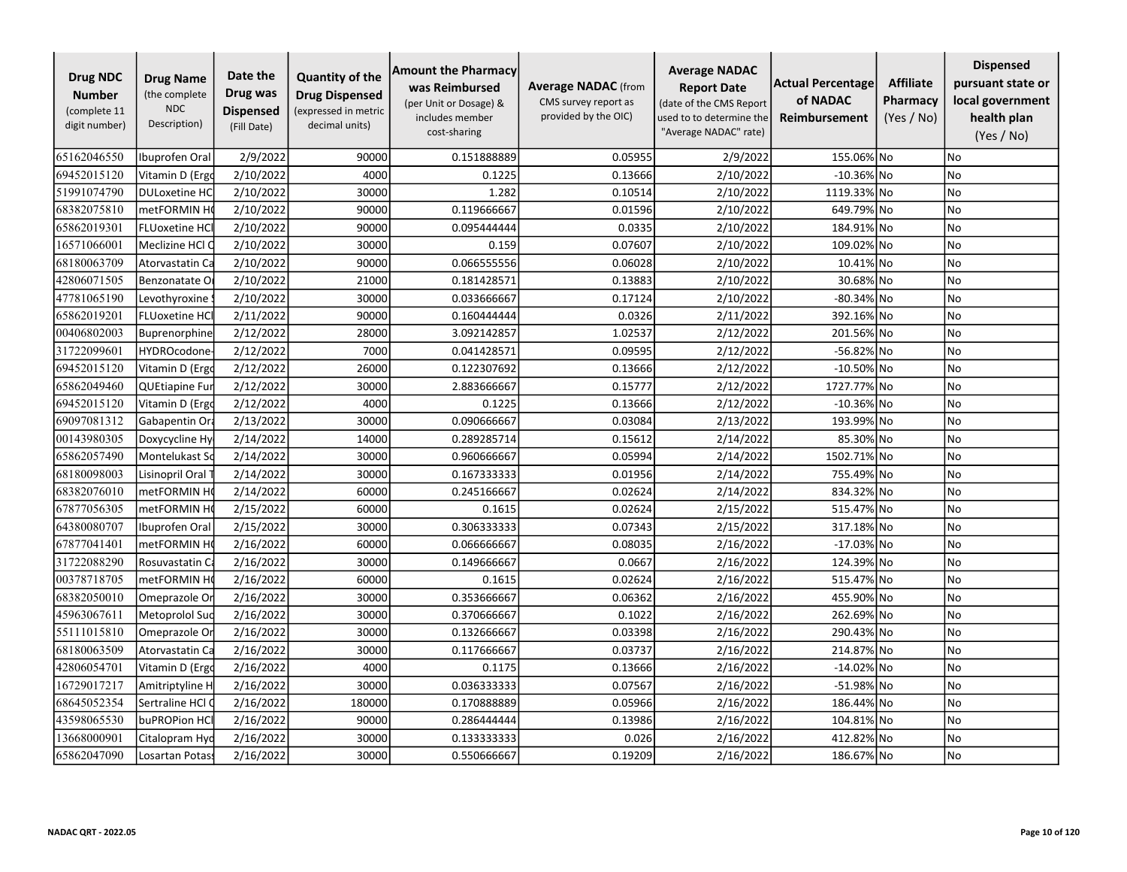| <b>Drug NDC</b><br><b>Number</b><br>(complete 11<br>digit number) | <b>Drug Name</b><br>(the complete<br><b>NDC</b><br>Description) | Date the<br>Drug was<br><b>Dispensed</b><br>(Fill Date) | <b>Quantity of the</b><br><b>Drug Dispensed</b><br>(expressed in metric<br>decimal units) | <b>Amount the Pharmacy</b><br>was Reimbursed<br>(per Unit or Dosage) &<br>includes member<br>cost-sharing | <b>Average NADAC</b> (from<br>CMS survey report as<br>provided by the OIC) | <b>Average NADAC</b><br><b>Report Date</b><br>(date of the CMS Report<br>used to to determine the<br>"Average NADAC" rate) | <b>Actual Percentage</b><br>of NADAC<br><b>Reimbursement</b> | <b>Affiliate</b><br>Pharmacy<br>(Yes / No) | <b>Dispensed</b><br>pursuant state or<br>local government<br>health plan<br>(Yes / No) |
|-------------------------------------------------------------------|-----------------------------------------------------------------|---------------------------------------------------------|-------------------------------------------------------------------------------------------|-----------------------------------------------------------------------------------------------------------|----------------------------------------------------------------------------|----------------------------------------------------------------------------------------------------------------------------|--------------------------------------------------------------|--------------------------------------------|----------------------------------------------------------------------------------------|
| 65162046550                                                       | Ibuprofen Oral                                                  | 2/9/2022                                                | 90000                                                                                     | 0.151888889                                                                                               | 0.05955                                                                    | 2/9/2022                                                                                                                   | 155.06% No                                                   |                                            | <b>No</b>                                                                              |
| 69452015120                                                       | Vitamin D (Ergo                                                 | 2/10/2022                                               | 4000                                                                                      | 0.1225                                                                                                    | 0.13666                                                                    | 2/10/2022                                                                                                                  | $-10.36\%$ No                                                |                                            | No                                                                                     |
| 51991074790                                                       | <b>DULoxetine HC</b>                                            | 2/10/2022                                               | 30000                                                                                     | 1.282                                                                                                     | 0.10514                                                                    | 2/10/2022                                                                                                                  | 1119.33% No                                                  |                                            | No                                                                                     |
| 68382075810                                                       | metFORMIN H                                                     | 2/10/2022                                               | 90000                                                                                     | 0.119666667                                                                                               | 0.01596                                                                    | 2/10/2022                                                                                                                  | 649.79% No                                                   |                                            | No                                                                                     |
| 65862019301                                                       | <b>FLUoxetine HC</b>                                            | 2/10/2022                                               | 90000                                                                                     | 0.095444444                                                                                               | 0.0335                                                                     | 2/10/2022                                                                                                                  | 184.91% No                                                   |                                            | No                                                                                     |
| 16571066001                                                       | Meclizine HCl C                                                 | 2/10/2022                                               | 30000                                                                                     | 0.159                                                                                                     | 0.07607                                                                    | 2/10/2022                                                                                                                  | 109.02% No                                                   |                                            | No                                                                                     |
| 68180063709                                                       | Atorvastatin Ca                                                 | 2/10/2022                                               | 90000                                                                                     | 0.066555556                                                                                               | 0.06028                                                                    | 2/10/2022                                                                                                                  | 10.41% No                                                    |                                            | No                                                                                     |
| 42806071505                                                       | Benzonatate O                                                   | 2/10/2022                                               | 21000                                                                                     | 0.181428571                                                                                               | 0.13883                                                                    | 2/10/2022                                                                                                                  | 30.68% No                                                    |                                            | <b>No</b>                                                                              |
| 47781065190                                                       | Levothyroxine                                                   | 2/10/2022                                               | 30000                                                                                     | 0.033666667                                                                                               | 0.17124                                                                    | 2/10/2022                                                                                                                  | -80.34% No                                                   |                                            | No                                                                                     |
| 65862019201                                                       | <b>FLUoxetine HCI</b>                                           | 2/11/2022                                               | 90000                                                                                     | 0.160444444                                                                                               | 0.0326                                                                     | 2/11/2022                                                                                                                  | 392.16% No                                                   |                                            | No                                                                                     |
| 00406802003                                                       | Buprenorphine                                                   | 2/12/2022                                               | 28000                                                                                     | 3.092142857                                                                                               | 1.02537                                                                    | 2/12/2022                                                                                                                  | 201.56% No                                                   |                                            | No                                                                                     |
| 31722099601                                                       | <b>HYDROcodone</b>                                              | 2/12/2022                                               | 7000                                                                                      | 0.041428571                                                                                               | 0.09595                                                                    | 2/12/2022                                                                                                                  | -56.82% No                                                   |                                            | <b>No</b>                                                                              |
| 69452015120                                                       | Vitamin D (Ergo                                                 | 2/12/2022                                               | 26000                                                                                     | 0.122307692                                                                                               | 0.13666                                                                    | 2/12/2022                                                                                                                  | $-10.50\%$ No                                                |                                            | No                                                                                     |
| 65862049460                                                       | QUEtiapine Fur                                                  | 2/12/2022                                               | 30000                                                                                     | 2.883666667                                                                                               | 0.15777                                                                    | 2/12/2022                                                                                                                  | 1727.77% No                                                  |                                            | No                                                                                     |
| 69452015120                                                       | Vitamin D (Ergo                                                 | 2/12/2022                                               | 4000                                                                                      | 0.1225                                                                                                    | 0.13666                                                                    | 2/12/2022                                                                                                                  | $-10.36\%$ No                                                |                                            | <b>No</b>                                                                              |
| 69097081312                                                       | Gabapentin Or                                                   | 2/13/2022                                               | 30000                                                                                     | 0.090666667                                                                                               | 0.03084                                                                    | 2/13/2022                                                                                                                  | 193.99% No                                                   |                                            | No                                                                                     |
| 00143980305                                                       | Doxycycline Hy                                                  | 2/14/2022                                               | 14000                                                                                     | 0.289285714                                                                                               | 0.15612                                                                    | 2/14/2022                                                                                                                  | 85.30% No                                                    |                                            | <b>No</b>                                                                              |
| 65862057490                                                       | Montelukast So                                                  | 2/14/2022                                               | 30000                                                                                     | 0.960666667                                                                                               | 0.05994                                                                    | 2/14/2022                                                                                                                  | 1502.71% No                                                  |                                            | No                                                                                     |
| 68180098003                                                       | Lisinopril Oral                                                 | 2/14/2022                                               | 30000                                                                                     | 0.167333333                                                                                               | 0.01956                                                                    | 2/14/2022                                                                                                                  | 755.49% No                                                   |                                            | No                                                                                     |
| 68382076010                                                       | metFORMIN H                                                     | 2/14/2022                                               | 60000                                                                                     | 0.245166667                                                                                               | 0.02624                                                                    | 2/14/2022                                                                                                                  | 834.32% No                                                   |                                            | No                                                                                     |
| 67877056305                                                       | metFORMIN H                                                     | 2/15/2022                                               | 60000                                                                                     | 0.1615                                                                                                    | 0.02624                                                                    | 2/15/2022                                                                                                                  | 515.47% No                                                   |                                            | <b>No</b>                                                                              |
| 64380080707                                                       | Ibuprofen Oral                                                  | 2/15/2022                                               | 30000                                                                                     | 0.306333333                                                                                               | 0.07343                                                                    | 2/15/2022                                                                                                                  | 317.18% No                                                   |                                            | No                                                                                     |
| 67877041401                                                       | metFORMIN H                                                     | 2/16/2022                                               | 60000                                                                                     | 0.066666667                                                                                               | 0.08035                                                                    | 2/16/2022                                                                                                                  | $-17.03%$ No                                                 |                                            | No                                                                                     |
| 31722088290                                                       | Rosuvastatin Ca                                                 | 2/16/2022                                               | 30000                                                                                     | 0.149666667                                                                                               | 0.0667                                                                     | 2/16/2022                                                                                                                  | 124.39% No                                                   |                                            | <b>No</b>                                                                              |
| 00378718705                                                       | metFORMIN H                                                     | 2/16/2022                                               | 60000                                                                                     | 0.1615                                                                                                    | 0.02624                                                                    | 2/16/2022                                                                                                                  | 515.47% No                                                   |                                            | No                                                                                     |
| 68382050010                                                       | Omeprazole Or                                                   | 2/16/2022                                               | 30000                                                                                     | 0.353666667                                                                                               | 0.06362                                                                    | 2/16/2022                                                                                                                  | 455.90% No                                                   |                                            | No                                                                                     |
| 45963067611                                                       | Metoprolol Suc                                                  | 2/16/2022                                               | 30000                                                                                     | 0.370666667                                                                                               | 0.1022                                                                     | 2/16/2022                                                                                                                  | 262.69% No                                                   |                                            | No                                                                                     |
| 55111015810                                                       | Omeprazole Or                                                   | 2/16/2022                                               | 30000                                                                                     | 0.132666667                                                                                               | 0.03398                                                                    | 2/16/2022                                                                                                                  | 290.43% No                                                   |                                            | No                                                                                     |
| 68180063509                                                       | Atorvastatin Ca                                                 | 2/16/2022                                               | 30000                                                                                     | 0.117666667                                                                                               | 0.03737                                                                    | 2/16/2022                                                                                                                  | 214.87% No                                                   |                                            | No                                                                                     |
| 42806054701                                                       | Vitamin D (Ergo                                                 | 2/16/2022                                               | 4000                                                                                      | 0.1175                                                                                                    | 0.13666                                                                    | 2/16/2022                                                                                                                  | $-14.02\%$ No                                                |                                            | <b>No</b>                                                                              |
| 16729017217                                                       | Amitriptyline H                                                 | 2/16/2022                                               | 30000                                                                                     | 0.036333333                                                                                               | 0.07567                                                                    | 2/16/2022                                                                                                                  | -51.98% No                                                   |                                            | No                                                                                     |
| 68645052354                                                       | Sertraline HCl (                                                | 2/16/2022                                               | 180000                                                                                    | 0.170888889                                                                                               | 0.05966                                                                    | 2/16/2022                                                                                                                  | 186.44% No                                                   |                                            | <b>No</b>                                                                              |
| 43598065530                                                       | buPROPion HC                                                    | 2/16/2022                                               | 90000                                                                                     | 0.286444444                                                                                               | 0.13986                                                                    | 2/16/2022                                                                                                                  | 104.81% No                                                   |                                            | No                                                                                     |
| 13668000901                                                       | Citalopram Hyd                                                  | 2/16/2022                                               | 30000                                                                                     | 0.133333333                                                                                               | 0.026                                                                      | 2/16/2022                                                                                                                  | 412.82% No                                                   |                                            | No                                                                                     |
| 65862047090                                                       | Losartan Potas:                                                 | 2/16/2022                                               | 30000                                                                                     | 0.550666667                                                                                               | 0.19209                                                                    | 2/16/2022                                                                                                                  | 186.67% No                                                   |                                            | No                                                                                     |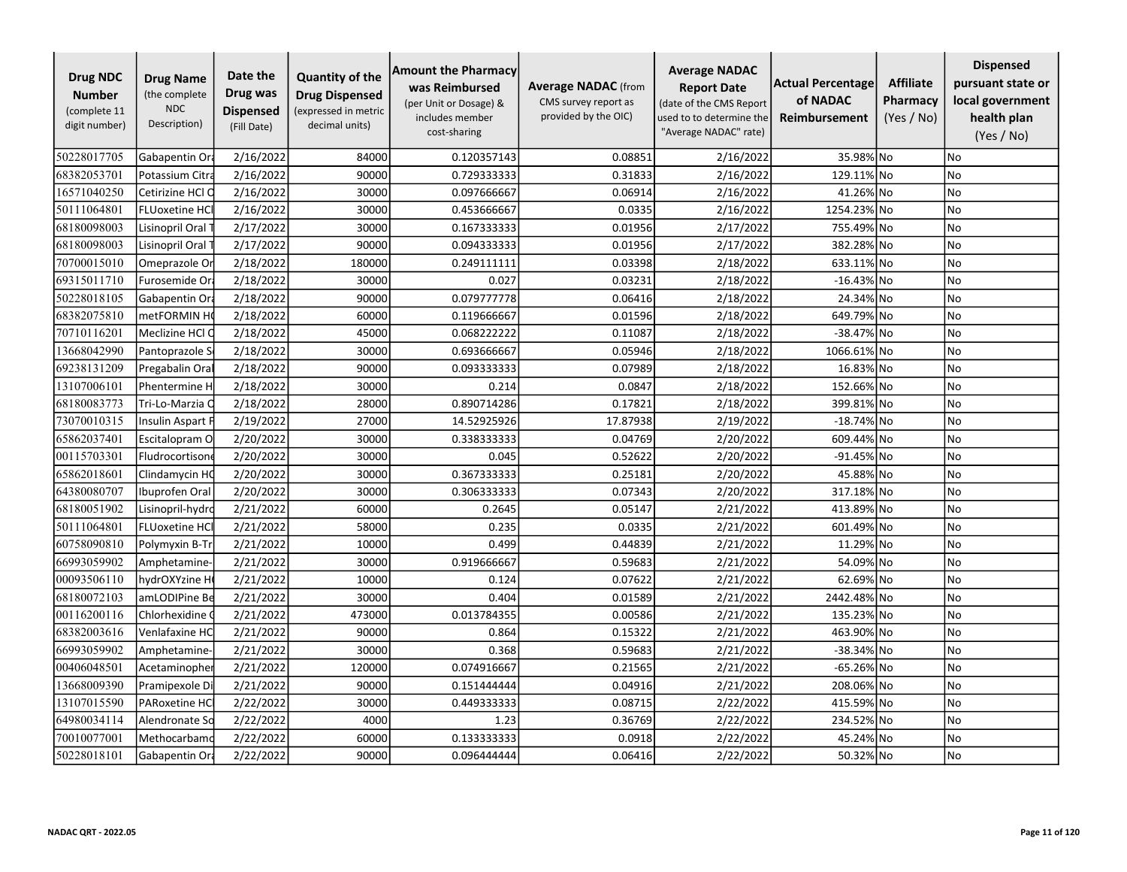| <b>Drug NDC</b><br><b>Number</b><br>(complete 11<br>digit number) | <b>Drug Name</b><br>(the complete<br><b>NDC</b><br>Description) | Date the<br>Drug was<br><b>Dispensed</b><br>(Fill Date) | <b>Quantity of the</b><br><b>Drug Dispensed</b><br>(expressed in metric<br>decimal units) | <b>Amount the Pharmacy</b><br>was Reimbursed<br>(per Unit or Dosage) &<br>includes member<br>cost-sharing | <b>Average NADAC</b> (from<br>CMS survey report as<br>provided by the OIC) | <b>Average NADAC</b><br><b>Report Date</b><br>(date of the CMS Report<br>used to to determine the<br>"Average NADAC" rate) | <b>Actual Percentage</b><br>of NADAC<br><b>Reimbursement</b> | <b>Affiliate</b><br>Pharmacy<br>(Yes / No) | <b>Dispensed</b><br>pursuant state or<br>local government<br>health plan<br>(Yes / No) |
|-------------------------------------------------------------------|-----------------------------------------------------------------|---------------------------------------------------------|-------------------------------------------------------------------------------------------|-----------------------------------------------------------------------------------------------------------|----------------------------------------------------------------------------|----------------------------------------------------------------------------------------------------------------------------|--------------------------------------------------------------|--------------------------------------------|----------------------------------------------------------------------------------------|
| 50228017705                                                       | Gabapentin Or                                                   | 2/16/2022                                               | 84000                                                                                     | 0.120357143                                                                                               | 0.08851                                                                    | 2/16/2022                                                                                                                  | 35.98% No                                                    |                                            | No                                                                                     |
| 68382053701                                                       | Potassium Citra                                                 | 2/16/2022                                               | 90000                                                                                     | 0.729333333                                                                                               | 0.31833                                                                    | 2/16/2022                                                                                                                  | 129.11% No                                                   |                                            | No                                                                                     |
| 16571040250                                                       | Cetirizine HCl O                                                | 2/16/2022                                               | 30000                                                                                     | 0.097666667                                                                                               | 0.06914                                                                    | 2/16/2022                                                                                                                  | 41.26% No                                                    |                                            | No                                                                                     |
| 50111064801                                                       | <b>FLUoxetine HC</b>                                            | 2/16/2022                                               | 30000                                                                                     | 0.453666667                                                                                               | 0.0335                                                                     | 2/16/2022                                                                                                                  | 1254.23% No                                                  |                                            | No                                                                                     |
| 68180098003                                                       | Lisinopril Oral                                                 | 2/17/2022                                               | 30000                                                                                     | 0.167333333                                                                                               | 0.01956                                                                    | 2/17/2022                                                                                                                  | 755.49% No                                                   |                                            | No                                                                                     |
| 68180098003                                                       | Lisinopril Oral                                                 | 2/17/2022                                               | 90000                                                                                     | 0.094333333                                                                                               | 0.01956                                                                    | 2/17/2022                                                                                                                  | 382.28% No                                                   |                                            | No                                                                                     |
| 70700015010                                                       | Omeprazole Or                                                   | 2/18/2022                                               | 180000                                                                                    | 0.249111111                                                                                               | 0.03398                                                                    | 2/18/2022                                                                                                                  | 633.11% No                                                   |                                            | No                                                                                     |
| 69315011710                                                       | Furosemide Or                                                   | 2/18/2022                                               | 30000                                                                                     | 0.027                                                                                                     | 0.03231                                                                    | 2/18/2022                                                                                                                  | $-16.43\%$ No                                                |                                            | No                                                                                     |
| 50228018105                                                       | Gabapentin Ora                                                  | 2/18/2022                                               | 90000                                                                                     | 0.079777778                                                                                               | 0.06416                                                                    | 2/18/2022                                                                                                                  | 24.34% No                                                    |                                            | No                                                                                     |
| 68382075810                                                       | metFORMIN H                                                     | 2/18/2022                                               | 60000                                                                                     | 0.119666667                                                                                               | 0.01596                                                                    | 2/18/2022                                                                                                                  | 649.79% No                                                   |                                            | No                                                                                     |
| 70710116201                                                       | Meclizine HCl C                                                 | 2/18/2022                                               | 45000                                                                                     | 0.068222222                                                                                               | 0.11087                                                                    | 2/18/2022                                                                                                                  | -38.47% No                                                   |                                            | No                                                                                     |
| 13668042990                                                       | Pantoprazole S                                                  | 2/18/2022                                               | 30000                                                                                     | 0.693666667                                                                                               | 0.05946                                                                    | 2/18/2022                                                                                                                  | 1066.61% No                                                  |                                            | No                                                                                     |
| 69238131209                                                       | Pregabalin Ora                                                  | 2/18/2022                                               | 90000                                                                                     | 0.093333333                                                                                               | 0.07989                                                                    | 2/18/2022                                                                                                                  | 16.83% No                                                    |                                            | No                                                                                     |
| 13107006101                                                       | Phentermine H                                                   | 2/18/2022                                               | 30000                                                                                     | 0.214                                                                                                     | 0.0847                                                                     | 2/18/2022                                                                                                                  | 152.66% No                                                   |                                            | No                                                                                     |
| 68180083773                                                       | Tri-Lo-Marzia C                                                 | 2/18/2022                                               | 28000                                                                                     | 0.890714286                                                                                               | 0.17821                                                                    | 2/18/2022                                                                                                                  | 399.81% No                                                   |                                            | No                                                                                     |
| 73070010315                                                       | Insulin Aspart F                                                | 2/19/2022                                               | 27000                                                                                     | 14.52925926                                                                                               | 17.87938                                                                   | 2/19/2022                                                                                                                  | $-18.74\%$ No                                                |                                            | No                                                                                     |
| 65862037401                                                       | Escitalopram O                                                  | 2/20/2022                                               | 30000                                                                                     | 0.338333333                                                                                               | 0.04769                                                                    | 2/20/2022                                                                                                                  | 609.44% No                                                   |                                            | No                                                                                     |
| 00115703301                                                       | Fludrocortison                                                  | 2/20/2022                                               | 30000                                                                                     | 0.045                                                                                                     | 0.52622                                                                    | 2/20/2022                                                                                                                  | -91.45% No                                                   |                                            | No                                                                                     |
| 65862018601                                                       | Clindamycin HC                                                  | 2/20/2022                                               | 30000                                                                                     | 0.367333333                                                                                               | 0.25181                                                                    | 2/20/2022                                                                                                                  | 45.88% No                                                    |                                            | No                                                                                     |
| 64380080707                                                       | Ibuprofen Oral                                                  | 2/20/2022                                               | 30000                                                                                     | 0.306333333                                                                                               | 0.07343                                                                    | 2/20/2022                                                                                                                  | 317.18% No                                                   |                                            | No                                                                                     |
| 68180051902                                                       | Lisinopril-hydro                                                | 2/21/2022                                               | 60000                                                                                     | 0.2645                                                                                                    | 0.05147                                                                    | 2/21/2022                                                                                                                  | 413.89% No                                                   |                                            | <b>No</b>                                                                              |
| 50111064801                                                       | <b>FLUoxetine HC</b>                                            | 2/21/2022                                               | 58000                                                                                     | 0.235                                                                                                     | 0.0335                                                                     | 2/21/2022                                                                                                                  | 601.49% No                                                   |                                            | No                                                                                     |
| 60758090810                                                       | Polymyxin B-Tr                                                  | 2/21/2022                                               | 10000                                                                                     | 0.499                                                                                                     | 0.44839                                                                    | 2/21/2022                                                                                                                  | 11.29% No                                                    |                                            | No                                                                                     |
| 66993059902                                                       | Amphetamine-                                                    | 2/21/2022                                               | 30000                                                                                     | 0.919666667                                                                                               | 0.59683                                                                    | 2/21/2022                                                                                                                  | 54.09% No                                                    |                                            | No                                                                                     |
| 00093506110                                                       | hydrOXYzine H                                                   | 2/21/2022                                               | 10000                                                                                     | 0.124                                                                                                     | 0.07622                                                                    | 2/21/2022                                                                                                                  | 62.69% No                                                    |                                            | No                                                                                     |
| 68180072103                                                       | amLODIPine Be                                                   | 2/21/2022                                               | 30000                                                                                     | 0.404                                                                                                     | 0.01589                                                                    | 2/21/2022                                                                                                                  | 2442.48% No                                                  |                                            | No                                                                                     |
| 00116200116                                                       | Chlorhexidine                                                   | 2/21/2022                                               | 473000                                                                                    | 0.013784355                                                                                               | 0.00586                                                                    | 2/21/2022                                                                                                                  | 135.23% No                                                   |                                            | <b>No</b>                                                                              |
| 68382003616                                                       | Venlafaxine HC                                                  | 2/21/2022                                               | 90000                                                                                     | 0.864                                                                                                     | 0.15322                                                                    | 2/21/2022                                                                                                                  | 463.90% No                                                   |                                            | No                                                                                     |
| 66993059902                                                       | Amphetamine-                                                    | 2/21/2022                                               | 30000                                                                                     | 0.368                                                                                                     | 0.59683                                                                    | 2/21/2022                                                                                                                  | $-38.34\%$ No                                                |                                            | No                                                                                     |
| 00406048501                                                       | Acetaminopher                                                   | 2/21/2022                                               | 120000                                                                                    | 0.074916667                                                                                               | 0.21565                                                                    | 2/21/2022                                                                                                                  | -65.26% No                                                   |                                            | <b>No</b>                                                                              |
| 13668009390                                                       | Pramipexole D                                                   | 2/21/2022                                               | 90000                                                                                     | 0.151444444                                                                                               | 0.04916                                                                    | 2/21/2022                                                                                                                  | 208.06% No                                                   |                                            | No                                                                                     |
| 13107015590                                                       | PARoxetine HC                                                   | 2/22/2022                                               | 30000                                                                                     | 0.449333333                                                                                               | 0.08715                                                                    | 2/22/2022                                                                                                                  | 415.59% No                                                   |                                            | No                                                                                     |
| 64980034114                                                       | Alendronate So                                                  | 2/22/2022                                               | 4000                                                                                      | 1.23                                                                                                      | 0.36769                                                                    | 2/22/2022                                                                                                                  | 234.52% No                                                   |                                            | No                                                                                     |
| 70010077001                                                       | Methocarbamo                                                    | 2/22/2022                                               | 60000                                                                                     | 0.133333333                                                                                               | 0.0918                                                                     | 2/22/2022                                                                                                                  | 45.24% No                                                    |                                            | No                                                                                     |
| 50228018101                                                       | Gabapentin Ora                                                  | 2/22/2022                                               | 90000                                                                                     | 0.096444444                                                                                               | 0.06416                                                                    | 2/22/2022                                                                                                                  | 50.32% No                                                    |                                            | No                                                                                     |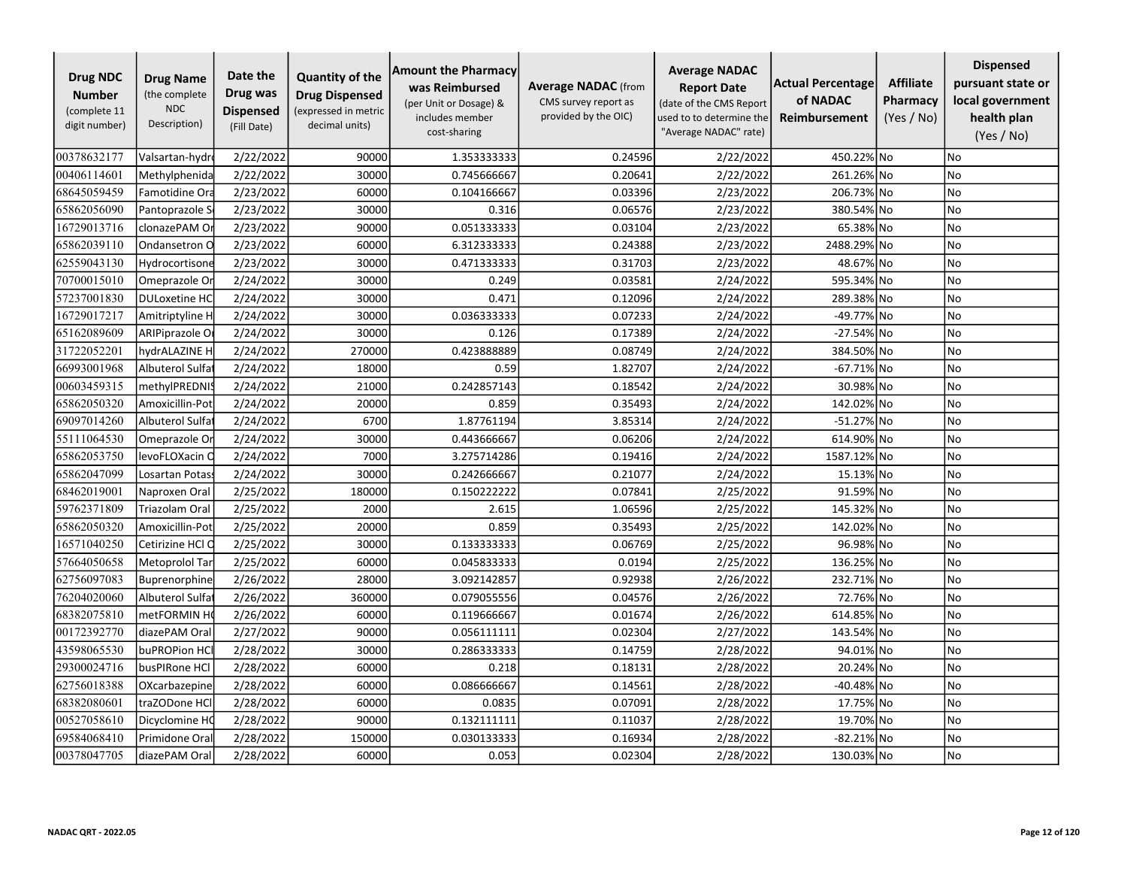| <b>Drug NDC</b><br><b>Number</b><br>(complete 11<br>digit number) | <b>Drug Name</b><br>(the complete<br><b>NDC</b><br>Description) | Date the<br>Drug was<br><b>Dispensed</b><br>(Fill Date) | <b>Quantity of the</b><br><b>Drug Dispensed</b><br>(expressed in metric<br>decimal units) | <b>Amount the Pharmacy</b><br>was Reimbursed<br>(per Unit or Dosage) &<br>includes member<br>cost-sharing | <b>Average NADAC</b> (from<br>CMS survey report as<br>provided by the OIC) | <b>Average NADAC</b><br><b>Report Date</b><br>(date of the CMS Report<br>used to to determine the<br>"Average NADAC" rate) | <b>Actual Percentage</b><br>of NADAC<br><b>Reimbursement</b> | <b>Affiliate</b><br>Pharmacy<br>(Yes / No) | <b>Dispensed</b><br>pursuant state or<br>local government<br>health plan<br>(Yes / No) |
|-------------------------------------------------------------------|-----------------------------------------------------------------|---------------------------------------------------------|-------------------------------------------------------------------------------------------|-----------------------------------------------------------------------------------------------------------|----------------------------------------------------------------------------|----------------------------------------------------------------------------------------------------------------------------|--------------------------------------------------------------|--------------------------------------------|----------------------------------------------------------------------------------------|
| 00378632177                                                       | Valsartan-hydr                                                  | 2/22/2022                                               | 90000                                                                                     | 1.353333333                                                                                               | 0.24596                                                                    | 2/22/2022                                                                                                                  | 450.22% No                                                   |                                            | No                                                                                     |
| 00406114601                                                       | Methylphenida                                                   | 2/22/2022                                               | 30000                                                                                     | 0.745666667                                                                                               | 0.20641                                                                    | 2/22/2022                                                                                                                  | 261.26% No                                                   |                                            | No                                                                                     |
| 68645059459                                                       | Famotidine Ora                                                  | 2/23/2022                                               | 60000                                                                                     | 0.104166667                                                                                               | 0.03396                                                                    | 2/23/2022                                                                                                                  | 206.73% No                                                   |                                            | No                                                                                     |
| 65862056090                                                       | Pantoprazole S                                                  | 2/23/2022                                               | 30000                                                                                     | 0.316                                                                                                     | 0.06576                                                                    | 2/23/2022                                                                                                                  | 380.54% No                                                   |                                            | No                                                                                     |
| 16729013716                                                       | clonazePAM O                                                    | 2/23/2022                                               | 90000                                                                                     | 0.051333333                                                                                               | 0.03104                                                                    | 2/23/2022                                                                                                                  | 65.38% No                                                    |                                            | <b>No</b>                                                                              |
| 65862039110                                                       | Ondansetron O                                                   | 2/23/2022                                               | 60000                                                                                     | 6.312333333                                                                                               | 0.24388                                                                    | 2/23/2022                                                                                                                  | 2488.29% No                                                  |                                            | No                                                                                     |
| 62559043130                                                       | Hydrocortisone                                                  | 2/23/2022                                               | 30000                                                                                     | 0.471333333                                                                                               | 0.31703                                                                    | 2/23/2022                                                                                                                  | 48.67% No                                                    |                                            | No                                                                                     |
| 70700015010                                                       | Omeprazole Or                                                   | 2/24/2022                                               | 30000                                                                                     | 0.249                                                                                                     | 0.03581                                                                    | 2/24/2022                                                                                                                  | 595.34% No                                                   |                                            | No                                                                                     |
| 57237001830                                                       | <b>DULoxetine HC</b>                                            | 2/24/2022                                               | 30000                                                                                     | 0.471                                                                                                     | 0.12096                                                                    | 2/24/2022                                                                                                                  | 289.38% No                                                   |                                            | No                                                                                     |
| 16729017217                                                       | Amitriptyline H                                                 | 2/24/2022                                               | 30000                                                                                     | 0.036333333                                                                                               | 0.07233                                                                    | 2/24/2022                                                                                                                  | -49.77% No                                                   |                                            | No                                                                                     |
| 65162089609                                                       | ARIPiprazole O                                                  | 2/24/2022                                               | 30000                                                                                     | 0.126                                                                                                     | 0.17389                                                                    | 2/24/2022                                                                                                                  | -27.54% No                                                   |                                            | No                                                                                     |
| 31722052201                                                       | hydrALAZINE H                                                   | 2/24/2022                                               | 270000                                                                                    | 0.423888889                                                                                               | 0.08749                                                                    | 2/24/2022                                                                                                                  | 384.50% No                                                   |                                            | <b>No</b>                                                                              |
| 66993001968                                                       | Albuterol Sulfa                                                 | 2/24/2022                                               | 18000                                                                                     | 0.59                                                                                                      | 1.82707                                                                    | 2/24/2022                                                                                                                  | $-67.71\%$ No                                                |                                            | <b>No</b>                                                                              |
| 00603459315                                                       | methylPREDNI:                                                   | 2/24/2022                                               | 21000                                                                                     | 0.242857143                                                                                               | 0.18542                                                                    | 2/24/2022                                                                                                                  | 30.98% No                                                    |                                            | <b>No</b>                                                                              |
| 65862050320                                                       | Amoxicillin-Pot                                                 | 2/24/2022                                               | 20000                                                                                     | 0.859                                                                                                     | 0.35493                                                                    | 2/24/2022                                                                                                                  | 142.02% No                                                   |                                            | No                                                                                     |
| 69097014260                                                       | Albuterol Sulfa                                                 | 2/24/2022                                               | 6700                                                                                      | 1.87761194                                                                                                | 3.85314                                                                    | 2/24/2022                                                                                                                  | -51.27% No                                                   |                                            | No                                                                                     |
| 55111064530                                                       | Omeprazole Or                                                   | 2/24/2022                                               | 30000                                                                                     | 0.443666667                                                                                               | 0.06206                                                                    | 2/24/2022                                                                                                                  | 614.90% No                                                   |                                            | No                                                                                     |
| 65862053750                                                       | levoFLOXacin O                                                  | 2/24/2022                                               | 7000                                                                                      | 3.275714286                                                                                               | 0.19416                                                                    | 2/24/2022                                                                                                                  | 1587.12% No                                                  |                                            | No                                                                                     |
| 65862047099                                                       | Losartan Potas                                                  | 2/24/2022                                               | 30000                                                                                     | 0.242666667                                                                                               | 0.21077                                                                    | 2/24/2022                                                                                                                  | 15.13% No                                                    |                                            | No                                                                                     |
| 68462019001                                                       | Naproxen Oral                                                   | 2/25/2022                                               | 180000                                                                                    | 0.150222222                                                                                               | 0.07841                                                                    | 2/25/2022                                                                                                                  | 91.59% No                                                    |                                            | No                                                                                     |
| 59762371809                                                       | Triazolam Oral                                                  | 2/25/2022                                               | 2000                                                                                      | 2.615                                                                                                     | 1.06596                                                                    | 2/25/2022                                                                                                                  | 145.32% No                                                   |                                            | <b>No</b>                                                                              |
| 65862050320                                                       | Amoxicillin-Pot                                                 | 2/25/2022                                               | 20000                                                                                     | 0.859                                                                                                     | 0.35493                                                                    | 2/25/2022                                                                                                                  | 142.02% No                                                   |                                            | No                                                                                     |
| 16571040250                                                       | Cetirizine HCl C                                                | 2/25/2022                                               | 30000                                                                                     | 0.133333333                                                                                               | 0.06769                                                                    | 2/25/2022                                                                                                                  | 96.98% No                                                    |                                            | <b>No</b>                                                                              |
| 57664050658                                                       | Metoprolol Tar                                                  | 2/25/2022                                               | 60000                                                                                     | 0.045833333                                                                                               | 0.0194                                                                     | 2/25/2022                                                                                                                  | 136.25% No                                                   |                                            | No                                                                                     |
| 62756097083                                                       | Buprenorphine                                                   | 2/26/2022                                               | 28000                                                                                     | 3.092142857                                                                                               | 0.92938                                                                    | 2/26/2022                                                                                                                  | 232.71% No                                                   |                                            | No                                                                                     |
| 76204020060                                                       | Albuterol Sulfa                                                 | 2/26/2022                                               | 360000                                                                                    | 0.079055556                                                                                               | 0.04576                                                                    | 2/26/2022                                                                                                                  | 72.76% No                                                    |                                            | No                                                                                     |
| 68382075810                                                       | metFORMIN H                                                     | 2/26/2022                                               | 60000                                                                                     | 0.119666667                                                                                               | 0.01674                                                                    | 2/26/2022                                                                                                                  | 614.85% No                                                   |                                            | N <sub>o</sub>                                                                         |
| 00172392770                                                       | diazePAM Oral                                                   | 2/27/2022                                               | 90000                                                                                     | 0.056111111                                                                                               | 0.02304                                                                    | 2/27/2022                                                                                                                  | 143.54% No                                                   |                                            | No                                                                                     |
| 43598065530                                                       | buPROPion HC                                                    | 2/28/2022                                               | 30000                                                                                     | 0.286333333                                                                                               | 0.14759                                                                    | 2/28/2022                                                                                                                  | 94.01% No                                                    |                                            | No                                                                                     |
| 29300024716                                                       | busPIRone HCl                                                   | 2/28/2022                                               | 60000                                                                                     | 0.218                                                                                                     | 0.18131                                                                    | 2/28/2022                                                                                                                  | 20.24%                                                       | 1No                                        | No                                                                                     |
| 62756018388                                                       | OXcarbazepine                                                   | 2/28/2022                                               | 60000                                                                                     | 0.086666667                                                                                               | 0.14561                                                                    | 2/28/2022                                                                                                                  | -40.48% No                                                   |                                            | No                                                                                     |
| 68382080601                                                       | traZODone HCl                                                   | 2/28/2022                                               | 60000                                                                                     | 0.0835                                                                                                    | 0.07091                                                                    | 2/28/2022                                                                                                                  | 17.75% No                                                    |                                            | No                                                                                     |
| 00527058610                                                       | Dicyclomine HO                                                  | 2/28/2022                                               | 90000                                                                                     | 0.132111111                                                                                               | 0.11037                                                                    | 2/28/2022                                                                                                                  | 19.70% No                                                    |                                            | No                                                                                     |
| 69584068410                                                       | Primidone Ora                                                   | 2/28/2022                                               | 150000                                                                                    | 0.030133333                                                                                               | 0.16934                                                                    | 2/28/2022                                                                                                                  | -82.21% No                                                   |                                            | No                                                                                     |
| 00378047705                                                       | diazePAM Oral                                                   | 2/28/2022                                               | 60000                                                                                     | 0.053                                                                                                     | 0.02304                                                                    | 2/28/2022                                                                                                                  | 130.03% No                                                   |                                            | No                                                                                     |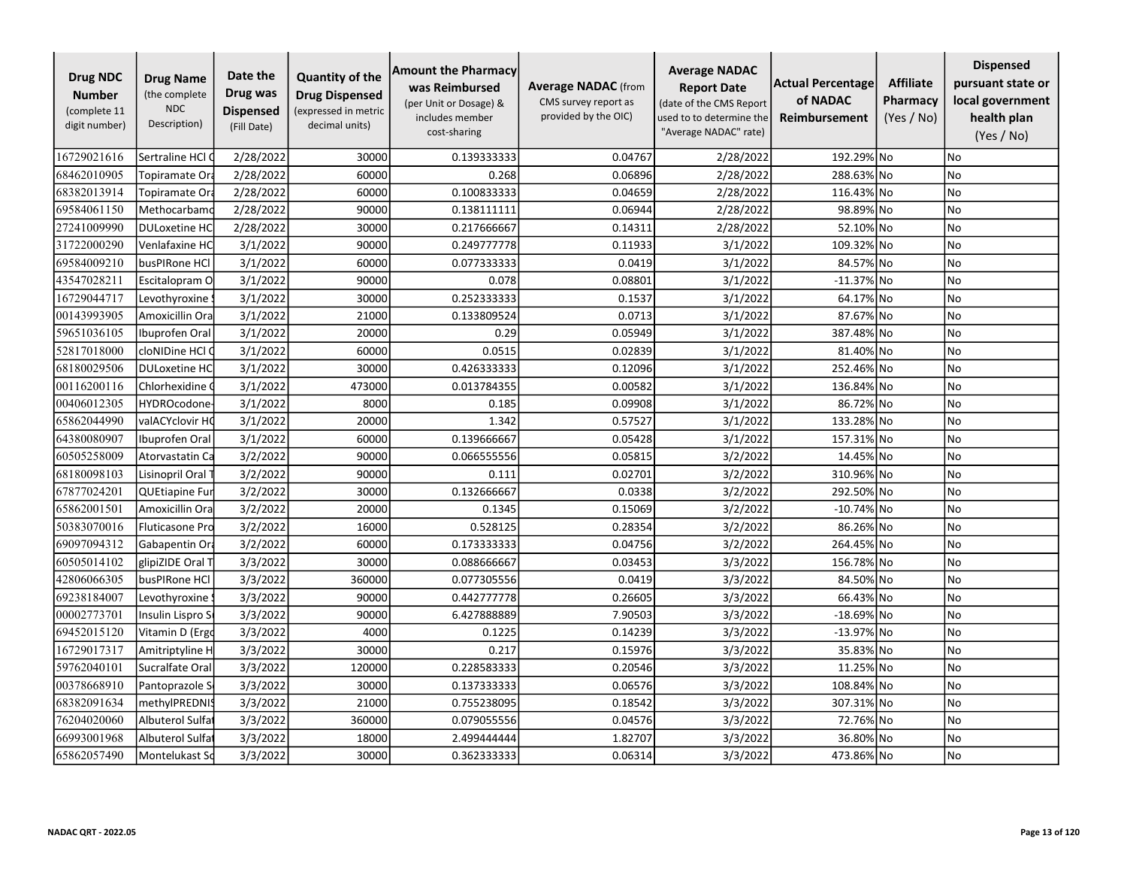| <b>Drug NDC</b><br><b>Number</b><br>(complete 11<br>digit number) | <b>Drug Name</b><br>(the complete<br><b>NDC</b><br>Description) | Date the<br>Drug was<br><b>Dispensed</b><br>(Fill Date) | <b>Quantity of the</b><br><b>Drug Dispensed</b><br>(expressed in metric<br>decimal units) | <b>Amount the Pharmacy</b><br>was Reimbursed<br>(per Unit or Dosage) &<br>includes member<br>cost-sharing | <b>Average NADAC</b> (from<br>CMS survey report as<br>provided by the OIC) | <b>Average NADAC</b><br><b>Report Date</b><br>(date of the CMS Report<br>used to to determine the<br>"Average NADAC" rate) | <b>Actual Percentage</b><br>of NADAC<br><b>Reimbursement</b> | <b>Affiliate</b><br>Pharmacy<br>(Yes / No) | <b>Dispensed</b><br>pursuant state or<br>local government<br>health plan<br>(Yes / No) |
|-------------------------------------------------------------------|-----------------------------------------------------------------|---------------------------------------------------------|-------------------------------------------------------------------------------------------|-----------------------------------------------------------------------------------------------------------|----------------------------------------------------------------------------|----------------------------------------------------------------------------------------------------------------------------|--------------------------------------------------------------|--------------------------------------------|----------------------------------------------------------------------------------------|
| 16729021616                                                       | Sertraline HCl (                                                | 2/28/2022                                               | 30000                                                                                     | 0.139333333                                                                                               | 0.04767                                                                    | 2/28/2022                                                                                                                  | 192.29% No                                                   |                                            | <b>No</b>                                                                              |
| 68462010905                                                       | Topiramate Or                                                   | 2/28/2022                                               | 60000                                                                                     | 0.268                                                                                                     | 0.06896                                                                    | 2/28/2022                                                                                                                  | 288.63% No                                                   |                                            | No                                                                                     |
| 68382013914                                                       | Topiramate Ora                                                  | 2/28/2022                                               | 60000                                                                                     | 0.100833333                                                                                               | 0.04659                                                                    | 2/28/2022                                                                                                                  | 116.43% No                                                   |                                            | No                                                                                     |
| 69584061150                                                       | Methocarbamo                                                    | 2/28/2022                                               | 90000                                                                                     | 0.138111111                                                                                               | 0.06944                                                                    | 2/28/2022                                                                                                                  | 98.89% No                                                    |                                            | <b>No</b>                                                                              |
| 27241009990                                                       | <b>DULoxetine HC</b>                                            | 2/28/2022                                               | 30000                                                                                     | 0.217666667                                                                                               | 0.14311                                                                    | 2/28/2022                                                                                                                  | 52.10% No                                                    |                                            | No                                                                                     |
| 31722000290                                                       | Venlafaxine HC                                                  | 3/1/2022                                                | 90000                                                                                     | 0.249777778                                                                                               | 0.11933                                                                    | 3/1/2022                                                                                                                   | 109.32% No                                                   |                                            | No                                                                                     |
| 69584009210                                                       | busPIRone HCI                                                   | 3/1/2022                                                | 60000                                                                                     | 0.077333333                                                                                               | 0.0419                                                                     | 3/1/2022                                                                                                                   | 84.57% No                                                    |                                            | No                                                                                     |
| 43547028211                                                       | Escitalopram O                                                  | 3/1/2022                                                | 90000                                                                                     | 0.078                                                                                                     | 0.08801                                                                    | 3/1/2022                                                                                                                   | $-11.37\%$ No                                                |                                            | <b>No</b>                                                                              |
| 16729044717                                                       | Levothyroxine                                                   | 3/1/2022                                                | 30000                                                                                     | 0.252333333                                                                                               | 0.1537                                                                     | 3/1/2022                                                                                                                   | 64.17% No                                                    |                                            | No                                                                                     |
| 00143993905                                                       | Amoxicillin Ora                                                 | 3/1/2022                                                | 21000                                                                                     | 0.133809524                                                                                               | 0.0713                                                                     | 3/1/2022                                                                                                                   | 87.67% No                                                    |                                            | <b>No</b>                                                                              |
| 59651036105                                                       | Ibuprofen Oral                                                  | 3/1/2022                                                | 20000                                                                                     | 0.29                                                                                                      | 0.05949                                                                    | 3/1/2022                                                                                                                   | 387.48% No                                                   |                                            | No                                                                                     |
| 52817018000                                                       | cloNIDine HCl (                                                 | 3/1/2022                                                | 60000                                                                                     | 0.0515                                                                                                    | 0.02839                                                                    | 3/1/2022                                                                                                                   | 81.40% No                                                    |                                            | <b>No</b>                                                                              |
| 68180029506                                                       | <b>DULoxetine HC</b>                                            | 3/1/2022                                                | 30000                                                                                     | 0.426333333                                                                                               | 0.12096                                                                    | 3/1/2022                                                                                                                   | 252.46% No                                                   |                                            | No                                                                                     |
| 00116200116                                                       | Chlorhexidine (                                                 | 3/1/2022                                                | 473000                                                                                    | 0.013784355                                                                                               | 0.00582                                                                    | 3/1/2022                                                                                                                   | 136.84% No                                                   |                                            | No                                                                                     |
| 00406012305                                                       | <b>HYDROcodone</b>                                              | 3/1/2022                                                | 8000                                                                                      | 0.185                                                                                                     | 0.09908                                                                    | 3/1/2022                                                                                                                   | 86.72% No                                                    |                                            | <b>No</b>                                                                              |
| 65862044990                                                       | valACYclovir HO                                                 | 3/1/2022                                                | 20000                                                                                     | 1.342                                                                                                     | 0.57527                                                                    | 3/1/2022                                                                                                                   | 133.28% No                                                   |                                            | No                                                                                     |
| 64380080907                                                       | Ibuprofen Oral                                                  | 3/1/2022                                                | 60000                                                                                     | 0.139666667                                                                                               | 0.05428                                                                    | 3/1/2022                                                                                                                   | 157.31% No                                                   |                                            | No                                                                                     |
| 60505258009                                                       | Atorvastatin Ca                                                 | 3/2/2022                                                | 90000                                                                                     | 0.066555556                                                                                               | 0.05815                                                                    | 3/2/2022                                                                                                                   | 14.45% No                                                    |                                            | <b>No</b>                                                                              |
| 68180098103                                                       | Lisinopril Oral                                                 | 3/2/2022                                                | 90000                                                                                     | 0.111                                                                                                     | 0.02701                                                                    | 3/2/2022                                                                                                                   | 310.96% No                                                   |                                            | No                                                                                     |
| 67877024201                                                       | <b>QUEtiapine Fur</b>                                           | 3/2/2022                                                | 30000                                                                                     | 0.132666667                                                                                               | 0.0338                                                                     | 3/2/2022                                                                                                                   | 292.50% No                                                   |                                            | No                                                                                     |
| 65862001501                                                       | Amoxicillin Ora                                                 | 3/2/2022                                                | 20000                                                                                     | 0.1345                                                                                                    | 0.15069                                                                    | 3/2/2022                                                                                                                   | $-10.74\%$ No                                                |                                            | <b>No</b>                                                                              |
| 50383070016                                                       | <b>Fluticasone Pro</b>                                          | 3/2/2022                                                | 16000                                                                                     | 0.528125                                                                                                  | 0.28354                                                                    | 3/2/2022                                                                                                                   | 86.26% No                                                    |                                            | No                                                                                     |
| 69097094312                                                       | Gabapentin Ora                                                  | 3/2/2022                                                | 60000                                                                                     | 0.173333333                                                                                               | 0.04756                                                                    | 3/2/2022                                                                                                                   | 264.45% No                                                   |                                            | No                                                                                     |
| 60505014102                                                       | glipiZIDE Oral 1                                                | 3/3/2022                                                | 30000                                                                                     | 0.088666667                                                                                               | 0.03453                                                                    | 3/3/2022                                                                                                                   | 156.78% No                                                   |                                            | <b>No</b>                                                                              |
| 42806066305                                                       | busPIRone HCl                                                   | 3/3/2022                                                | 360000                                                                                    | 0.077305556                                                                                               | 0.0419                                                                     | 3/3/2022                                                                                                                   | 84.50% No                                                    |                                            | No                                                                                     |
| 69238184007                                                       | Levothyroxine                                                   | 3/3/2022                                                | 90000                                                                                     | 0.442777778                                                                                               | 0.26605                                                                    | 3/3/2022                                                                                                                   | 66.43% No                                                    |                                            | No                                                                                     |
| 00002773701                                                       | Insulin Lispro S                                                | 3/3/2022                                                | 90000                                                                                     | 6.427888889                                                                                               | 7.90503                                                                    | 3/3/2022                                                                                                                   | $-18.69\%$ No                                                |                                            | No                                                                                     |
| 69452015120                                                       | Vitamin D (Ergo                                                 | 3/3/2022                                                | 4000                                                                                      | 0.1225                                                                                                    | 0.14239                                                                    | 3/3/2022                                                                                                                   | -13.97% No                                                   |                                            | <b>No</b>                                                                              |
| 16729017317                                                       | Amitriptyline H                                                 | 3/3/2022                                                | 30000                                                                                     | 0.217                                                                                                     | 0.15976                                                                    | 3/3/2022                                                                                                                   | 35.83% No                                                    |                                            | No                                                                                     |
| 59762040101                                                       | Sucralfate Oral                                                 | 3/3/2022                                                | 120000                                                                                    | 0.228583333                                                                                               | 0.20546                                                                    | 3/3/2022                                                                                                                   | 11.25%                                                       | l No                                       | <b>No</b>                                                                              |
| 00378668910                                                       | Pantoprazole S                                                  | 3/3/2022                                                | 30000                                                                                     | 0.137333333                                                                                               | 0.06576                                                                    | 3/3/2022                                                                                                                   | 108.84% No                                                   |                                            | No                                                                                     |
| 68382091634                                                       | methylPREDNI!                                                   | 3/3/2022                                                | 21000                                                                                     | 0.755238095                                                                                               | 0.18542                                                                    | 3/3/2022                                                                                                                   | 307.31% No                                                   |                                            | No                                                                                     |
| 76204020060                                                       | Albuterol Sulfa                                                 | 3/3/2022                                                | 360000                                                                                    | 0.079055556                                                                                               | 0.04576                                                                    | 3/3/2022                                                                                                                   | 72.76% No                                                    |                                            | No                                                                                     |
| 66993001968                                                       | Albuterol Sulfa                                                 | 3/3/2022                                                | 18000                                                                                     | 2.499444444                                                                                               | 1.82707                                                                    | 3/3/2022                                                                                                                   | 36.80% No                                                    |                                            | No                                                                                     |
| 65862057490                                                       | Montelukast So                                                  | 3/3/2022                                                | 30000                                                                                     | 0.362333333                                                                                               | 0.06314                                                                    | 3/3/2022                                                                                                                   | 473.86% No                                                   |                                            | No                                                                                     |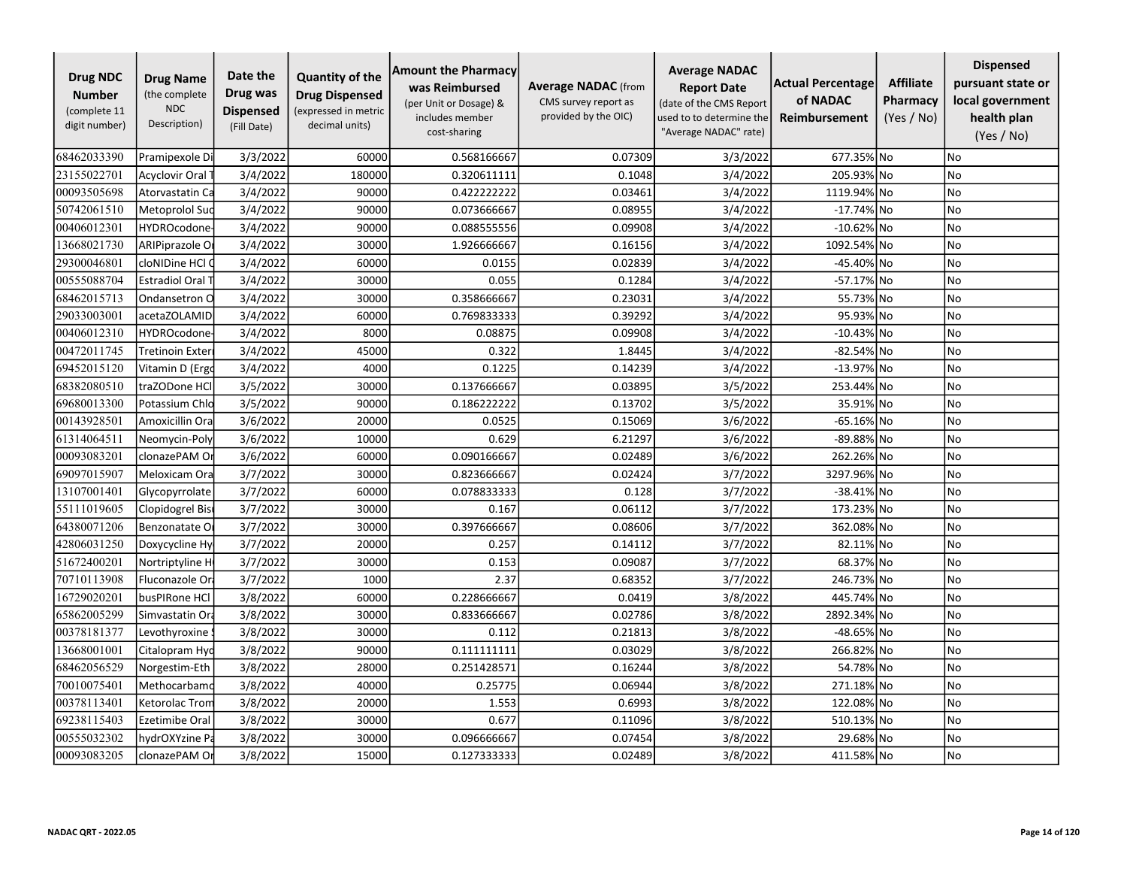| <b>Drug NDC</b><br><b>Number</b><br>(complete 11<br>digit number) | <b>Drug Name</b><br>(the complete<br><b>NDC</b><br>Description) | Date the<br>Drug was<br><b>Dispensed</b><br>(Fill Date) | <b>Quantity of the</b><br><b>Drug Dispensed</b><br>(expressed in metric<br>decimal units) | <b>Amount the Pharmacy</b><br>was Reimbursed<br>(per Unit or Dosage) &<br>includes member<br>cost-sharing | <b>Average NADAC</b> (from<br>CMS survey report as<br>provided by the OIC) | <b>Average NADAC</b><br><b>Report Date</b><br>(date of the CMS Report<br>used to to determine the<br>"Average NADAC" rate) | <b>Actual Percentage</b><br>of NADAC<br><b>Reimbursement</b> | <b>Affiliate</b><br>Pharmacy<br>(Yes / No) | <b>Dispensed</b><br>pursuant state or<br>local government<br>health plan<br>(Yes / No) |
|-------------------------------------------------------------------|-----------------------------------------------------------------|---------------------------------------------------------|-------------------------------------------------------------------------------------------|-----------------------------------------------------------------------------------------------------------|----------------------------------------------------------------------------|----------------------------------------------------------------------------------------------------------------------------|--------------------------------------------------------------|--------------------------------------------|----------------------------------------------------------------------------------------|
| 68462033390                                                       | Pramipexole Di                                                  | 3/3/2022                                                | 60000                                                                                     | 0.568166667                                                                                               | 0.07309                                                                    | 3/3/2022                                                                                                                   | 677.35% No                                                   |                                            | No                                                                                     |
| 23155022701                                                       | Acyclovir Oral                                                  | 3/4/2022                                                | 180000                                                                                    | 0.320611111                                                                                               | 0.1048                                                                     | 3/4/2022                                                                                                                   | 205.93% No                                                   |                                            | No                                                                                     |
| 00093505698                                                       | Atorvastatin Ca                                                 | 3/4/2022                                                | 90000                                                                                     | 0.422222222                                                                                               | 0.03461                                                                    | 3/4/2022                                                                                                                   | 1119.94% No                                                  |                                            | No                                                                                     |
| 50742061510                                                       | Metoprolol Suc                                                  | 3/4/2022                                                | 90000                                                                                     | 0.073666667                                                                                               | 0.08955                                                                    | 3/4/2022                                                                                                                   | $-17.74\%$ No                                                |                                            | No                                                                                     |
| 00406012301                                                       | <b>HYDROcodone</b>                                              | 3/4/2022                                                | 90000                                                                                     | 0.088555556                                                                                               | 0.09908                                                                    | 3/4/2022                                                                                                                   | $-10.62\%$ No                                                |                                            | No                                                                                     |
| 13668021730                                                       | ARIPiprazole O                                                  | 3/4/2022                                                | 30000                                                                                     | 1.926666667                                                                                               | 0.16156                                                                    | 3/4/2022                                                                                                                   | 1092.54% No                                                  |                                            | No                                                                                     |
| 29300046801                                                       | cloNIDine HCl (                                                 | 3/4/2022                                                | 60000                                                                                     | 0.0155                                                                                                    | 0.02839                                                                    | 3/4/2022                                                                                                                   | -45.40% No                                                   |                                            | <b>No</b>                                                                              |
| 00555088704                                                       | <b>Estradiol Oral T</b>                                         | 3/4/2022                                                | 30000                                                                                     | 0.055                                                                                                     | 0.1284                                                                     | 3/4/2022                                                                                                                   | -57.17% No                                                   |                                            | No                                                                                     |
| 68462015713                                                       | Ondansetron O                                                   | 3/4/2022                                                | 30000                                                                                     | 0.358666667                                                                                               | 0.23031                                                                    | 3/4/2022                                                                                                                   | 55.73% No                                                    |                                            | No                                                                                     |
| 29033003001                                                       | acetaZOLAMID                                                    | 3/4/2022                                                | 60000                                                                                     | 0.769833333                                                                                               | 0.39292                                                                    | 3/4/2022                                                                                                                   | 95.93% No                                                    |                                            | No                                                                                     |
| 00406012310                                                       | <b>HYDROcodone</b>                                              | 3/4/2022                                                | 8000                                                                                      | 0.08875                                                                                                   | 0.09908                                                                    | 3/4/2022                                                                                                                   | $-10.43\%$ No                                                |                                            | <b>No</b>                                                                              |
| 00472011745                                                       | Tretinoin Exter                                                 | 3/4/2022                                                | 45000                                                                                     | 0.322                                                                                                     | 1.8445                                                                     | 3/4/2022                                                                                                                   | -82.54% No                                                   |                                            | No                                                                                     |
| 69452015120                                                       | Vitamin D (Ergo                                                 | 3/4/2022                                                | 4000                                                                                      | 0.1225                                                                                                    | 0.14239                                                                    | 3/4/2022                                                                                                                   | -13.97% No                                                   |                                            | No                                                                                     |
| 68382080510                                                       | traZODone HCl                                                   | 3/5/2022                                                | 30000                                                                                     | 0.137666667                                                                                               | 0.03895                                                                    | 3/5/2022                                                                                                                   | 253.44% No                                                   |                                            | No                                                                                     |
| 69680013300                                                       | Potassium Chlc                                                  | 3/5/2022                                                | 90000                                                                                     | 0.186222222                                                                                               | 0.13702                                                                    | 3/5/2022                                                                                                                   | 35.91% No                                                    |                                            | No                                                                                     |
| 00143928501                                                       | Amoxicillin Ora                                                 | 3/6/2022                                                | 20000                                                                                     | 0.0525                                                                                                    | 0.15069                                                                    | 3/6/2022                                                                                                                   | $-65.16\%$ No                                                |                                            | No                                                                                     |
| 61314064511                                                       | Neomycin-Poly                                                   | 3/6/2022                                                | 10000                                                                                     | 0.629                                                                                                     | 6.21297                                                                    | 3/6/2022                                                                                                                   | -89.88% No                                                   |                                            | No                                                                                     |
| 00093083201                                                       | clonazePAM O                                                    | 3/6/2022                                                | 60000                                                                                     | 0.090166667                                                                                               | 0.02489                                                                    | 3/6/2022                                                                                                                   | 262.26% No                                                   |                                            | <b>No</b>                                                                              |
| 69097015907                                                       | Meloxicam Ora                                                   | 3/7/2022                                                | 30000                                                                                     | 0.823666667                                                                                               | 0.02424                                                                    | 3/7/2022                                                                                                                   | 3297.96% No                                                  |                                            | No                                                                                     |
| 13107001401                                                       | Glycopyrrolate                                                  | 3/7/2022                                                | 60000                                                                                     | 0.078833333                                                                                               | 0.128                                                                      | 3/7/2022                                                                                                                   | -38.41% No                                                   |                                            | <b>No</b>                                                                              |
| 55111019605                                                       | Clopidogrel Bis                                                 | 3/7/2022                                                | 30000                                                                                     | 0.167                                                                                                     | 0.06112                                                                    | 3/7/2022                                                                                                                   | 173.23% No                                                   |                                            | No                                                                                     |
| 64380071206                                                       | Benzonatate O                                                   | 3/7/2022                                                | 30000                                                                                     | 0.397666667                                                                                               | 0.08606                                                                    | 3/7/2022                                                                                                                   | 362.08% No                                                   |                                            | No                                                                                     |
| 42806031250                                                       | Doxycycline Hy                                                  | 3/7/2022                                                | 20000                                                                                     | 0.257                                                                                                     | 0.14112                                                                    | 3/7/2022                                                                                                                   | 82.11% No                                                    |                                            | No                                                                                     |
| 51672400201                                                       | Nortriptyline H                                                 | 3/7/2022                                                | 30000                                                                                     | 0.153                                                                                                     | 0.09087                                                                    | 3/7/2022                                                                                                                   | 68.37% No                                                    |                                            | <b>No</b>                                                                              |
| 70710113908                                                       | Fluconazole Ora                                                 | 3/7/2022                                                | 1000                                                                                      | 2.37                                                                                                      | 0.68352                                                                    | 3/7/2022                                                                                                                   | 246.73% No                                                   |                                            | No                                                                                     |
| 16729020201                                                       | busPIRone HCl                                                   | 3/8/2022                                                | 60000                                                                                     | 0.228666667                                                                                               | 0.0419                                                                     | 3/8/2022                                                                                                                   | 445.74% No                                                   |                                            | No                                                                                     |
| 65862005299                                                       | Simvastatin Or                                                  | 3/8/2022                                                | 30000                                                                                     | 0.833666667                                                                                               | 0.02786                                                                    | 3/8/2022                                                                                                                   | 2892.34% No                                                  |                                            | No                                                                                     |
| 00378181377                                                       | Levothyroxine                                                   | 3/8/2022                                                | 30000                                                                                     | 0.112                                                                                                     | 0.21813                                                                    | 3/8/2022                                                                                                                   | -48.65% No                                                   |                                            | No                                                                                     |
| 13668001001                                                       | Citalopram Hyd                                                  | 3/8/2022                                                | 90000                                                                                     | 0.111111111                                                                                               | 0.03029                                                                    | 3/8/2022                                                                                                                   | 266.82% No                                                   |                                            | No                                                                                     |
| 68462056529                                                       | Norgestim-Eth                                                   | 3/8/2022                                                | 28000                                                                                     | 0.251428571                                                                                               | 0.16244                                                                    | 3/8/2022                                                                                                                   | 54.78% No                                                    |                                            | <b>No</b>                                                                              |
| 70010075401                                                       | Methocarbamo                                                    | 3/8/2022                                                | 40000                                                                                     | 0.25775                                                                                                   | 0.06944                                                                    | 3/8/2022                                                                                                                   | 271.18% No                                                   |                                            | No                                                                                     |
| 00378113401                                                       | Ketorolac Trom                                                  | 3/8/2022                                                | 20000                                                                                     | 1.553                                                                                                     | 0.6993                                                                     | 3/8/2022                                                                                                                   | 122.08% No                                                   |                                            | No                                                                                     |
| 69238115403                                                       | Ezetimibe Oral                                                  | 3/8/2022                                                | 30000                                                                                     | 0.677                                                                                                     | 0.11096                                                                    | 3/8/2022                                                                                                                   | 510.13% No                                                   |                                            | No                                                                                     |
| 00555032302                                                       | hydrOXYzine P                                                   | 3/8/2022                                                | 30000                                                                                     | 0.096666667                                                                                               | 0.07454                                                                    | 3/8/2022                                                                                                                   | 29.68% No                                                    |                                            | No                                                                                     |
| 00093083205                                                       | clonazePAM Or                                                   | 3/8/2022                                                | 15000                                                                                     | 0.127333333                                                                                               | 0.02489                                                                    | 3/8/2022                                                                                                                   | 411.58% No                                                   |                                            | No                                                                                     |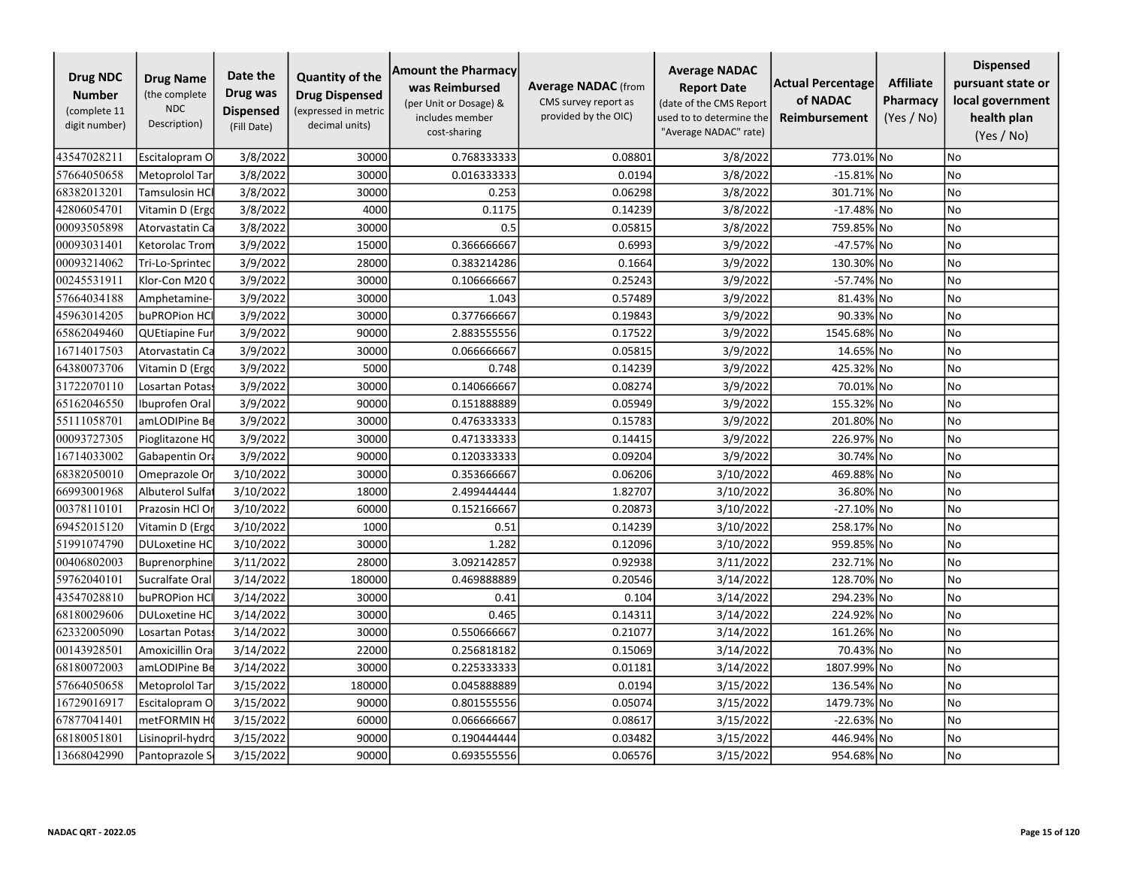| <b>Drug NDC</b><br><b>Number</b><br>(complete 11<br>digit number) | <b>Drug Name</b><br>(the complete<br><b>NDC</b><br>Description) | Date the<br>Drug was<br><b>Dispensed</b><br>(Fill Date) | <b>Quantity of the</b><br><b>Drug Dispensed</b><br>(expressed in metric<br>decimal units) | <b>Amount the Pharmacy</b><br>was Reimbursed<br>(per Unit or Dosage) &<br>includes member<br>cost-sharing | <b>Average NADAC</b> (from<br>CMS survey report as<br>provided by the OIC) | <b>Average NADAC</b><br><b>Report Date</b><br>(date of the CMS Report<br>used to to determine the<br>"Average NADAC" rate) | <b>Actual Percentage</b><br>of NADAC<br>Reimbursement | <b>Affiliate</b><br>Pharmacy<br>(Yes / No) | <b>Dispensed</b><br>pursuant state or<br>local government<br>health plan<br>(Yes / No) |
|-------------------------------------------------------------------|-----------------------------------------------------------------|---------------------------------------------------------|-------------------------------------------------------------------------------------------|-----------------------------------------------------------------------------------------------------------|----------------------------------------------------------------------------|----------------------------------------------------------------------------------------------------------------------------|-------------------------------------------------------|--------------------------------------------|----------------------------------------------------------------------------------------|
| 43547028211                                                       | Escitalopram O                                                  | 3/8/2022                                                | 30000                                                                                     | 0.768333333                                                                                               | 0.08801                                                                    | 3/8/2022                                                                                                                   | 773.01% No                                            |                                            | No.                                                                                    |
| 57664050658                                                       | Metoprolol Tar                                                  | 3/8/2022                                                | 30000                                                                                     | 0.016333333                                                                                               | 0.0194                                                                     | 3/8/2022                                                                                                                   | $-15.81\%$ No                                         |                                            | No                                                                                     |
| 68382013201                                                       | Tamsulosin HCl                                                  | 3/8/2022                                                | 30000                                                                                     | 0.253                                                                                                     | 0.06298                                                                    | 3/8/2022                                                                                                                   | 301.71% No                                            |                                            | No                                                                                     |
| 42806054701                                                       | Vitamin D (Ergd                                                 | 3/8/2022                                                | 4000                                                                                      | 0.1175                                                                                                    | 0.14239                                                                    | 3/8/2022                                                                                                                   | $-17.48\%$ No                                         |                                            | No                                                                                     |
| 00093505898                                                       | Atorvastatin Ca                                                 | 3/8/2022                                                | 30000                                                                                     | 0.5                                                                                                       | 0.05815                                                                    | 3/8/2022                                                                                                                   | 759.85% No                                            |                                            | <b>No</b>                                                                              |
| 00093031401                                                       | <b>Ketorolac Trom</b>                                           | 3/9/2022                                                | 15000                                                                                     | 0.366666667                                                                                               | 0.6993                                                                     | 3/9/2022                                                                                                                   | -47.57% No                                            |                                            | No                                                                                     |
| 00093214062                                                       | Tri-Lo-Sprintec                                                 | 3/9/2022                                                | 28000                                                                                     | 0.383214286                                                                                               | 0.1664                                                                     | 3/9/2022                                                                                                                   | 130.30% No                                            |                                            | No                                                                                     |
| 00245531911                                                       | Klor-Con M20                                                    | 3/9/2022                                                | 30000                                                                                     | 0.106666667                                                                                               | 0.25243                                                                    | 3/9/2022                                                                                                                   | -57.74% No                                            |                                            | No                                                                                     |
| 57664034188                                                       | Amphetamine-                                                    | 3/9/2022                                                | 30000                                                                                     | 1.043                                                                                                     | 0.57489                                                                    | 3/9/2022                                                                                                                   | 81.43% No                                             |                                            | No                                                                                     |
| 45963014205                                                       | buPROPion HCI                                                   | 3/9/2022                                                | 30000                                                                                     | 0.377666667                                                                                               | 0.19843                                                                    | 3/9/2022                                                                                                                   | 90.33% No                                             |                                            | No                                                                                     |
| 65862049460                                                       | QUEtiapine Fur                                                  | 3/9/2022                                                | 90000                                                                                     | 2.883555556                                                                                               | 0.17522                                                                    | 3/9/2022                                                                                                                   | 1545.68% No                                           |                                            | No                                                                                     |
| 16714017503                                                       | Atorvastatin Ca                                                 | 3/9/2022                                                | 30000                                                                                     | 0.066666667                                                                                               | 0.05815                                                                    | 3/9/2022                                                                                                                   | 14.65% No                                             |                                            | No                                                                                     |
| 64380073706                                                       | Vitamin D (Ergo                                                 | 3/9/2022                                                | 5000                                                                                      | 0.748                                                                                                     | 0.14239                                                                    | 3/9/2022                                                                                                                   | 425.32% No                                            |                                            | No                                                                                     |
| 31722070110                                                       | Losartan Potas:                                                 | 3/9/2022                                                | 30000                                                                                     | 0.140666667                                                                                               | 0.08274                                                                    | 3/9/2022                                                                                                                   | 70.01% No                                             |                                            | No                                                                                     |
| 65162046550                                                       | Ibuprofen Oral                                                  | 3/9/2022                                                | 90000                                                                                     | 0.151888889                                                                                               | 0.05949                                                                    | 3/9/2022                                                                                                                   | 155.32% No                                            |                                            | No                                                                                     |
| 55111058701                                                       | amLODIPine Be                                                   | 3/9/2022                                                | 30000                                                                                     | 0.476333333                                                                                               | 0.15783                                                                    | 3/9/2022                                                                                                                   | 201.80% No                                            |                                            | No                                                                                     |
| 00093727305                                                       | Pioglitazone HO                                                 | 3/9/2022                                                | 30000                                                                                     | 0.471333333                                                                                               | 0.14415                                                                    | 3/9/2022                                                                                                                   | 226.97% No                                            |                                            | No                                                                                     |
| 16714033002                                                       | Gabapentin Ora                                                  | 3/9/2022                                                | 90000                                                                                     | 0.120333333                                                                                               | 0.09204                                                                    | 3/9/2022                                                                                                                   | 30.74% No                                             |                                            | No                                                                                     |
| 68382050010                                                       | Omeprazole Or                                                   | 3/10/2022                                               | 30000                                                                                     | 0.353666667                                                                                               | 0.06206                                                                    | 3/10/2022                                                                                                                  | 469.88% No                                            |                                            | No                                                                                     |
| 66993001968                                                       | Albuterol Sulfa                                                 | 3/10/2022                                               | 18000                                                                                     | 2.499444444                                                                                               | 1.82707                                                                    | 3/10/2022                                                                                                                  | 36.80% No                                             |                                            | No                                                                                     |
| 00378110101                                                       | Prazosin HCl Or                                                 | 3/10/2022                                               | 60000                                                                                     | 0.152166667                                                                                               | 0.20873                                                                    | 3/10/2022                                                                                                                  | -27.10% No                                            |                                            | No                                                                                     |
| 69452015120                                                       | Vitamin D (Ergo                                                 | 3/10/2022                                               | 1000                                                                                      | 0.51                                                                                                      | 0.14239                                                                    | 3/10/2022                                                                                                                  | 258.17% No                                            |                                            | No                                                                                     |
| 51991074790                                                       | <b>DULoxetine HC</b>                                            | 3/10/2022                                               | 30000                                                                                     | 1.282                                                                                                     | 0.12096                                                                    | 3/10/2022                                                                                                                  | 959.85% No                                            |                                            | <b>No</b>                                                                              |
| 00406802003                                                       | Buprenorphine                                                   | 3/11/2022                                               | 28000                                                                                     | 3.092142857                                                                                               | 0.92938                                                                    | 3/11/2022                                                                                                                  | 232.71% No                                            |                                            | No                                                                                     |
| 59762040101                                                       | Sucralfate Oral                                                 | 3/14/2022                                               | 180000                                                                                    | 0.469888889                                                                                               | 0.20546                                                                    | 3/14/2022                                                                                                                  | 128.70% No                                            |                                            | <b>No</b>                                                                              |
| 43547028810                                                       | buPROPion HCl                                                   | 3/14/2022                                               | 30000                                                                                     | 0.41                                                                                                      | 0.104                                                                      | 3/14/2022                                                                                                                  | 294.23% No                                            |                                            | No                                                                                     |
| 68180029606                                                       | <b>DULoxetine HC</b>                                            | 3/14/2022                                               | 30000                                                                                     | 0.465                                                                                                     | 0.14311                                                                    | 3/14/2022                                                                                                                  | 224.92% No                                            |                                            | No                                                                                     |
| 62332005090                                                       | Losartan Potas                                                  | 3/14/2022                                               | 30000                                                                                     | 0.550666667                                                                                               | 0.21077                                                                    | 3/14/2022                                                                                                                  | 161.26% No                                            |                                            | No                                                                                     |
| 00143928501                                                       | Amoxicillin Ora                                                 | 3/14/2022                                               | 22000                                                                                     | 0.256818182                                                                                               | 0.15069                                                                    | 3/14/2022                                                                                                                  | 70.43% No                                             |                                            | No                                                                                     |
| 68180072003                                                       | amLODIPine Be                                                   | 3/14/2022                                               | 30000                                                                                     | 0.225333333                                                                                               | 0.01181                                                                    | 3/14/2022                                                                                                                  | 1807.99%                                              | lNo                                        | No                                                                                     |
| 57664050658                                                       | Metoprolol Tar                                                  | 3/15/2022                                               | 180000                                                                                    | 0.045888889                                                                                               | 0.0194                                                                     | 3/15/2022                                                                                                                  | 136.54% No                                            |                                            | No                                                                                     |
| 16729016917                                                       | Escitalopram O                                                  | 3/15/2022                                               | 90000                                                                                     | 0.801555556                                                                                               | 0.05074                                                                    | 3/15/2022                                                                                                                  | 1479.73% No                                           |                                            | No                                                                                     |
| 67877041401                                                       | metFORMIN HO                                                    | 3/15/2022                                               | 60000                                                                                     | 0.066666667                                                                                               | 0.08617                                                                    | 3/15/2022                                                                                                                  | -22.63% No                                            |                                            | No                                                                                     |
| 68180051801                                                       | Lisinopril-hydrd                                                | 3/15/2022                                               | 90000                                                                                     | 0.190444444                                                                                               | 0.03482                                                                    | 3/15/2022                                                                                                                  | 446.94% No                                            |                                            | No                                                                                     |
| 13668042990                                                       | Pantoprazole S                                                  | 3/15/2022                                               | 90000                                                                                     | 0.693555556                                                                                               | 0.06576                                                                    | 3/15/2022                                                                                                                  | 954.68% No                                            |                                            | No                                                                                     |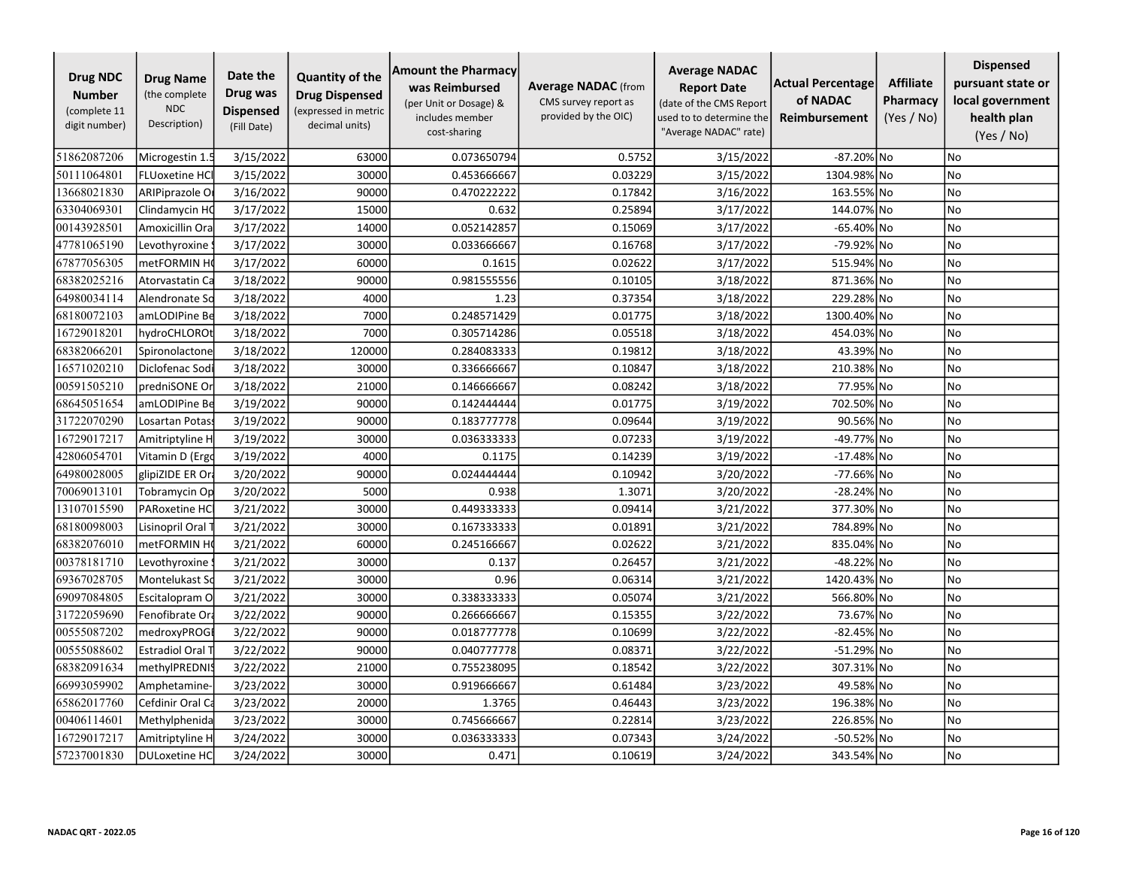| <b>Drug NDC</b><br><b>Number</b><br>(complete 11<br>digit number) | <b>Drug Name</b><br>(the complete<br><b>NDC</b><br>Description) | Date the<br>Drug was<br><b>Dispensed</b><br>(Fill Date) | <b>Quantity of the</b><br><b>Drug Dispensed</b><br>(expressed in metric<br>decimal units) | <b>Amount the Pharmacy</b><br>was Reimbursed<br>(per Unit or Dosage) &<br>includes member<br>cost-sharing | <b>Average NADAC</b> (from<br>CMS survey report as<br>provided by the OIC) | <b>Average NADAC</b><br><b>Report Date</b><br>(date of the CMS Report<br>used to to determine the<br>"Average NADAC" rate) | <b>Actual Percentage</b><br>of NADAC<br><b>Reimbursement</b> | <b>Affiliate</b><br>Pharmacy<br>(Yes / No) | <b>Dispensed</b><br>pursuant state or<br>local government<br>health plan<br>(Yes / No) |
|-------------------------------------------------------------------|-----------------------------------------------------------------|---------------------------------------------------------|-------------------------------------------------------------------------------------------|-----------------------------------------------------------------------------------------------------------|----------------------------------------------------------------------------|----------------------------------------------------------------------------------------------------------------------------|--------------------------------------------------------------|--------------------------------------------|----------------------------------------------------------------------------------------|
| 51862087206                                                       | Microgestin 1.                                                  | 3/15/2022                                               | 63000                                                                                     | 0.073650794                                                                                               | 0.5752                                                                     | 3/15/2022                                                                                                                  | -87.20% No                                                   |                                            | No                                                                                     |
| 50111064801                                                       | <b>FLUoxetine HCI</b>                                           | 3/15/2022                                               | 30000                                                                                     | 0.453666667                                                                                               | 0.03229                                                                    | 3/15/2022                                                                                                                  | 1304.98% No                                                  |                                            | No                                                                                     |
| 13668021830                                                       | ARIPiprazole O                                                  | 3/16/2022                                               | 90000                                                                                     | 0.470222222                                                                                               | 0.17842                                                                    | 3/16/2022                                                                                                                  | 163.55% No                                                   |                                            | No                                                                                     |
| 63304069301                                                       | Clindamycin HO                                                  | 3/17/2022                                               | 15000                                                                                     | 0.632                                                                                                     | 0.25894                                                                    | 3/17/2022                                                                                                                  | 144.07% No                                                   |                                            | No                                                                                     |
| 00143928501                                                       | Amoxicillin Ora                                                 | 3/17/2022                                               | 14000                                                                                     | 0.052142857                                                                                               | 0.15069                                                                    | 3/17/2022                                                                                                                  | -65.40% No                                                   |                                            | <b>No</b>                                                                              |
| 47781065190                                                       | Levothyroxine                                                   | 3/17/2022                                               | 30000                                                                                     | 0.033666667                                                                                               | 0.16768                                                                    | 3/17/2022                                                                                                                  | -79.92% No                                                   |                                            | <b>No</b>                                                                              |
| 67877056305                                                       | metFORMIN H                                                     | 3/17/2022                                               | 60000                                                                                     | 0.1615                                                                                                    | 0.02622                                                                    | 3/17/2022                                                                                                                  | 515.94% No                                                   |                                            | No                                                                                     |
| 68382025216                                                       | Atorvastatin Ca                                                 | 3/18/2022                                               | 90000                                                                                     | 0.981555556                                                                                               | 0.10105                                                                    | 3/18/2022                                                                                                                  | 871.36% No                                                   |                                            | No                                                                                     |
| 64980034114                                                       | Alendronate Sc                                                  | 3/18/2022                                               | 4000                                                                                      | 1.23                                                                                                      | 0.37354                                                                    | 3/18/2022                                                                                                                  | 229.28% No                                                   |                                            | No                                                                                     |
| 68180072103                                                       | amLODIPine Be                                                   | 3/18/2022                                               | 7000                                                                                      | 0.248571429                                                                                               | 0.01775                                                                    | 3/18/2022                                                                                                                  | 1300.40% No                                                  |                                            | No                                                                                     |
| 16729018201                                                       | hydroCHLOROt                                                    | 3/18/2022                                               | 7000                                                                                      | 0.305714286                                                                                               | 0.05518                                                                    | 3/18/2022                                                                                                                  | 454.03% No                                                   |                                            | No                                                                                     |
| 68382066201                                                       | Spironolactone                                                  | 3/18/2022                                               | 120000                                                                                    | 0.284083333                                                                                               | 0.19812                                                                    | 3/18/2022                                                                                                                  | 43.39% No                                                    |                                            | <b>No</b>                                                                              |
| 16571020210                                                       | Diclofenac Sod                                                  | 3/18/2022                                               | 30000                                                                                     | 0.336666667                                                                                               | 0.10847                                                                    | 3/18/2022                                                                                                                  | 210.38% No                                                   |                                            | No                                                                                     |
| 00591505210                                                       | predniSONE Or                                                   | 3/18/2022                                               | 21000                                                                                     | 0.146666667                                                                                               | 0.08242                                                                    | 3/18/2022                                                                                                                  | 77.95% No                                                    |                                            | <b>No</b>                                                                              |
| 68645051654                                                       | amLODIPine Be                                                   | 3/19/2022                                               | 90000                                                                                     | 0.142444444                                                                                               | 0.01775                                                                    | 3/19/2022                                                                                                                  | 702.50% No                                                   |                                            | No                                                                                     |
| 31722070290                                                       | Losartan Potas                                                  | 3/19/2022                                               | 90000                                                                                     | 0.183777778                                                                                               | 0.09644                                                                    | 3/19/2022                                                                                                                  | 90.56% No                                                    |                                            | No                                                                                     |
| 16729017217                                                       | Amitriptyline H                                                 | 3/19/2022                                               | 30000                                                                                     | 0.036333333                                                                                               | 0.07233                                                                    | 3/19/2022                                                                                                                  | -49.77% No                                                   |                                            | <b>No</b>                                                                              |
| 42806054701                                                       | Vitamin D (Ergo                                                 | 3/19/2022                                               | 4000                                                                                      | 0.1175                                                                                                    | 0.14239                                                                    | 3/19/2022                                                                                                                  | $-17.48\%$ No                                                |                                            | No                                                                                     |
| 64980028005                                                       | glipiZIDE ER Or                                                 | 3/20/2022                                               | 90000                                                                                     | 0.024444444                                                                                               | 0.10942                                                                    | 3/20/2022                                                                                                                  | -77.66% No                                                   |                                            | No                                                                                     |
| 70069013101                                                       | Tobramycin Op                                                   | 3/20/2022                                               | 5000                                                                                      | 0.938                                                                                                     | 1.3071                                                                     | 3/20/2022                                                                                                                  | -28.24% No                                                   |                                            | No                                                                                     |
| 13107015590                                                       | PARoxetine HC                                                   | 3/21/2022                                               | 30000                                                                                     | 0.449333333                                                                                               | 0.09414                                                                    | 3/21/2022                                                                                                                  | 377.30% No                                                   |                                            | No                                                                                     |
| 68180098003                                                       | Lisinopril Oral                                                 | 3/21/2022                                               | 30000                                                                                     | 0.167333333                                                                                               | 0.01891                                                                    | 3/21/2022                                                                                                                  | 784.89% No                                                   |                                            | No                                                                                     |
| 68382076010                                                       | metFORMIN H                                                     | 3/21/2022                                               | 60000                                                                                     | 0.245166667                                                                                               | 0.02622                                                                    | 3/21/2022                                                                                                                  | 835.04% No                                                   |                                            | No                                                                                     |
| 00378181710                                                       | Levothyroxine                                                   | 3/21/2022                                               | 30000                                                                                     | 0.137                                                                                                     | 0.26457                                                                    | 3/21/2022                                                                                                                  | -48.22% No                                                   |                                            | No                                                                                     |
| 69367028705                                                       | Montelukast So                                                  | 3/21/2022                                               | 30000                                                                                     | 0.96                                                                                                      | 0.06314                                                                    | 3/21/2022                                                                                                                  | 1420.43% No                                                  |                                            | No                                                                                     |
| 69097084805                                                       | Escitalopram O                                                  | 3/21/2022                                               | 30000                                                                                     | 0.338333333                                                                                               | 0.05074                                                                    | 3/21/2022                                                                                                                  | 566.80% No                                                   |                                            | No                                                                                     |
| 31722059690                                                       | Fenofibrate Ora                                                 | 3/22/2022                                               | 90000                                                                                     | 0.266666667                                                                                               | 0.15355                                                                    | 3/22/2022                                                                                                                  | 73.67% No                                                    |                                            | <b>No</b>                                                                              |
| 00555087202                                                       | medroxyPROG                                                     | 3/22/2022                                               | 90000                                                                                     | 0.018777778                                                                                               | 0.10699                                                                    | 3/22/2022                                                                                                                  | -82.45% No                                                   |                                            | No                                                                                     |
| 00555088602                                                       | <b>Estradiol Oral T</b>                                         | 3/22/2022                                               | 90000                                                                                     | 0.040777778                                                                                               | 0.08371                                                                    | 3/22/2022                                                                                                                  | -51.29% No                                                   |                                            | No                                                                                     |
| 68382091634                                                       | methylPREDNI:                                                   | 3/22/2022                                               | 21000                                                                                     | 0.755238095                                                                                               | 0.18542                                                                    | 3/22/2022                                                                                                                  | 307.31% No                                                   |                                            | No                                                                                     |
| 66993059902                                                       | Amphetamine-                                                    | 3/23/2022                                               | 30000                                                                                     | 0.919666667                                                                                               | 0.61484                                                                    | 3/23/2022                                                                                                                  | 49.58% No                                                    |                                            | No                                                                                     |
| 65862017760                                                       | Cefdinir Oral Ca                                                | 3/23/2022                                               | 20000                                                                                     | 1.3765                                                                                                    | 0.46443                                                                    | 3/23/2022                                                                                                                  | 196.38% No                                                   |                                            | <b>No</b>                                                                              |
| 00406114601                                                       | Methylphenida                                                   | 3/23/2022                                               | 30000                                                                                     | 0.745666667                                                                                               | 0.22814                                                                    | 3/23/2022                                                                                                                  | 226.85% No                                                   |                                            | No                                                                                     |
| 16729017217                                                       | Amitriptyline H                                                 | 3/24/2022                                               | 30000                                                                                     | 0.036333333                                                                                               | 0.07343                                                                    | 3/24/2022                                                                                                                  | -50.52% No                                                   |                                            | No                                                                                     |
| 57237001830                                                       | <b>DULoxetine HC</b>                                            | 3/24/2022                                               | 30000                                                                                     | 0.471                                                                                                     | 0.10619                                                                    | 3/24/2022                                                                                                                  | 343.54% No                                                   |                                            | No                                                                                     |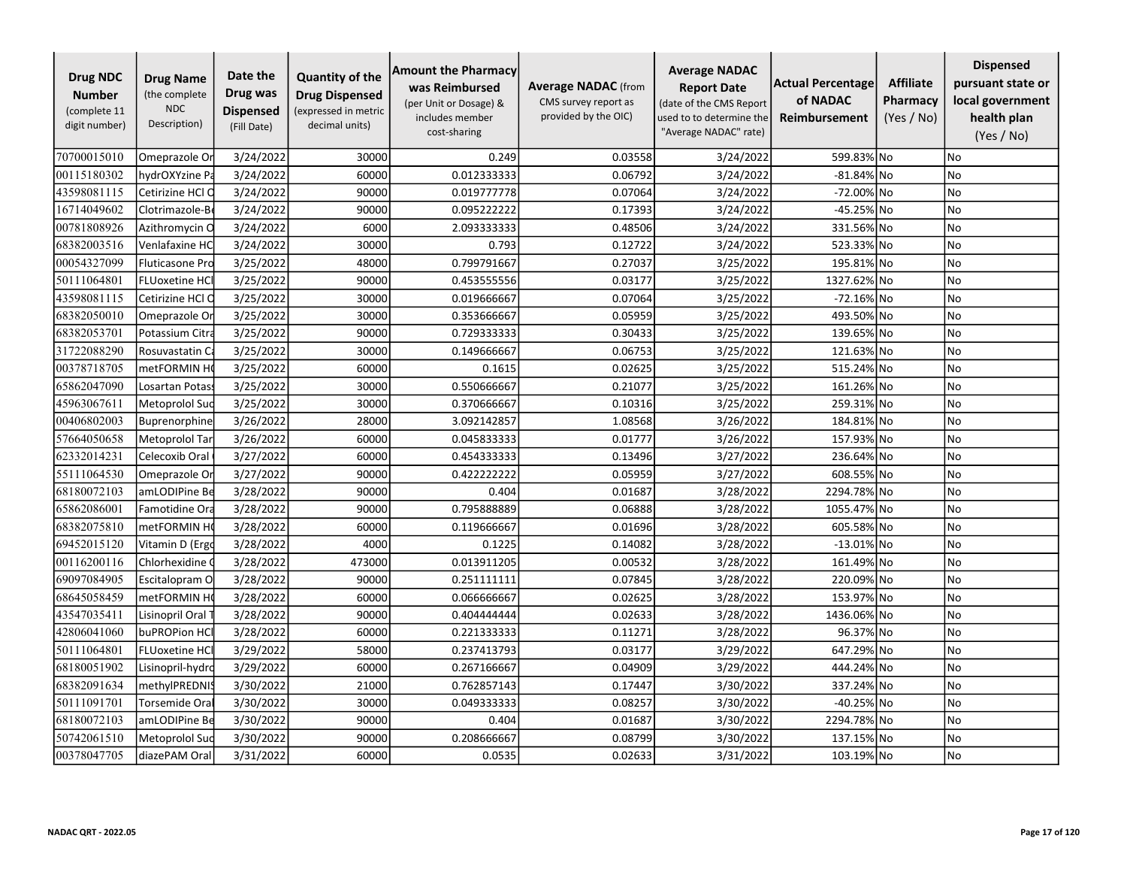| <b>Drug NDC</b><br><b>Number</b><br>(complete 11<br>digit number) | <b>Drug Name</b><br>(the complete<br><b>NDC</b><br>Description) | Date the<br>Drug was<br><b>Dispensed</b><br>(Fill Date) | <b>Quantity of the</b><br><b>Drug Dispensed</b><br>(expressed in metric<br>decimal units) | <b>Amount the Pharmacy</b><br>was Reimbursed<br>(per Unit or Dosage) &<br>includes member<br>cost-sharing | <b>Average NADAC</b> (from<br>CMS survey report as<br>provided by the OIC) | <b>Average NADAC</b><br><b>Report Date</b><br>(date of the CMS Report<br>used to to determine the<br>"Average NADAC" rate) | <b>Actual Percentage</b><br>of NADAC<br>Reimbursement | <b>Affiliate</b><br>Pharmacy<br>(Yes / No) | <b>Dispensed</b><br>pursuant state or<br>local government<br>health plan<br>(Yes / No) |
|-------------------------------------------------------------------|-----------------------------------------------------------------|---------------------------------------------------------|-------------------------------------------------------------------------------------------|-----------------------------------------------------------------------------------------------------------|----------------------------------------------------------------------------|----------------------------------------------------------------------------------------------------------------------------|-------------------------------------------------------|--------------------------------------------|----------------------------------------------------------------------------------------|
| 70700015010                                                       | Omeprazole Or                                                   | 3/24/2022                                               | 30000                                                                                     | 0.249                                                                                                     | 0.03558                                                                    | 3/24/2022                                                                                                                  | 599.83% No                                            |                                            | No.                                                                                    |
| 00115180302                                                       | hydrOXYzine Pa                                                  | 3/24/2022                                               | 60000                                                                                     | 0.012333333                                                                                               | 0.06792                                                                    | 3/24/2022                                                                                                                  | -81.84% No                                            |                                            | No                                                                                     |
| 43598081115                                                       | Cetirizine HCl O                                                | 3/24/2022                                               | 90000                                                                                     | 0.019777778                                                                                               | 0.07064                                                                    | 3/24/2022                                                                                                                  | -72.00% No                                            |                                            | No                                                                                     |
| 16714049602                                                       | Clotrimazole-B                                                  | 3/24/2022                                               | 90000                                                                                     | 0.095222222                                                                                               | 0.17393                                                                    | 3/24/2022                                                                                                                  | -45.25% No                                            |                                            | No                                                                                     |
| 00781808926                                                       | Azithromycin C                                                  | 3/24/2022                                               | 6000                                                                                      | 2.093333333                                                                                               | 0.48506                                                                    | 3/24/2022                                                                                                                  | 331.56% No                                            |                                            | No                                                                                     |
| 68382003516                                                       | Venlafaxine HC                                                  | 3/24/2022                                               | 30000                                                                                     | 0.793                                                                                                     | 0.12722                                                                    | 3/24/2022                                                                                                                  | 523.33%                                               | lNo                                        | <b>No</b>                                                                              |
| 00054327099                                                       | <b>Fluticasone Pro</b>                                          | 3/25/2022                                               | 48000                                                                                     | 0.799791667                                                                                               | 0.27037                                                                    | 3/25/2022                                                                                                                  | 195.81% No                                            |                                            | No                                                                                     |
| 50111064801                                                       | <b>FLUoxetine HC</b>                                            | 3/25/2022                                               | 90000                                                                                     | 0.453555556                                                                                               | 0.03177                                                                    | 3/25/2022                                                                                                                  | 1327.62% No                                           |                                            | No                                                                                     |
| 43598081115                                                       | Cetirizine HCl O                                                | 3/25/2022                                               | 30000                                                                                     | 0.019666667                                                                                               | 0.07064                                                                    | 3/25/2022                                                                                                                  | -72.16% No                                            |                                            | No                                                                                     |
| 68382050010                                                       | Omeprazole Or                                                   | 3/25/2022                                               | 30000                                                                                     | 0.353666667                                                                                               | 0.05959                                                                    | 3/25/2022                                                                                                                  | 493.50% No                                            |                                            | No                                                                                     |
| 68382053701                                                       | Potassium Citra                                                 | 3/25/2022                                               | 90000                                                                                     | 0.729333333                                                                                               | 0.30433                                                                    | 3/25/2022                                                                                                                  | 139.65% No                                            |                                            | No                                                                                     |
| 31722088290                                                       | Rosuvastatin Ca                                                 | 3/25/2022                                               | 30000                                                                                     | 0.149666667                                                                                               | 0.06753                                                                    | 3/25/2022                                                                                                                  | 121.63% No                                            |                                            | No                                                                                     |
| 00378718705                                                       | metFORMIN H                                                     | 3/25/2022                                               | 60000                                                                                     | 0.1615                                                                                                    | 0.02625                                                                    | 3/25/2022                                                                                                                  | 515.24% No                                            |                                            | <b>No</b>                                                                              |
| 65862047090                                                       | Losartan Potas:                                                 | 3/25/2022                                               | 30000                                                                                     | 0.550666667                                                                                               | 0.21077                                                                    | 3/25/2022                                                                                                                  | 161.26% No                                            |                                            | No                                                                                     |
| 45963067611                                                       | Metoprolol Suc                                                  | 3/25/2022                                               | 30000                                                                                     | 0.370666667                                                                                               | 0.10316                                                                    | 3/25/2022                                                                                                                  | 259.31% No                                            |                                            | No                                                                                     |
| 00406802003                                                       | Buprenorphine                                                   | 3/26/2022                                               | 28000                                                                                     | 3.092142857                                                                                               | 1.08568                                                                    | 3/26/2022                                                                                                                  | 184.81% No                                            |                                            | No                                                                                     |
| 57664050658                                                       | Metoprolol Tar                                                  | 3/26/2022                                               | 60000                                                                                     | 0.045833333                                                                                               | 0.01777                                                                    | 3/26/2022                                                                                                                  | 157.93% No                                            |                                            | No                                                                                     |
| 62332014231                                                       | Celecoxib Oral                                                  | 3/27/2022                                               | 60000                                                                                     | 0.454333333                                                                                               | 0.13496                                                                    | 3/27/2022                                                                                                                  | 236.64% No                                            |                                            | No                                                                                     |
| 55111064530                                                       | Omeprazole Or                                                   | 3/27/2022                                               | 90000                                                                                     | 0.422222222                                                                                               | 0.05959                                                                    | 3/27/2022                                                                                                                  | 608.55% No                                            |                                            | No                                                                                     |
| 68180072103                                                       | amLODIPine Be                                                   | 3/28/2022                                               | 90000                                                                                     | 0.404                                                                                                     | 0.01687                                                                    | 3/28/2022                                                                                                                  | 2294.78% No                                           |                                            | No                                                                                     |
| 65862086001                                                       | Famotidine Ora                                                  | 3/28/2022                                               | 90000                                                                                     | 0.795888889                                                                                               | 0.06888                                                                    | 3/28/2022                                                                                                                  | 1055.47% No                                           |                                            | No                                                                                     |
| 68382075810                                                       | metFORMIN H                                                     | 3/28/2022                                               | 60000                                                                                     | 0.119666667                                                                                               | 0.01696                                                                    | 3/28/2022                                                                                                                  | 605.58% No                                            |                                            | No                                                                                     |
| 69452015120                                                       | Vitamin D (Ergo                                                 | 3/28/2022                                               | 4000                                                                                      | 0.1225                                                                                                    | 0.14082                                                                    | 3/28/2022                                                                                                                  | $-13.01\%$ No                                         |                                            | <b>No</b>                                                                              |
| 00116200116                                                       | Chlorhexidine (                                                 | 3/28/2022                                               | 473000                                                                                    | 0.013911205                                                                                               | 0.00532                                                                    | 3/28/2022                                                                                                                  | 161.49% No                                            |                                            | No                                                                                     |
| 69097084905                                                       | Escitalopram O                                                  | 3/28/2022                                               | 90000                                                                                     | 0.251111111                                                                                               | 0.07845                                                                    | 3/28/2022                                                                                                                  | 220.09% No                                            |                                            | No                                                                                     |
| 68645058459                                                       | metFORMIN H                                                     | 3/28/2022                                               | 60000                                                                                     | 0.066666667                                                                                               | 0.02625                                                                    | 3/28/2022                                                                                                                  | 153.97% No                                            |                                            | No                                                                                     |
| 43547035411                                                       | Lisinopril Oral                                                 | 3/28/2022                                               | 90000                                                                                     | 0.404444444                                                                                               | 0.02633                                                                    | 3/28/2022                                                                                                                  | 1436.06% No                                           |                                            | No                                                                                     |
| 42806041060                                                       | buPROPion HC                                                    | 3/28/2022                                               | 60000                                                                                     | 0.221333333                                                                                               | 0.11271                                                                    | 3/28/2022                                                                                                                  | 96.37% No                                             |                                            | No                                                                                     |
| 50111064801                                                       | <b>FLUoxetine HC</b>                                            | 3/29/2022                                               | 58000                                                                                     | 0.237413793                                                                                               | 0.03177                                                                    | 3/29/2022                                                                                                                  | 647.29% No                                            |                                            | No                                                                                     |
| 68180051902                                                       | Lisinopril-hydro                                                | 3/29/2022                                               | 60000                                                                                     | 0.267166667                                                                                               | 0.04909                                                                    | 3/29/2022                                                                                                                  | 444.24% No                                            |                                            | No                                                                                     |
| 68382091634                                                       | methylPREDNI!                                                   | 3/30/2022                                               | 21000                                                                                     | 0.762857143                                                                                               | 0.17447                                                                    | 3/30/2022                                                                                                                  | 337.24% No                                            |                                            | No                                                                                     |
| 50111091701                                                       | Torsemide Ora                                                   | 3/30/2022                                               | 30000                                                                                     | 0.049333333                                                                                               | 0.08257                                                                    | 3/30/2022                                                                                                                  | -40.25% No                                            |                                            | No                                                                                     |
| 68180072103                                                       | amLODIPine Be                                                   | 3/30/2022                                               | 90000                                                                                     | 0.404                                                                                                     | 0.01687                                                                    | 3/30/2022                                                                                                                  | 2294.78% No                                           |                                            | No                                                                                     |
| 50742061510                                                       | Metoprolol Suc                                                  | 3/30/2022                                               | 90000                                                                                     | 0.208666667                                                                                               | 0.08799                                                                    | 3/30/2022                                                                                                                  | 137.15% No                                            |                                            | No                                                                                     |
| 00378047705                                                       | diazePAM Oral                                                   | 3/31/2022                                               | 60000                                                                                     | 0.0535                                                                                                    | 0.02633                                                                    | 3/31/2022                                                                                                                  | 103.19% No                                            |                                            | No                                                                                     |